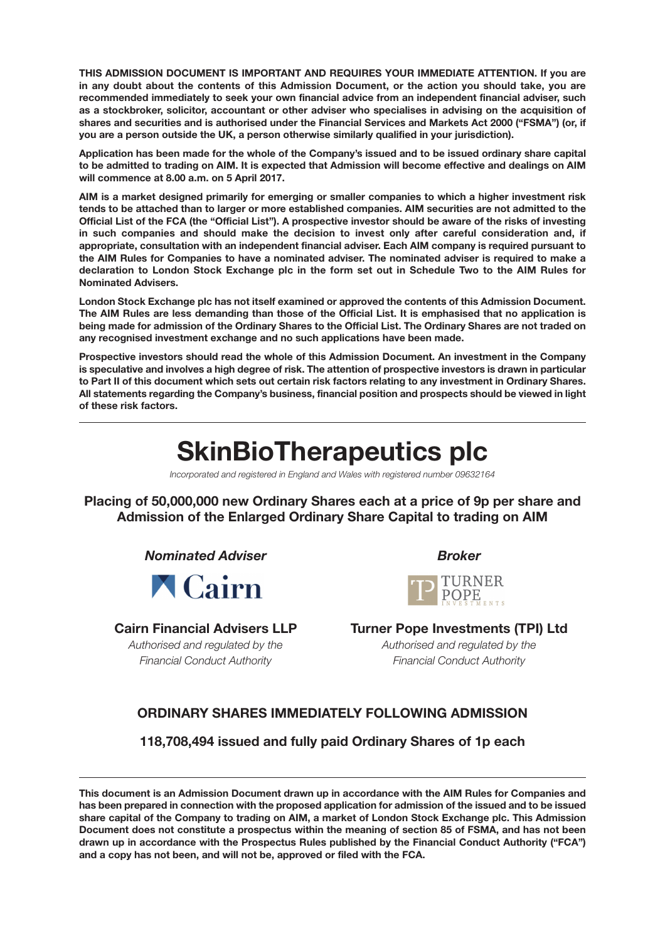**THIS ADMISSION DOCUMENT IS IMPORTANT AND REQUIRES YOUR IMMEDIATE ATTENTION. If you are in any doubt about the contents of this Admission Document, or the action you should take, you are recommended immediately to seek your own financial advice from an independent financial adviser, such as a stockbroker, solicitor, accountant or other adviser who specialises in advising on the acquisition of shares and securities and is authorised under the Financial Services and Markets Act 2000 ("FSMA") (or, if you are a person outside the UK, a person otherwise similarly qualified in your jurisdiction).**

**Application has been made for the whole of the Company's issued and to be issued ordinary share capital to be admitted to trading on AIM. It is expected that Admission will become effective and dealings on AIM will commence at 8.00 a.m. on 5 April 2017.**

**AIM is a market designed primarily for emerging or smaller companies to which a higher investment risk tends to be attached than to larger or more established companies. AIM securities are not admitted to the Official List of the FCA (the "Official List"). A prospective investor should be aware of the risks of investing in such companies and should make the decision to invest only after careful consideration and, if appropriate, consultation with an independent financial adviser. Each AIM company is required pursuant to the AIM Rules for Companies to have a nominated adviser. The nominated adviser is required to make a declaration to London Stock Exchange plc in the form set out in Schedule Two to the AIM Rules for Nominated Advisers.**

**London Stock Exchange plc has not itself examined or approved the contents of this Admission Document. The AIM Rules are less demanding than those of the Official List. It is emphasised that no application is being made for admission of the Ordinary Shares to the Official List. The Ordinary Shares are not traded on any recognised investment exchange and no such applications have been made.**

**Prospective investors should read the whole of this Admission Document. An investment in the Company is speculative and involves a high degree of risk. The attention of prospective investors is drawn in particular to Part II of this document which sets out certain risk factors relating to any investment in Ordinary Shares. All statements regarding the Company's business, financial position and prospects should be viewed in light of these risk factors.**

# **SkinBioTherapeutics plc**

*Incorporated and registered in England and Wales with registered number 09632164*

**Placing of 50,000,000 new Ordinary Shares each at a price of 9p per share and Admission of the Enlarged Ordinary Share Capital to trading on AIM**

*Nominated Adviser* Broker

**A** Cairn

ī



**Cairn Financial Advisers LLP Turner Pope Investments (TPI) Ltd** *Authorised and regulated by the Authorised and regulated by the Financial Conduct Authority Financial Conduct Authority*

## **ORDINARY SHARES IMMEDIATELY FOLLOWING ADMISSION**

**118,708,494 issued and fully paid Ordinary Shares of 1p each**

**This document is an Admission Document drawn up in accordance with the AIM Rules for Companies and has been prepared in connection with the proposed application for admission of the issued and to be issued share capital of the Company to trading on AIM, a market of London Stock Exchange plc. This Admission Document does not constitute a prospectus within the meaning of section 85 of FSMA, and has not been drawn up in accordance with the Prospectus Rules published by the Financial Conduct Authority ("FCA") and a copy has not been, and will not be, approved or filed with the FCA.**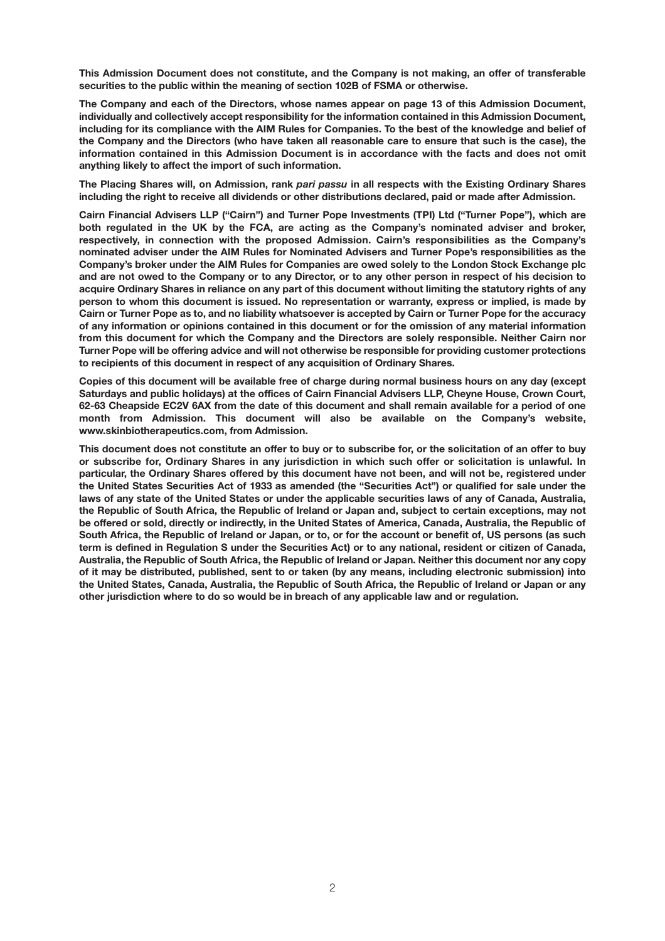**This Admission Document does not constitute, and the Company is not making, an offer of transferable securities to the public within the meaning of section 102B of FSMA or otherwise.** 

**The Company and each of the Directors, whose names appear on page 13 of this Admission Document, individually and collectively accept responsibility for the information contained in this Admission Document, including for its compliance with the AIM Rules for Companies. To the best of the knowledge and belief of the Company and the Directors (who have taken all reasonable care to ensure that such is the case), the information contained in this Admission Document is in accordance with the facts and does not omit anything likely to affect the import of such information.**

**The Placing Shares will, on Admission, rank** *pari passu* **in all respects with the Existing Ordinary Shares including the right to receive all dividends or other distributions declared, paid or made after Admission.**

**Cairn Financial Advisers LLP ("Cairn") and Turner Pope Investments (TPI) Ltd ("Turner Pope"), which are both regulated in the UK by the FCA, are acting as the Company's nominated adviser and broker, respectively, in connection with the proposed Admission. Cairn's responsibilities as the Company's nominated adviser under the AIM Rules for Nominated Advisers and Turner Pope's responsibilities as the Company's broker under the AIM Rules for Companies are owed solely to the London Stock Exchange plc and are not owed to the Company or to any Director, or to any other person in respect of his decision to acquire Ordinary Shares in reliance on any part of this document without limiting the statutory rights of any person to whom this document is issued. No representation or warranty, express or implied, is made by Cairn or Turner Pope as to, and no liability whatsoever is accepted by Cairn or Turner Pope for the accuracy of any information or opinions contained in this document or for the omission of any material information from this document for which the Company and the Directors are solely responsible. Neither Cairn nor Turner Pope will be offering advice and will not otherwise be responsible for providing customer protections to recipients of this document in respect of any acquisition of Ordinary Shares.**

**Copies of this document will be available free of charge during normal business hours on any day (except Saturdays and public holidays) at the offices of Cairn Financial Advisers LLP, Cheyne House, Crown Court, 62-63 Cheapside EC2V 6AX from the date of this document and shall remain available for a period of one month from Admission. This document will also be available on the Company's website, www.skinbiotherapeutics.com, from Admission.**

**This document does not constitute an offer to buy or to subscribe for, or the solicitation of an offer to buy or subscribe for, Ordinary Shares in any jurisdiction in which such offer or solicitation is unlawful. In particular, the Ordinary Shares offered by this document have not been, and will not be, registered under the United States Securities Act of 1933 as amended (the "Securities Act") or qualified for sale under the laws of any state of the United States or under the applicable securities laws of any of Canada, Australia, the Republic of South Africa, the Republic of Ireland or Japan and, subject to certain exceptions, may not be offered or sold, directly or indirectly, in the United States of America, Canada, Australia, the Republic of South Africa, the Republic of Ireland or Japan, or to, or for the account or benefit of, US persons (as such term is defined in Regulation S under the Securities Act) or to any national, resident or citizen of Canada, Australia, the Republic of South Africa, the Republic of Ireland or Japan. Neither this document nor any copy of it may be distributed, published, sent to or taken (by any means, including electronic submission) into the United States, Canada, Australia, the Republic of South Africa, the Republic of Ireland or Japan or any other jurisdiction where to do so would be in breach of any applicable law and or regulation.**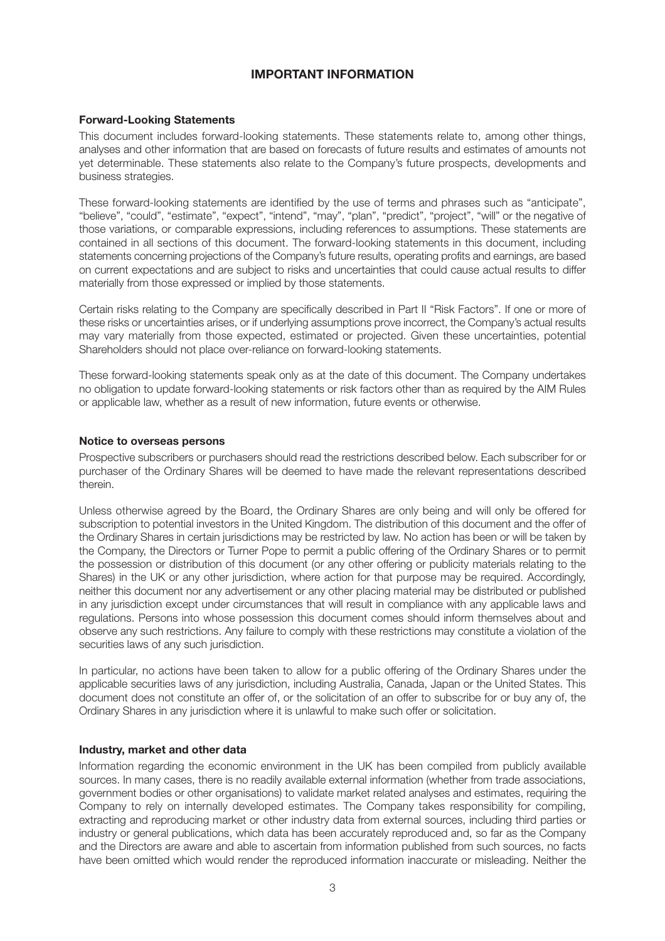## **IMPORTANT INFORMATION**

#### **Forward-Looking Statements**

This document includes forward-looking statements. These statements relate to, among other things, analyses and other information that are based on forecasts of future results and estimates of amounts not yet determinable. These statements also relate to the Company's future prospects, developments and business strategies.

These forward-looking statements are identified by the use of terms and phrases such as "anticipate", "believe", "could", "estimate", "expect", "intend", "may", "plan", "predict", "project", "will" or the negative of those variations, or comparable expressions, including references to assumptions. These statements are contained in all sections of this document. The forward-looking statements in this document, including statements concerning projections of the Company's future results, operating profits and earnings, are based on current expectations and are subject to risks and uncertainties that could cause actual results to differ materially from those expressed or implied by those statements.

Certain risks relating to the Company are specifically described in Part II "Risk Factors". If one or more of these risks or uncertainties arises, or if underlying assumptions prove incorrect, the Company's actual results may vary materially from those expected, estimated or projected. Given these uncertainties, potential Shareholders should not place over-reliance on forward-looking statements.

These forward-looking statements speak only as at the date of this document. The Company undertakes no obligation to update forward-looking statements or risk factors other than as required by the AIM Rules or applicable law, whether as a result of new information, future events or otherwise.

#### **Notice to overseas persons**

Prospective subscribers or purchasers should read the restrictions described below. Each subscriber for or purchaser of the Ordinary Shares will be deemed to have made the relevant representations described therein.

Unless otherwise agreed by the Board, the Ordinary Shares are only being and will only be offered for subscription to potential investors in the United Kingdom. The distribution of this document and the offer of the Ordinary Shares in certain jurisdictions may be restricted by law. No action has been or will be taken by the Company, the Directors or Turner Pope to permit a public offering of the Ordinary Shares or to permit the possession or distribution of this document (or any other offering or publicity materials relating to the Shares) in the UK or any other jurisdiction, where action for that purpose may be required. Accordingly, neither this document nor any advertisement or any other placing material may be distributed or published in any jurisdiction except under circumstances that will result in compliance with any applicable laws and regulations. Persons into whose possession this document comes should inform themselves about and observe any such restrictions. Any failure to comply with these restrictions may constitute a violation of the securities laws of any such jurisdiction.

In particular, no actions have been taken to allow for a public offering of the Ordinary Shares under the applicable securities laws of any jurisdiction, including Australia, Canada, Japan or the United States. This document does not constitute an offer of, or the solicitation of an offer to subscribe for or buy any of, the Ordinary Shares in any jurisdiction where it is unlawful to make such offer or solicitation.

#### **Industry, market and other data**

Information regarding the economic environment in the UK has been compiled from publicly available sources. In many cases, there is no readily available external information (whether from trade associations, government bodies or other organisations) to validate market related analyses and estimates, requiring the Company to rely on internally developed estimates. The Company takes responsibility for compiling, extracting and reproducing market or other industry data from external sources, including third parties or industry or general publications, which data has been accurately reproduced and, so far as the Company and the Directors are aware and able to ascertain from information published from such sources, no facts have been omitted which would render the reproduced information inaccurate or misleading. Neither the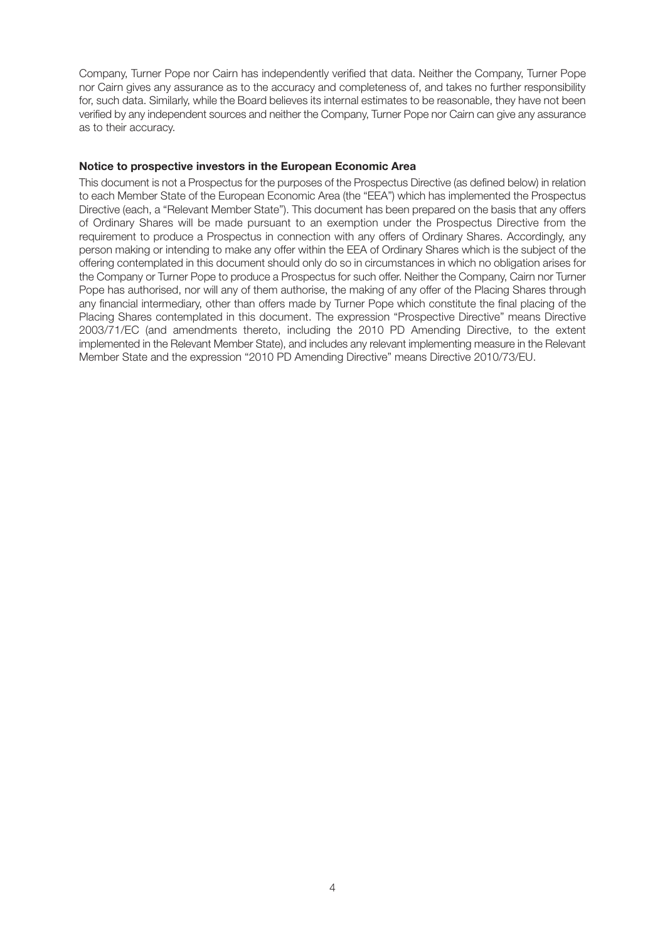Company, Turner Pope nor Cairn has independently verified that data. Neither the Company, Turner Pope nor Cairn gives any assurance as to the accuracy and completeness of, and takes no further responsibility for, such data. Similarly, while the Board believes its internal estimates to be reasonable, they have not been verified by any independent sources and neither the Company, Turner Pope nor Cairn can give any assurance as to their accuracy.

#### **Notice to prospective investors in the European Economic Area**

This document is not a Prospectus for the purposes of the Prospectus Directive (as defined below) in relation to each Member State of the European Economic Area (the "EEA") which has implemented the Prospectus Directive (each, a "Relevant Member State"). This document has been prepared on the basis that any offers of Ordinary Shares will be made pursuant to an exemption under the Prospectus Directive from the requirement to produce a Prospectus in connection with any offers of Ordinary Shares. Accordingly, any person making or intending to make any offer within the EEA of Ordinary Shares which is the subject of the offering contemplated in this document should only do so in circumstances in which no obligation arises for the Company or Turner Pope to produce a Prospectus for such offer. Neither the Company, Cairn nor Turner Pope has authorised, nor will any of them authorise, the making of any offer of the Placing Shares through any financial intermediary, other than offers made by Turner Pope which constitute the final placing of the Placing Shares contemplated in this document. The expression "Prospective Directive" means Directive 2003/71/EC (and amendments thereto, including the 2010 PD Amending Directive, to the extent implemented in the Relevant Member State), and includes any relevant implementing measure in the Relevant Member State and the expression "2010 PD Amending Directive" means Directive 2010/73/EU.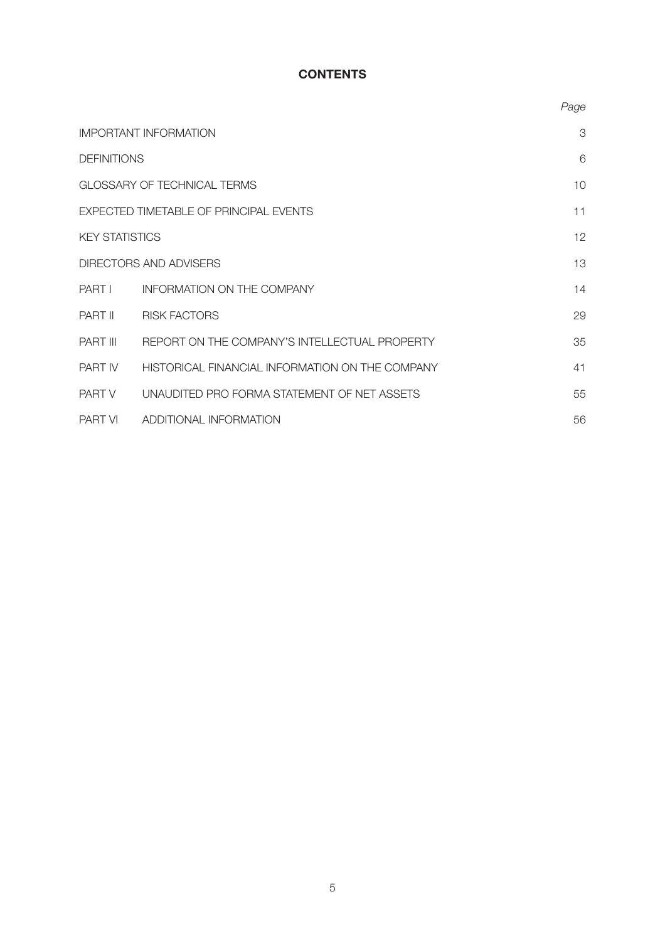# **CONTENTS**

|                       |                                                 | Page |
|-----------------------|-------------------------------------------------|------|
|                       | <b>IMPORTANT INFORMATION</b>                    | 3    |
| <b>DEFINITIONS</b>    |                                                 | 6    |
|                       | GLOSSARY OF TECHNICAL TERMS                     | 10   |
|                       | EXPECTED TIMETABLE OF PRINCIPAL EVENTS          | 11   |
| <b>KEY STATISTICS</b> |                                                 | 12   |
|                       | <b>DIRECTORS AND ADVISERS</b>                   | 13   |
| <b>PART I</b>         | <b>INFORMATION ON THE COMPANY</b>               | 14   |
| <b>PART II</b>        | <b>RISK FACTORS</b>                             | 29   |
| <b>PART III</b>       | REPORT ON THE COMPANY'S INTELLECTUAL PROPERTY   | 35   |
| <b>PART IV</b>        | HISTORICAL FINANCIAL INFORMATION ON THE COMPANY | 41   |
| PART V                | UNAUDITED PRO FORMA STATEMENT OF NET ASSETS     | 55   |
| <b>PART VI</b>        | ADDITIONAL INFORMATION                          | 56   |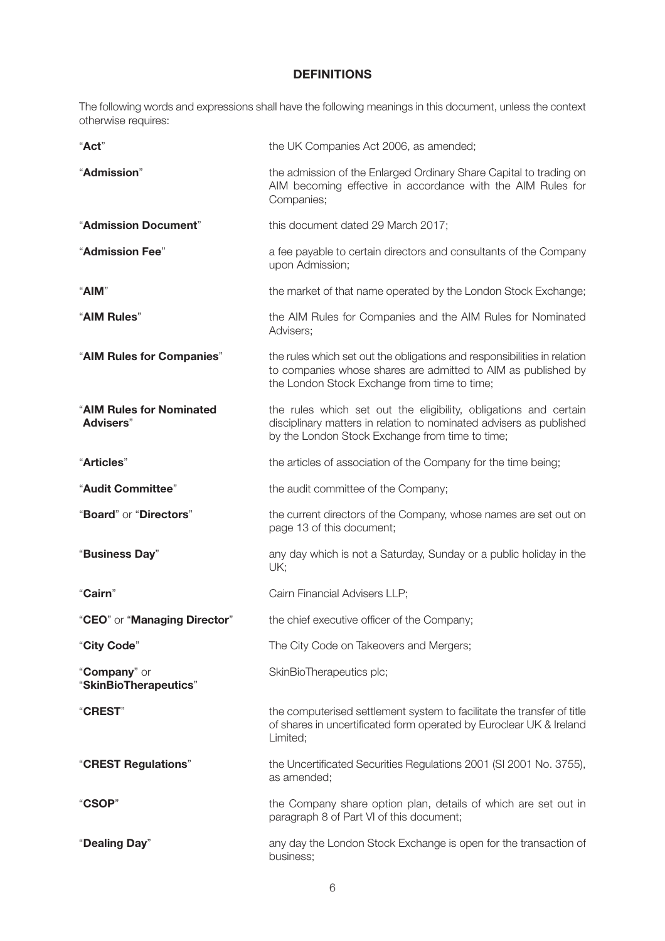## **DEFINITIONS**

The following words and expressions shall have the following meanings in this document, unless the context otherwise requires:

| "Act"                                 | the UK Companies Act 2006, as amended;                                                                                                                                                     |
|---------------------------------------|--------------------------------------------------------------------------------------------------------------------------------------------------------------------------------------------|
| "Admission"                           | the admission of the Enlarged Ordinary Share Capital to trading on<br>AIM becoming effective in accordance with the AIM Rules for<br>Companies;                                            |
| "Admission Document"                  | this document dated 29 March 2017;                                                                                                                                                         |
| "Admission Fee"                       | a fee payable to certain directors and consultants of the Company<br>upon Admission;                                                                                                       |
| "AIM"                                 | the market of that name operated by the London Stock Exchange;                                                                                                                             |
| "AIM Rules"                           | the AIM Rules for Companies and the AIM Rules for Nominated<br>Advisers;                                                                                                                   |
| "AIM Rules for Companies"             | the rules which set out the obligations and responsibilities in relation<br>to companies whose shares are admitted to AIM as published by<br>the London Stock Exchange from time to time;  |
| "AIM Rules for Nominated<br>Advisers" | the rules which set out the eligibility, obligations and certain<br>disciplinary matters in relation to nominated advisers as published<br>by the London Stock Exchange from time to time; |
| "Articles"                            | the articles of association of the Company for the time being;                                                                                                                             |
| "Audit Committee"                     | the audit committee of the Company;                                                                                                                                                        |
| "Board" or "Directors"                | the current directors of the Company, whose names are set out on<br>page 13 of this document;                                                                                              |
| "Business Day"                        | any day which is not a Saturday, Sunday or a public holiday in the<br>UK;                                                                                                                  |
| "Cairn"                               | Cairn Financial Advisers LLP;                                                                                                                                                              |
| "CEO" or "Managing Director"          | the chief executive officer of the Company;                                                                                                                                                |
| "City Code"                           | The City Code on Takeovers and Mergers;                                                                                                                                                    |
| "Company" or<br>"SkinBioTherapeutics" | SkinBioTherapeutics plc;                                                                                                                                                                   |
| "CREST"                               | the computerised settlement system to facilitate the transfer of title<br>of shares in uncertificated form operated by Euroclear UK & Ireland<br>Limited;                                  |
| "CREST Regulations"                   | the Uncertificated Securities Regulations 2001 (SI 2001 No. 3755),<br>as amended;                                                                                                          |
| "CSOP"                                | the Company share option plan, details of which are set out in<br>paragraph 8 of Part VI of this document;                                                                                 |
| "Dealing Day"                         | any day the London Stock Exchange is open for the transaction of<br>business;                                                                                                              |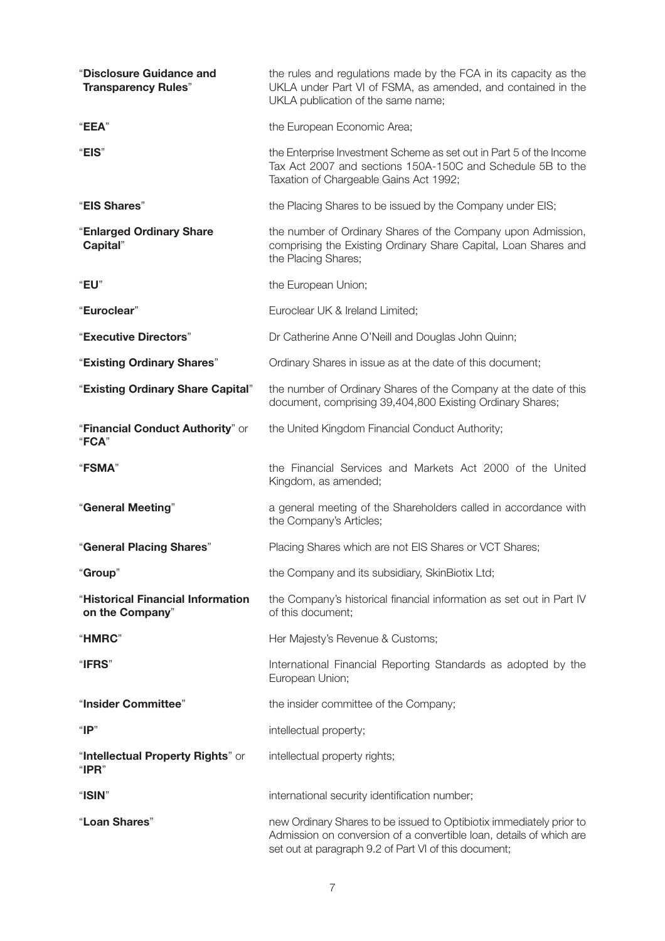| "Disclosure Guidance and<br><b>Transparency Rules"</b> | the rules and regulations made by the FCA in its capacity as the<br>UKLA under Part VI of FSMA, as amended, and contained in the<br>UKLA publication of the same name;                              |
|--------------------------------------------------------|-----------------------------------------------------------------------------------------------------------------------------------------------------------------------------------------------------|
| "EEA"                                                  | the European Economic Area;                                                                                                                                                                         |
| "EIS"                                                  | the Enterprise Investment Scheme as set out in Part 5 of the Income<br>Tax Act 2007 and sections 150A-150C and Schedule 5B to the<br>Taxation of Chargeable Gains Act 1992;                         |
| "EIS Shares"                                           | the Placing Shares to be issued by the Company under EIS;                                                                                                                                           |
| "Enlarged Ordinary Share<br>Capital"                   | the number of Ordinary Shares of the Company upon Admission,<br>comprising the Existing Ordinary Share Capital, Loan Shares and<br>the Placing Shares;                                              |
| "EU"                                                   | the European Union;                                                                                                                                                                                 |
| "Euroclear"                                            | Euroclear UK & Ireland Limited;                                                                                                                                                                     |
| "Executive Directors"                                  | Dr Catherine Anne O'Neill and Douglas John Quinn;                                                                                                                                                   |
| "Existing Ordinary Shares"                             | Ordinary Shares in issue as at the date of this document;                                                                                                                                           |
| "Existing Ordinary Share Capital"                      | the number of Ordinary Shares of the Company at the date of this<br>document, comprising 39,404,800 Existing Ordinary Shares;                                                                       |
| "Financial Conduct Authority" or<br>"FCA"              | the United Kingdom Financial Conduct Authority;                                                                                                                                                     |
| <b>"FSMA"</b>                                          | the Financial Services and Markets Act 2000 of the United<br>Kingdom, as amended;                                                                                                                   |
| "General Meeting"                                      | a general meeting of the Shareholders called in accordance with<br>the Company's Articles;                                                                                                          |
| "General Placing Shares"                               | Placing Shares which are not EIS Shares or VCT Shares;                                                                                                                                              |
| "Group"                                                | the Company and its subsidiary, SkinBiotix Ltd;                                                                                                                                                     |
| "Historical Financial Information<br>on the Company"   | the Company's historical financial information as set out in Part IV<br>of this document;                                                                                                           |
| "HMRC"                                                 | Her Majesty's Revenue & Customs;                                                                                                                                                                    |
| "IFRS"                                                 | International Financial Reporting Standards as adopted by the<br>European Union;                                                                                                                    |
| "Insider Committee"                                    | the insider committee of the Company;                                                                                                                                                               |
| " $IP$ "                                               | intellectual property;                                                                                                                                                                              |
| "Intellectual Property Rights" or<br>" $IPR"$          | intellectual property rights;                                                                                                                                                                       |
| "ISIN"                                                 | international security identification number;                                                                                                                                                       |
| "Loan Shares"                                          | new Ordinary Shares to be issued to Optibiotix immediately prior to<br>Admission on conversion of a convertible loan, details of which are<br>set out at paragraph 9.2 of Part VI of this document; |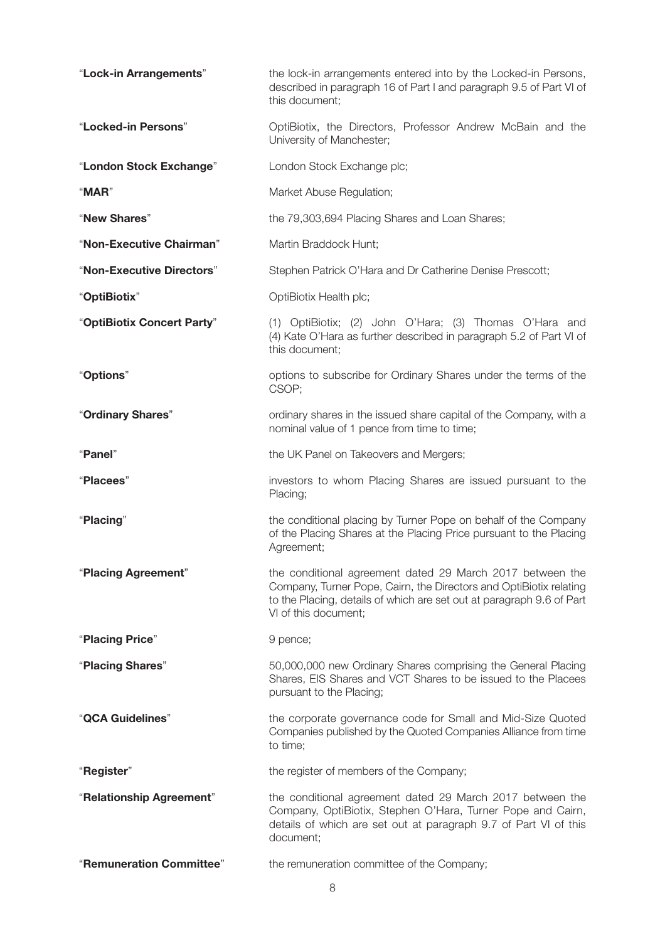| "Lock-in Arrangements"     | the lock-in arrangements entered into by the Locked-in Persons,<br>described in paragraph 16 of Part I and paragraph 9.5 of Part VI of<br>this document;                                                                         |  |
|----------------------------|----------------------------------------------------------------------------------------------------------------------------------------------------------------------------------------------------------------------------------|--|
| "Locked-in Persons"        | OptiBiotix, the Directors, Professor Andrew McBain and the<br>University of Manchester;                                                                                                                                          |  |
| "London Stock Exchange"    | London Stock Exchange plc;                                                                                                                                                                                                       |  |
| "MAR"                      | Market Abuse Regulation;                                                                                                                                                                                                         |  |
| "New Shares"               | the 79,303,694 Placing Shares and Loan Shares;                                                                                                                                                                                   |  |
| "Non-Executive Chairman"   | Martin Braddock Hunt;                                                                                                                                                                                                            |  |
| "Non-Executive Directors"  | Stephen Patrick O'Hara and Dr Catherine Denise Prescott;                                                                                                                                                                         |  |
| "OptiBiotix"               | OptiBiotix Health plc;                                                                                                                                                                                                           |  |
| "OptiBiotix Concert Party" | (1) OptiBiotix; (2) John O'Hara; (3) Thomas O'Hara and<br>(4) Kate O'Hara as further described in paragraph 5.2 of Part VI of<br>this document;                                                                                  |  |
| "Options"                  | options to subscribe for Ordinary Shares under the terms of the<br>CSOP;                                                                                                                                                         |  |
| "Ordinary Shares"          | ordinary shares in the issued share capital of the Company, with a<br>nominal value of 1 pence from time to time;                                                                                                                |  |
| "Panel"                    | the UK Panel on Takeovers and Mergers;                                                                                                                                                                                           |  |
| "Placees"                  | investors to whom Placing Shares are issued pursuant to the<br>Placing;                                                                                                                                                          |  |
|                            |                                                                                                                                                                                                                                  |  |
| "Placing"                  | the conditional placing by Turner Pope on behalf of the Company<br>of the Placing Shares at the Placing Price pursuant to the Placing<br>Agreement;                                                                              |  |
| "Placing Agreement"        | the conditional agreement dated 29 March 2017 between the<br>Company, Turner Pope, Cairn, the Directors and OptiBiotix relating<br>to the Placing, details of which are set out at paragraph 9.6 of Part<br>VI of this document; |  |
| "Placing Price"            | 9 pence;                                                                                                                                                                                                                         |  |
| "Placing Shares"           | 50,000,000 new Ordinary Shares comprising the General Placing<br>Shares, EIS Shares and VCT Shares to be issued to the Placees<br>pursuant to the Placing;                                                                       |  |
| "QCA Guidelines"           | the corporate governance code for Small and Mid-Size Quoted<br>Companies published by the Quoted Companies Alliance from time<br>to time;                                                                                        |  |
| "Register"                 | the register of members of the Company;                                                                                                                                                                                          |  |
| "Relationship Agreement"   | the conditional agreement dated 29 March 2017 between the<br>Company, OptiBiotix, Stephen O'Hara, Turner Pope and Cairn,<br>details of which are set out at paragraph 9.7 of Part VI of this<br>document;                        |  |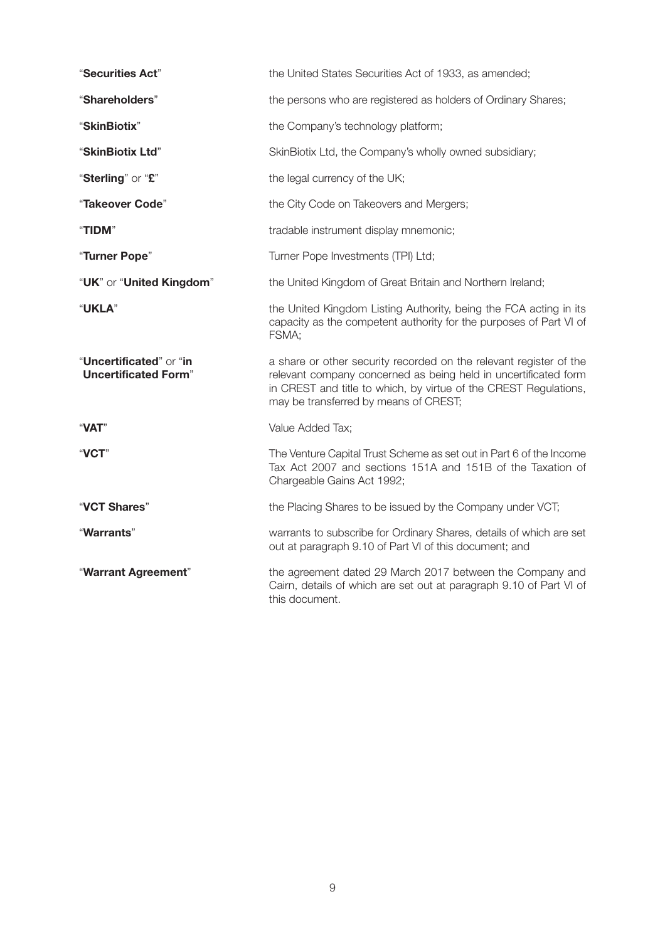| "Securities Act"                                       | the United States Securities Act of 1933, as amended;                                                                                                                                                                                              |
|--------------------------------------------------------|----------------------------------------------------------------------------------------------------------------------------------------------------------------------------------------------------------------------------------------------------|
| "Shareholders"                                         | the persons who are registered as holders of Ordinary Shares;                                                                                                                                                                                      |
| "SkinBiotix"                                           | the Company's technology platform;                                                                                                                                                                                                                 |
| "SkinBiotix Ltd"                                       | SkinBiotix Ltd, the Company's wholly owned subsidiary;                                                                                                                                                                                             |
| "Sterling" or "£"                                      | the legal currency of the UK;                                                                                                                                                                                                                      |
| "Takeover Code"                                        | the City Code on Takeovers and Mergers;                                                                                                                                                                                                            |
| "TIDM"                                                 | tradable instrument display mnemonic;                                                                                                                                                                                                              |
| "Turner Pope"                                          | Turner Pope Investments (TPI) Ltd;                                                                                                                                                                                                                 |
| "UK" or "United Kingdom"                               | the United Kingdom of Great Britain and Northern Ireland;                                                                                                                                                                                          |
| "UKLA"                                                 | the United Kingdom Listing Authority, being the FCA acting in its<br>capacity as the competent authority for the purposes of Part VI of<br>FSMA;                                                                                                   |
| "Uncertificated" or "in<br><b>Uncertificated Form"</b> | a share or other security recorded on the relevant register of the<br>relevant company concerned as being held in uncertificated form<br>in CREST and title to which, by virtue of the CREST Regulations,<br>may be transferred by means of CREST; |
| "VAT"                                                  | Value Added Tax;                                                                                                                                                                                                                                   |
| "VCT"                                                  | The Venture Capital Trust Scheme as set out in Part 6 of the Income<br>Tax Act 2007 and sections 151A and 151B of the Taxation of<br>Chargeable Gains Act 1992;                                                                                    |
| "VCT Shares"                                           | the Placing Shares to be issued by the Company under VCT;                                                                                                                                                                                          |
| "Warrants"                                             | warrants to subscribe for Ordinary Shares, details of which are set<br>out at paragraph 9.10 of Part VI of this document; and                                                                                                                      |
| "Warrant Agreement"                                    | the agreement dated 29 March 2017 between the Company and<br>Cairn, details of which are set out at paragraph 9.10 of Part VI of<br>this document.                                                                                                 |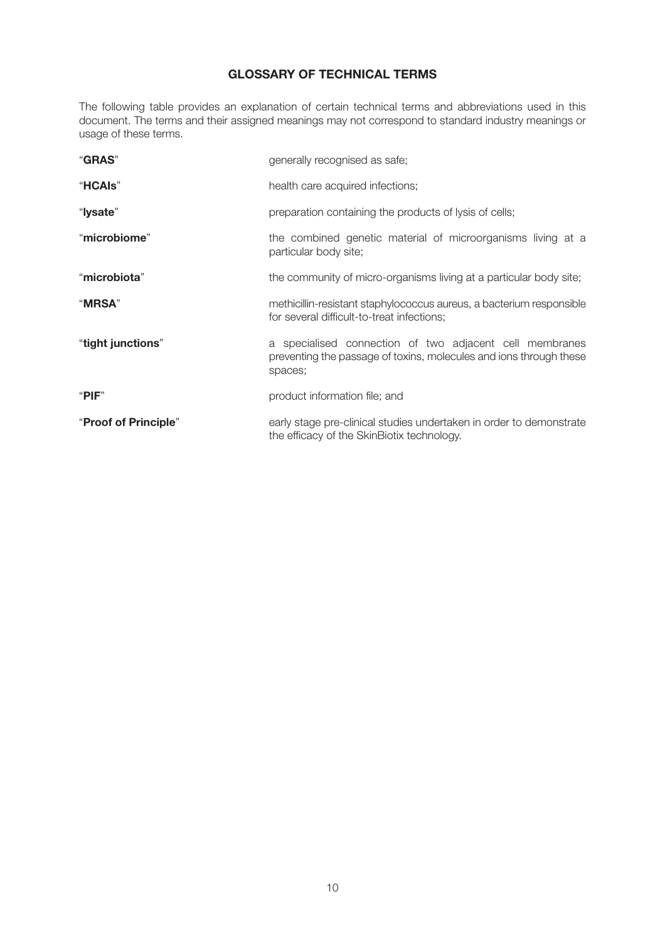## **GLOSSARY OF TECHNICAL TERMS**

The following table provides an explanation of certain technical terms and abbreviations used in this document. The terms and their assigned meanings may not correspond to standard industry meanings or usage of these terms.

| "GRAS"               | generally recognised as safe;                                                                                                            |
|----------------------|------------------------------------------------------------------------------------------------------------------------------------------|
| "HCAIs"              | health care acquired infections;                                                                                                         |
| "lysate"             | preparation containing the products of lysis of cells;                                                                                   |
| "microbiome"         | the combined genetic material of microorganisms living at a<br>particular body site;                                                     |
| "microbiota"         | the community of micro-organisms living at a particular body site;                                                                       |
| "MRSA"               | methicillin-resistant staphylococcus aureus, a bacterium responsible<br>for several difficult-to-treat infections;                       |
| "tight junctions"    | a specialised connection of two adjacent cell membranes<br>preventing the passage of toxins, molecules and ions through these<br>spaces; |
| " $PIF$ "            | product information file; and                                                                                                            |
| "Proof of Principle" | early stage pre-clinical studies undertaken in order to demonstrate<br>the efficacy of the SkinBiotix technology.                        |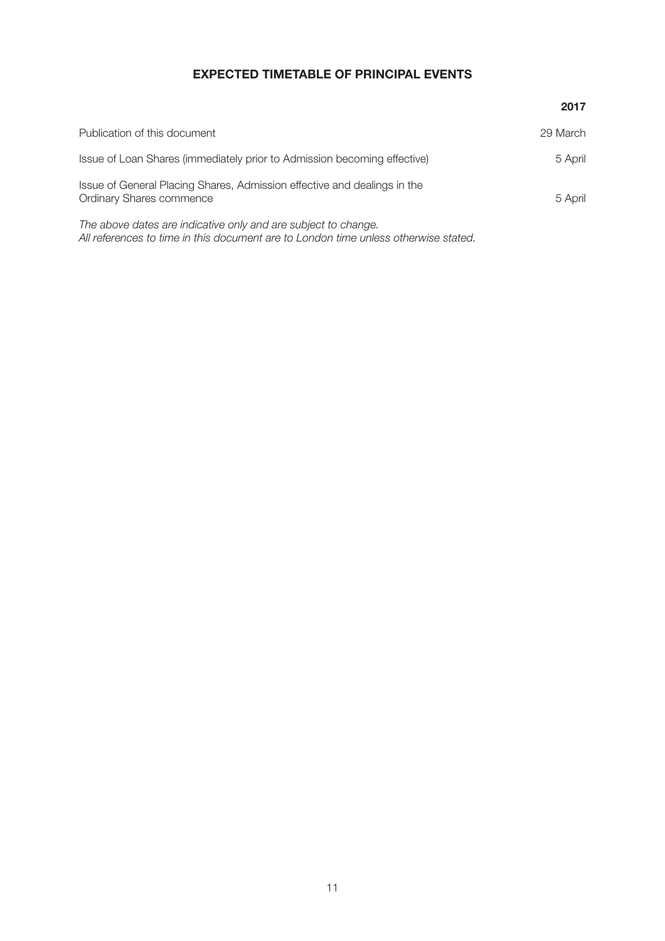# **EXPECTED TIMETABLE OF PRINCIPAL EVENTS**

|                                                                                                                                                       | 2017     |
|-------------------------------------------------------------------------------------------------------------------------------------------------------|----------|
| Publication of this document                                                                                                                          | 29 March |
| Issue of Loan Shares (immediately prior to Admission becoming effective)                                                                              | 5 April  |
| Issue of General Placing Shares, Admission effective and dealings in the<br><b>Ordinary Shares commence</b>                                           | 5 April  |
| The above dates are indicative only and are subject to change.<br>All references to time in this document are to London time unless otherwise stated. |          |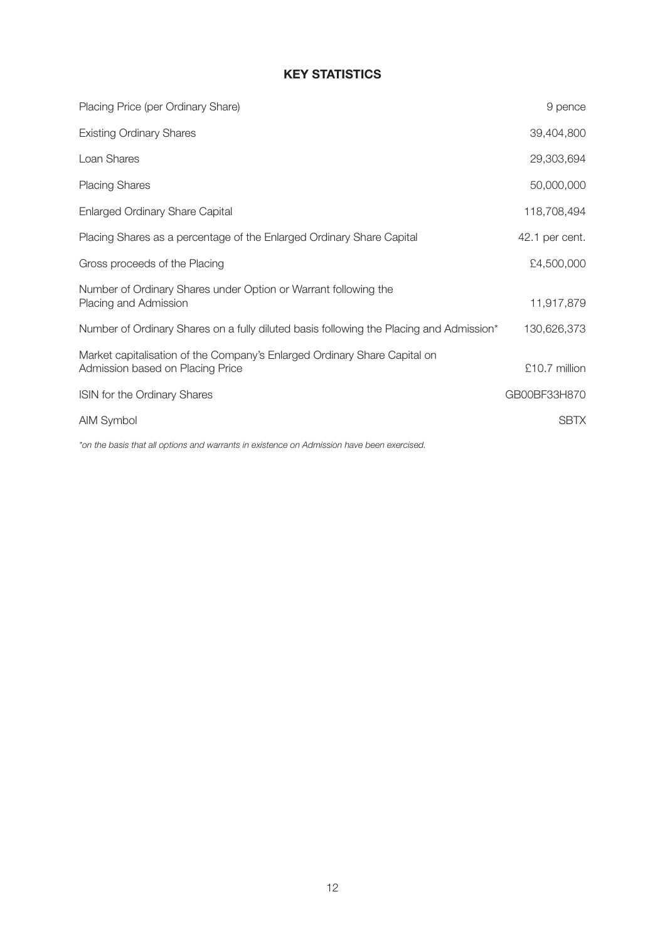# **KEY STATISTICS**

| Placing Price (per Ordinary Share)                                                                            | 9 pence        |
|---------------------------------------------------------------------------------------------------------------|----------------|
| <b>Existing Ordinary Shares</b>                                                                               | 39,404,800     |
| Loan Shares                                                                                                   | 29,303,694     |
| <b>Placing Shares</b>                                                                                         | 50,000,000     |
| <b>Enlarged Ordinary Share Capital</b>                                                                        | 118,708,494    |
| Placing Shares as a percentage of the Enlarged Ordinary Share Capital                                         | 42.1 per cent. |
| Gross proceeds of the Placing                                                                                 | £4,500,000     |
| Number of Ordinary Shares under Option or Warrant following the<br>Placing and Admission                      | 11,917,879     |
| Number of Ordinary Shares on a fully diluted basis following the Placing and Admission*                       | 130,626,373    |
| Market capitalisation of the Company's Enlarged Ordinary Share Capital on<br>Admission based on Placing Price | £10.7 million  |
| ISIN for the Ordinary Shares                                                                                  | GB00BF33H870   |
| AIM Symbol                                                                                                    | <b>SBTX</b>    |
|                                                                                                               |                |

*\*on the basis that all options and warrants in existence on Admission have been exercised.*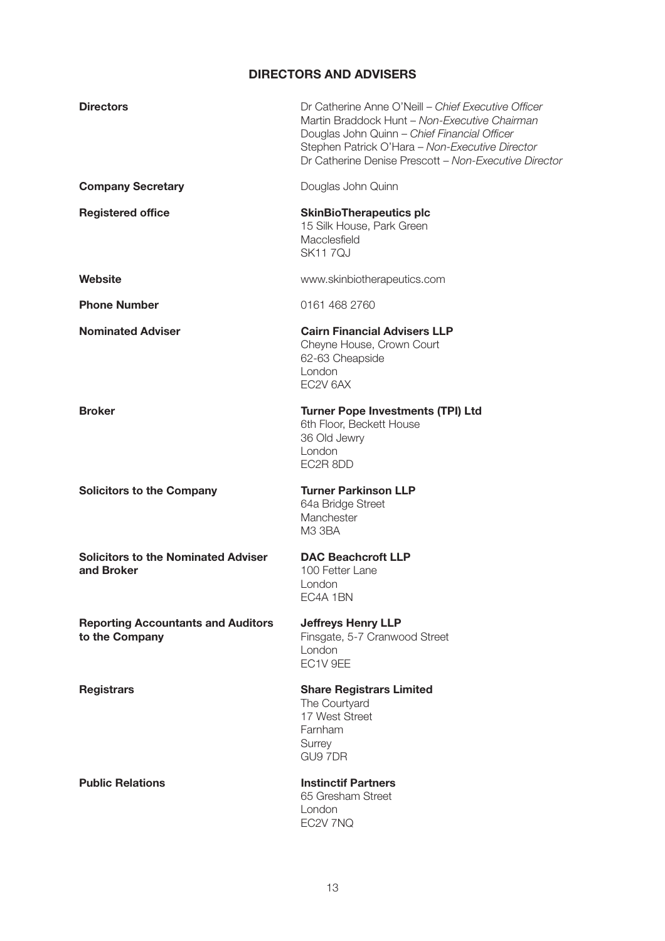# **DIRECTORS AND ADVISERS**

| <b>Directors</b>                                            | Dr Catherine Anne O'Neill - Chief Executive Officer<br>Martin Braddock Hunt - Non-Executive Chairman<br>Douglas John Quinn - Chief Financial Officer<br>Stephen Patrick O'Hara - Non-Executive Director<br>Dr Catherine Denise Prescott - Non-Executive Director |
|-------------------------------------------------------------|------------------------------------------------------------------------------------------------------------------------------------------------------------------------------------------------------------------------------------------------------------------|
| <b>Company Secretary</b>                                    | Douglas John Quinn                                                                                                                                                                                                                                               |
| <b>Registered office</b>                                    | <b>SkinBioTherapeutics plc</b><br>15 Silk House, Park Green<br>Macclesfield<br><b>SK117QJ</b>                                                                                                                                                                    |
| Website                                                     | www.skinbiotherapeutics.com                                                                                                                                                                                                                                      |
| <b>Phone Number</b>                                         | 0161 468 2760                                                                                                                                                                                                                                                    |
| <b>Nominated Adviser</b>                                    | <b>Cairn Financial Advisers LLP</b><br>Cheyne House, Crown Court<br>62-63 Cheapside<br>London<br>EC2V 6AX                                                                                                                                                        |
| <b>Broker</b>                                               | <b>Turner Pope Investments (TPI) Ltd</b><br>6th Floor, Beckett House<br>36 Old Jewry<br>London<br>EC2R 8DD                                                                                                                                                       |
| <b>Solicitors to the Company</b>                            | <b>Turner Parkinson LLP</b><br>64a Bridge Street<br>Manchester<br>M3 3BA                                                                                                                                                                                         |
| <b>Solicitors to the Nominated Adviser</b><br>and Broker    | <b>DAC Beachcroft LLP</b><br>100 Fetter Lane<br>London<br>EC4A 1BN                                                                                                                                                                                               |
| <b>Reporting Accountants and Auditors</b><br>to the Company | <b>Jeffreys Henry LLP</b><br>Finsgate, 5-7 Cranwood Street<br>London<br>EC1V 9EE                                                                                                                                                                                 |
| <b>Registrars</b>                                           | <b>Share Registrars Limited</b><br>The Courtyard<br>17 West Street<br>Farnham<br>Surrey<br>GU9 7DR                                                                                                                                                               |
| <b>Public Relations</b>                                     | <b>Instinctif Partners</b><br>65 Gresham Street<br>London<br>EC2V 7NQ                                                                                                                                                                                            |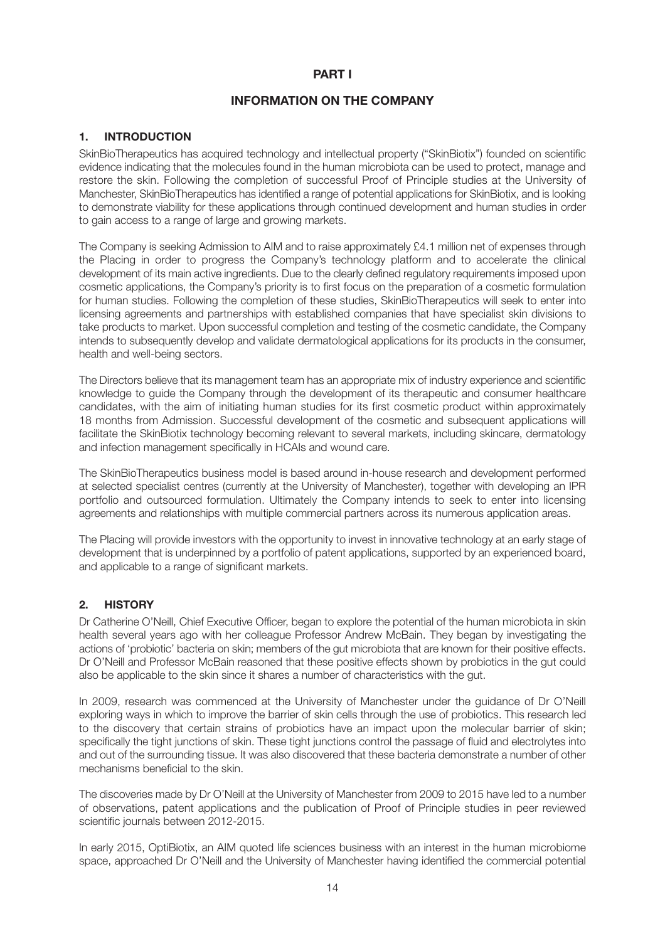## **PART I**

## **INFORMATION ON THE COMPANY**

## **1. INTRODUCTION**

SkinBioTherapeutics has acquired technology and intellectual property ("SkinBiotix") founded on scientific evidence indicating that the molecules found in the human microbiota can be used to protect, manage and restore the skin. Following the completion of successful Proof of Principle studies at the University of Manchester, SkinBioTherapeutics has identified a range of potential applications for SkinBiotix, and is looking to demonstrate viability for these applications through continued development and human studies in order to gain access to a range of large and growing markets.

The Company is seeking Admission to AIM and to raise approximately £4.1 million net of expenses through the Placing in order to progress the Company's technology platform and to accelerate the clinical development of its main active ingredients. Due to the clearly defined regulatory requirements imposed upon cosmetic applications, the Company's priority is to first focus on the preparation of a cosmetic formulation for human studies. Following the completion of these studies, SkinBioTherapeutics will seek to enter into licensing agreements and partnerships with established companies that have specialist skin divisions to take products to market. Upon successful completion and testing of the cosmetic candidate, the Company intends to subsequently develop and validate dermatological applications for its products in the consumer, health and well-being sectors.

The Directors believe that its management team has an appropriate mix of industry experience and scientific knowledge to guide the Company through the development of its therapeutic and consumer healthcare candidates, with the aim of initiating human studies for its first cosmetic product within approximately 18 months from Admission. Successful development of the cosmetic and subsequent applications will facilitate the SkinBiotix technology becoming relevant to several markets, including skincare, dermatology and infection management specifically in HCAIs and wound care.

The SkinBioTherapeutics business model is based around in-house research and development performed at selected specialist centres (currently at the University of Manchester), together with developing an IPR portfolio and outsourced formulation. Ultimately the Company intends to seek to enter into licensing agreements and relationships with multiple commercial partners across its numerous application areas.

The Placing will provide investors with the opportunity to invest in innovative technology at an early stage of development that is underpinned by a portfolio of patent applications, supported by an experienced board, and applicable to a range of significant markets.

## **2. HISTORY**

Dr Catherine O'Neill, Chief Executive Officer, began to explore the potential of the human microbiota in skin health several years ago with her colleague Professor Andrew McBain. They began by investigating the actions of 'probiotic' bacteria on skin; members of the gut microbiota that are known for their positive effects. Dr O'Neill and Professor McBain reasoned that these positive effects shown by probiotics in the gut could also be applicable to the skin since it shares a number of characteristics with the gut.

In 2009, research was commenced at the University of Manchester under the guidance of Dr O'Neill exploring ways in which to improve the barrier of skin cells through the use of probiotics. This research led to the discovery that certain strains of probiotics have an impact upon the molecular barrier of skin; specifically the tight junctions of skin. These tight junctions control the passage of fluid and electrolytes into and out of the surrounding tissue. It was also discovered that these bacteria demonstrate a number of other mechanisms beneficial to the skin.

The discoveries made by Dr O'Neill at the University of Manchester from 2009 to 2015 have led to a number of observations, patent applications and the publication of Proof of Principle studies in peer reviewed scientific journals between 2012-2015.

In early 2015, OptiBiotix, an AIM quoted life sciences business with an interest in the human microbiome space, approached Dr O'Neill and the University of Manchester having identified the commercial potential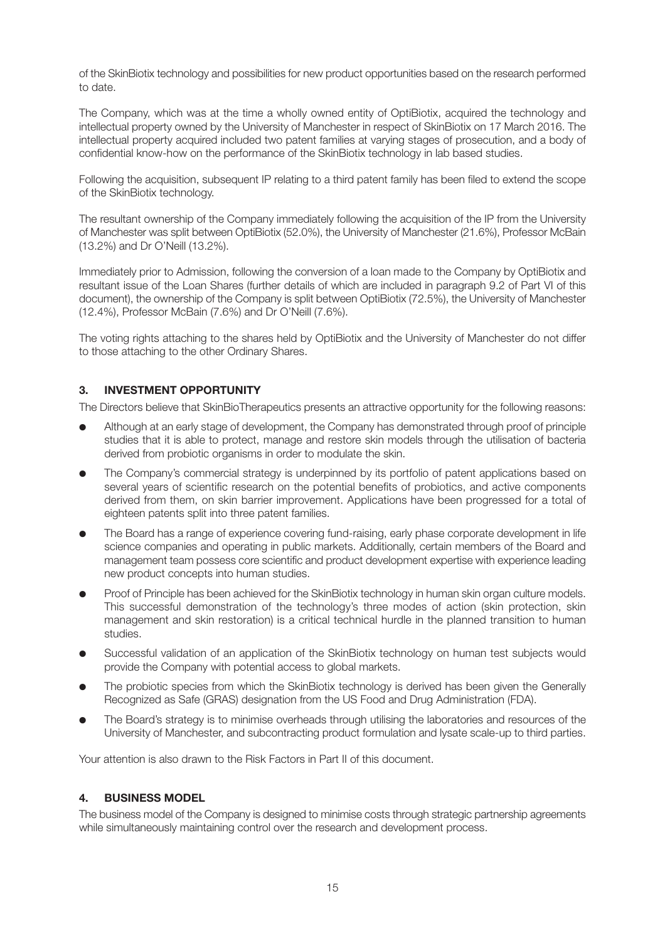of the SkinBiotix technology and possibilities for new product opportunities based on the research performed to date.

The Company, which was at the time a wholly owned entity of OptiBiotix, acquired the technology and intellectual property owned by the University of Manchester in respect of SkinBiotix on 17 March 2016. The intellectual property acquired included two patent families at varying stages of prosecution, and a body of confidential know-how on the performance of the SkinBiotix technology in lab based studies.

Following the acquisition, subsequent IP relating to a third patent family has been filed to extend the scope of the SkinBiotix technology.

The resultant ownership of the Company immediately following the acquisition of the IP from the University of Manchester was split between OptiBiotix (52.0%), the University of Manchester (21.6%), Professor McBain (13.2%) and Dr O'Neill (13.2%).

Immediately prior to Admission, following the conversion of a loan made to the Company by OptiBiotix and resultant issue of the Loan Shares (further details of which are included in paragraph 9.2 of Part VI of this document), the ownership of the Company is split between OptiBiotix (72.5%), the University of Manchester (12.4%), Professor McBain (7.6%) and Dr O'Neill (7.6%).

The voting rights attaching to the shares held by OptiBiotix and the University of Manchester do not differ to those attaching to the other Ordinary Shares.

## **3. INVESTMENT OPPORTUNITY**

The Directors believe that SkinBioTherapeutics presents an attractive opportunity for the following reasons:

- Although at an early stage of development, the Company has demonstrated through proof of principle studies that it is able to protect, manage and restore skin models through the utilisation of bacteria derived from probiotic organisms in order to modulate the skin.
- The Company's commercial strategy is underpinned by its portfolio of patent applications based on several years of scientific research on the potential benefits of probiotics, and active components derived from them, on skin barrier improvement. Applications have been progressed for a total of eighteen patents split into three patent families.
- The Board has a range of experience covering fund-raising, early phase corporate development in life science companies and operating in public markets. Additionally, certain members of the Board and management team possess core scientific and product development expertise with experience leading new product concepts into human studies.
- Proof of Principle has been achieved for the SkinBiotix technology in human skin organ culture models. This successful demonstration of the technology's three modes of action (skin protection, skin management and skin restoration) is a critical technical hurdle in the planned transition to human studies.
- Successful validation of an application of the SkinBiotix technology on human test subjects would provide the Company with potential access to global markets.
- The probiotic species from which the SkinBiotix technology is derived has been given the Generally Recognized as Safe (GRAS) designation from the US Food and Drug Administration (FDA).
- The Board's strategy is to minimise overheads through utilising the laboratories and resources of the University of Manchester, and subcontracting product formulation and lysate scale-up to third parties.

Your attention is also drawn to the Risk Factors in Part II of this document.

## **4. BUSINESS MODEL**

The business model of the Company is designed to minimise costs through strategic partnership agreements while simultaneously maintaining control over the research and development process.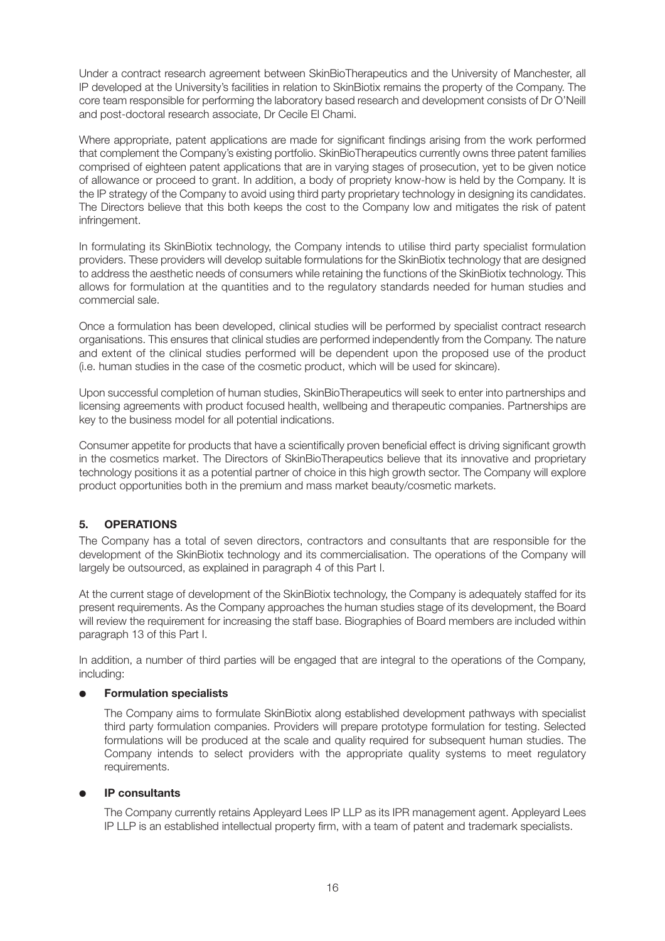Under a contract research agreement between SkinBioTherapeutics and the University of Manchester, all IP developed at the University's facilities in relation to SkinBiotix remains the property of the Company. The core team responsible for performing the laboratory based research and development consists of Dr O'Neill and post-doctoral research associate, Dr Cecile El Chami.

Where appropriate, patent applications are made for significant findings arising from the work performed that complement the Company's existing portfolio. SkinBioTherapeutics currently owns three patent families comprised of eighteen patent applications that are in varying stages of prosecution, yet to be given notice of allowance or proceed to grant. In addition, a body of propriety know-how is held by the Company. It is the IP strategy of the Company to avoid using third party proprietary technology in designing its candidates. The Directors believe that this both keeps the cost to the Company low and mitigates the risk of patent infringement.

In formulating its SkinBiotix technology, the Company intends to utilise third party specialist formulation providers. These providers will develop suitable formulations for the SkinBiotix technology that are designed to address the aesthetic needs of consumers while retaining the functions of the SkinBiotix technology. This allows for formulation at the quantities and to the regulatory standards needed for human studies and commercial sale.

Once a formulation has been developed, clinical studies will be performed by specialist contract research organisations. This ensures that clinical studies are performed independently from the Company. The nature and extent of the clinical studies performed will be dependent upon the proposed use of the product (i.e. human studies in the case of the cosmetic product, which will be used for skincare).

Upon successful completion of human studies, SkinBioTherapeutics will seek to enter into partnerships and licensing agreements with product focused health, wellbeing and therapeutic companies. Partnerships are key to the business model for all potential indications.

Consumer appetite for products that have a scientifically proven beneficial effect is driving significant growth in the cosmetics market. The Directors of SkinBioTherapeutics believe that its innovative and proprietary technology positions it as a potential partner of choice in this high growth sector. The Company will explore product opportunities both in the premium and mass market beauty/cosmetic markets.

## **5. OPERATIONS**

The Company has a total of seven directors, contractors and consultants that are responsible for the development of the SkinBiotix technology and its commercialisation. The operations of the Company will largely be outsourced, as explained in paragraph 4 of this Part I.

At the current stage of development of the SkinBiotix technology, the Company is adequately staffed for its present requirements. As the Company approaches the human studies stage of its development, the Board will review the requirement for increasing the staff base. Biographies of Board members are included within paragraph 13 of this Part I.

In addition, a number of third parties will be engaged that are integral to the operations of the Company, including:

## ● **Formulation specialists**

The Company aims to formulate SkinBiotix along established development pathways with specialist third party formulation companies. Providers will prepare prototype formulation for testing. Selected formulations will be produced at the scale and quality required for subsequent human studies. The Company intends to select providers with the appropriate quality systems to meet regulatory requirements.

## ● **IP consultants**

The Company currently retains Appleyard Lees IP LLP as its IPR management agent. Appleyard Lees IP LLP is an established intellectual property firm, with a team of patent and trademark specialists.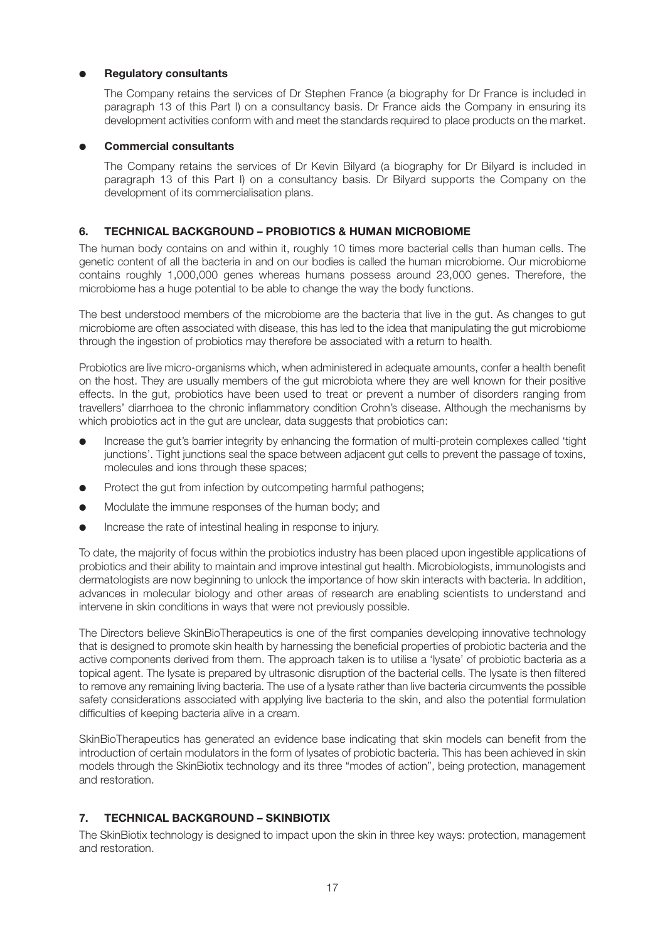## **Regulatory consultants**

The Company retains the services of Dr Stephen France (a biography for Dr France is included in paragraph 13 of this Part I) on a consultancy basis. Dr France aids the Company in ensuring its development activities conform with and meet the standards required to place products on the market.

## ● **Commercial consultants**

The Company retains the services of Dr Kevin Bilyard (a biography for Dr Bilyard is included in paragraph 13 of this Part I) on a consultancy basis. Dr Bilyard supports the Company on the development of its commercialisation plans.

## **6. TECHNICAL BACKGROUND – PROBIOTICS & HUMAN MICROBIOME**

The human body contains on and within it, roughly 10 times more bacterial cells than human cells. The genetic content of all the bacteria in and on our bodies is called the human microbiome. Our microbiome contains roughly 1,000,000 genes whereas humans possess around 23,000 genes. Therefore, the microbiome has a huge potential to be able to change the way the body functions.

The best understood members of the microbiome are the bacteria that live in the gut. As changes to gut microbiome are often associated with disease, this has led to the idea that manipulating the gut microbiome through the ingestion of probiotics may therefore be associated with a return to health.

Probiotics are live micro-organisms which, when administered in adequate amounts, confer a health benefit on the host. They are usually members of the gut microbiota where they are well known for their positive effects. In the gut, probiotics have been used to treat or prevent a number of disorders ranging from travellers' diarrhoea to the chronic inflammatory condition Crohn's disease. Although the mechanisms by which probiotics act in the gut are unclear, data suggests that probiotics can:

- Increase the gut's barrier integrity by enhancing the formation of multi-protein complexes called 'tight junctions'. Tight junctions seal the space between adjacent gut cells to prevent the passage of toxins, molecules and ions through these spaces;
- Protect the gut from infection by outcompeting harmful pathogens;
- Modulate the immune responses of the human body; and
- Increase the rate of intestinal healing in response to injury.

To date, the majority of focus within the probiotics industry has been placed upon ingestible applications of probiotics and their ability to maintain and improve intestinal gut health. Microbiologists, immunologists and dermatologists are now beginning to unlock the importance of how skin interacts with bacteria. In addition, advances in molecular biology and other areas of research are enabling scientists to understand and intervene in skin conditions in ways that were not previously possible.

The Directors believe SkinBioTherapeutics is one of the first companies developing innovative technology that is designed to promote skin health by harnessing the beneficial properties of probiotic bacteria and the active components derived from them. The approach taken is to utilise a 'lysate' of probiotic bacteria as a topical agent. The lysate is prepared by ultrasonic disruption of the bacterial cells. The lysate is then filtered to remove any remaining living bacteria. The use of a lysate rather than live bacteria circumvents the possible safety considerations associated with applying live bacteria to the skin, and also the potential formulation difficulties of keeping bacteria alive in a cream.

SkinBioTherapeutics has generated an evidence base indicating that skin models can benefit from the introduction of certain modulators in the form of lysates of probiotic bacteria. This has been achieved in skin models through the SkinBiotix technology and its three "modes of action", being protection, management and restoration.

## **7. TECHNICAL BACKGROUND – SKINBIOTIX**

The SkinBiotix technology is designed to impact upon the skin in three key ways: protection, management and restoration.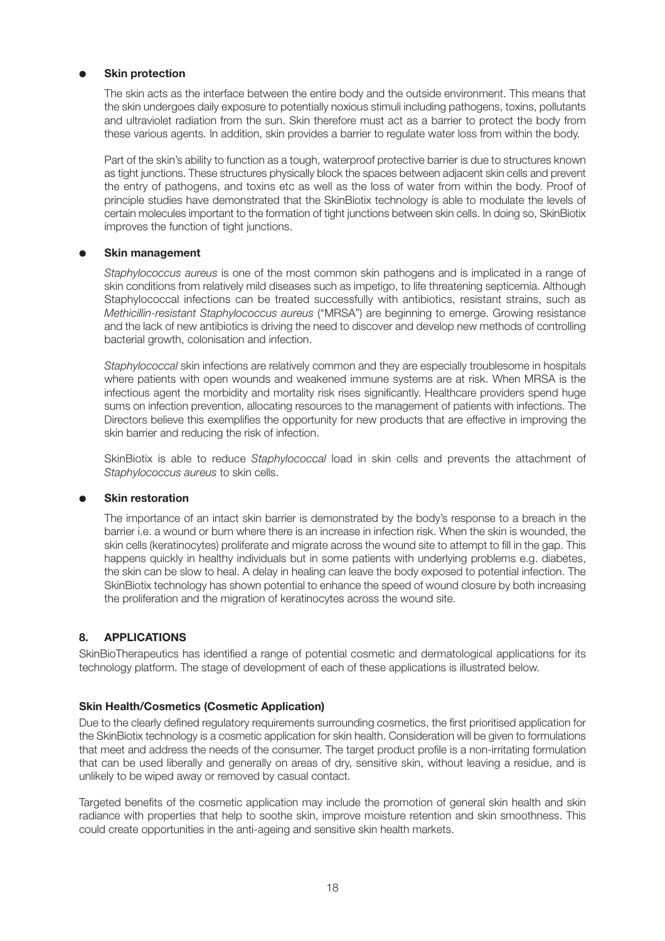## **Skin protection**

The skin acts as the interface between the entire body and the outside environment. This means that the skin undergoes daily exposure to potentially noxious stimuli including pathogens, toxins, pollutants and ultraviolet radiation from the sun. Skin therefore must act as a barrier to protect the body from these various agents. In addition, skin provides a barrier to regulate water loss from within the body.

Part of the skin's ability to function as a tough, waterproof protective barrier is due to structures known as tight junctions. These structures physically block the spaces between adjacent skin cells and prevent the entry of pathogens, and toxins etc as well as the loss of water from within the body. Proof of principle studies have demonstrated that the SkinBiotix technology is able to modulate the levels of certain molecules important to the formation of tight junctions between skin cells. In doing so, SkinBiotix improves the function of tight junctions.

## **Skin management**

*Staphylococcus aureus* is one of the most common skin pathogens and is implicated in a range of skin conditions from relatively mild diseases such as impetigo, to life threatening septicemia. Although Staphylococcal infections can be treated successfully with antibiotics, resistant strains, such as *Methicillin-resistant Staphylococcus aureus* ("MRSA") are beginning to emerge. Growing resistance and the lack of new antibiotics is driving the need to discover and develop new methods of controlling bacterial growth, colonisation and infection.

*Staphylococcal* skin infections are relatively common and they are especially troublesome in hospitals where patients with open wounds and weakened immune systems are at risk. When MRSA is the infectious agent the morbidity and mortality risk rises significantly. Healthcare providers spend huge sums on infection prevention, allocating resources to the management of patients with infections. The Directors believe this exemplifies the opportunity for new products that are effective in improving the skin barrier and reducing the risk of infection.

SkinBiotix is able to reduce *Staphylococcal* load in skin cells and prevents the attachment of *Staphylococcus aureus* to skin cells.

## **Skin restoration**

The importance of an intact skin barrier is demonstrated by the body's response to a breach in the barrier i.e. a wound or burn where there is an increase in infection risk. When the skin is wounded, the skin cells (keratinocytes) proliferate and migrate across the wound site to attempt to fill in the gap. This happens quickly in healthy individuals but in some patients with underlying problems e.g. diabetes, the skin can be slow to heal. A delay in healing can leave the body exposed to potential infection. The SkinBiotix technology has shown potential to enhance the speed of wound closure by both increasing the proliferation and the migration of keratinocytes across the wound site.

## **8. APPLICATIONS**

SkinBioTherapeutics has identified a range of potential cosmetic and dermatological applications for its technology platform. The stage of development of each of these applications is illustrated below.

## **Skin Health/Cosmetics (Cosmetic Application)**

Due to the clearly defined regulatory requirements surrounding cosmetics, the first prioritised application for the SkinBiotix technology is a cosmetic application for skin health. Consideration will be given to formulations that meet and address the needs of the consumer. The target product profile is a non-irritating formulation that can be used liberally and generally on areas of dry, sensitive skin, without leaving a residue, and is unlikely to be wiped away or removed by casual contact.

Targeted benefits of the cosmetic application may include the promotion of general skin health and skin radiance with properties that help to soothe skin, improve moisture retention and skin smoothness. This could create opportunities in the anti-ageing and sensitive skin health markets.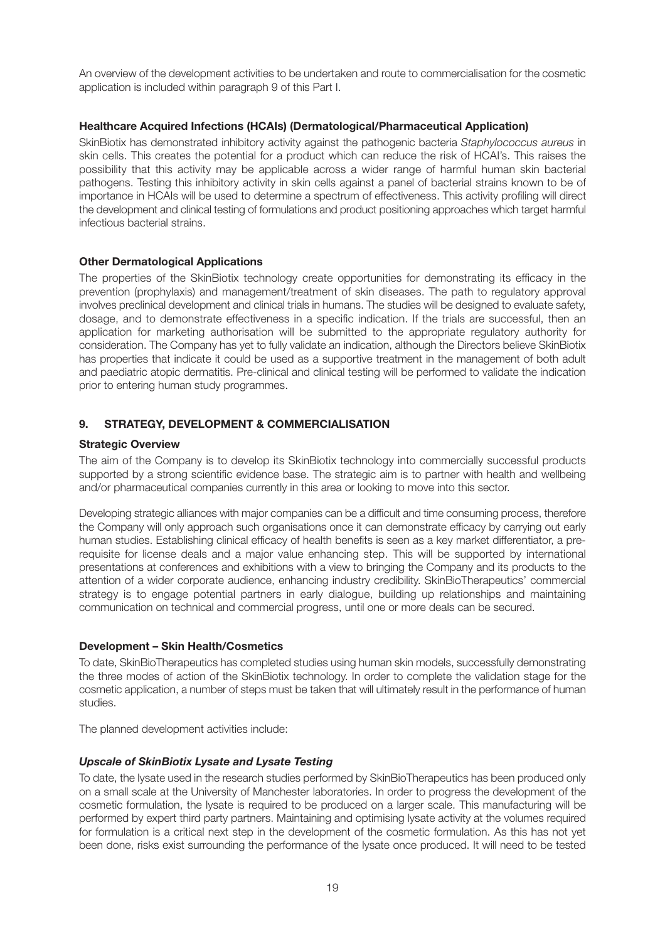An overview of the development activities to be undertaken and route to commercialisation for the cosmetic application is included within paragraph 9 of this Part I.

## **Healthcare Acquired Infections (HCAIs) (Dermatological/Pharmaceutical Application)**

SkinBiotix has demonstrated inhibitory activity against the pathogenic bacteria *Staphylococcus aureus* in skin cells. This creates the potential for a product which can reduce the risk of HCAI's. This raises the possibility that this activity may be applicable across a wider range of harmful human skin bacterial pathogens. Testing this inhibitory activity in skin cells against a panel of bacterial strains known to be of importance in HCAIs will be used to determine a spectrum of effectiveness. This activity profiling will direct the development and clinical testing of formulations and product positioning approaches which target harmful infectious bacterial strains.

## **Other Dermatological Applications**

The properties of the SkinBiotix technology create opportunities for demonstrating its efficacy in the prevention (prophylaxis) and management/treatment of skin diseases. The path to regulatory approval involves preclinical development and clinical trials in humans. The studies will be designed to evaluate safety, dosage, and to demonstrate effectiveness in a specific indication. If the trials are successful, then an application for marketing authorisation will be submitted to the appropriate regulatory authority for consideration. The Company has yet to fully validate an indication, although the Directors believe SkinBiotix has properties that indicate it could be used as a supportive treatment in the management of both adult and paediatric atopic dermatitis. Pre-clinical and clinical testing will be performed to validate the indication prior to entering human study programmes.

## **9. STRATEGY, DEVELOPMENT & COMMERCIALISATION**

## **Strategic Overview**

The aim of the Company is to develop its SkinBiotix technology into commercially successful products supported by a strong scientific evidence base. The strategic aim is to partner with health and wellbeing and/or pharmaceutical companies currently in this area or looking to move into this sector.

Developing strategic alliances with major companies can be a difficult and time consuming process, therefore the Company will only approach such organisations once it can demonstrate efficacy by carrying out early human studies. Establishing clinical efficacy of health benefits is seen as a key market differentiator, a prerequisite for license deals and a major value enhancing step. This will be supported by international presentations at conferences and exhibitions with a view to bringing the Company and its products to the attention of a wider corporate audience, enhancing industry credibility. SkinBioTherapeutics' commercial strategy is to engage potential partners in early dialogue, building up relationships and maintaining communication on technical and commercial progress, until one or more deals can be secured.

## **Development – Skin Health/Cosmetics**

To date, SkinBioTherapeutics has completed studies using human skin models, successfully demonstrating the three modes of action of the SkinBiotix technology. In order to complete the validation stage for the cosmetic application, a number of steps must be taken that will ultimately result in the performance of human studies.

The planned development activities include:

## *Upscale of SkinBiotix Lysate and Lysate Testing*

To date, the lysate used in the research studies performed by SkinBioTherapeutics has been produced only on a small scale at the University of Manchester laboratories. In order to progress the development of the cosmetic formulation, the lysate is required to be produced on a larger scale. This manufacturing will be performed by expert third party partners. Maintaining and optimising lysate activity at the volumes required for formulation is a critical next step in the development of the cosmetic formulation. As this has not yet been done, risks exist surrounding the performance of the lysate once produced. It will need to be tested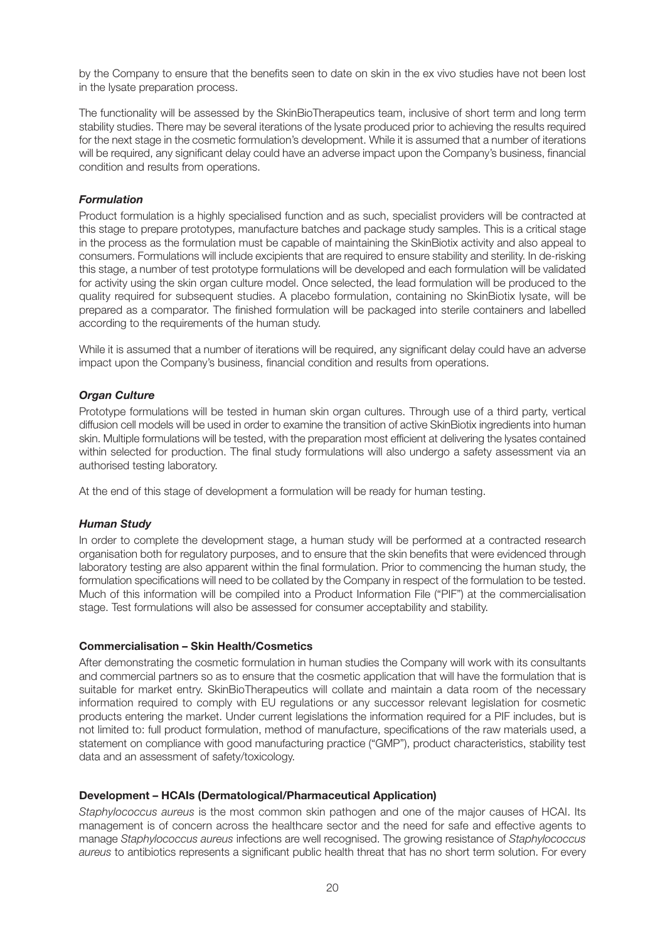by the Company to ensure that the benefits seen to date on skin in the ex vivo studies have not been lost in the lysate preparation process.

The functionality will be assessed by the SkinBioTherapeutics team, inclusive of short term and long term stability studies. There may be several iterations of the lysate produced prior to achieving the results required for the next stage in the cosmetic formulation's development. While it is assumed that a number of iterations will be required, any significant delay could have an adverse impact upon the Company's business, financial condition and results from operations.

#### *Formulation*

Product formulation is a highly specialised function and as such, specialist providers will be contracted at this stage to prepare prototypes, manufacture batches and package study samples. This is a critical stage in the process as the formulation must be capable of maintaining the SkinBiotix activity and also appeal to consumers. Formulations will include excipients that are required to ensure stability and sterility. In de-risking this stage, a number of test prototype formulations will be developed and each formulation will be validated for activity using the skin organ culture model. Once selected, the lead formulation will be produced to the quality required for subsequent studies. A placebo formulation, containing no SkinBiotix lysate, will be prepared as a comparator. The finished formulation will be packaged into sterile containers and labelled according to the requirements of the human study.

While it is assumed that a number of iterations will be required, any significant delay could have an adverse impact upon the Company's business, financial condition and results from operations.

#### *Organ Culture*

Prototype formulations will be tested in human skin organ cultures. Through use of a third party, vertical diffusion cell models will be used in order to examine the transition of active SkinBiotix ingredients into human skin. Multiple formulations will be tested, with the preparation most efficient at delivering the lysates contained within selected for production. The final study formulations will also undergo a safety assessment via an authorised testing laboratory.

At the end of this stage of development a formulation will be ready for human testing.

## *Human Study*

In order to complete the development stage, a human study will be performed at a contracted research organisation both for regulatory purposes, and to ensure that the skin benefits that were evidenced through laboratory testing are also apparent within the final formulation. Prior to commencing the human study, the formulation specifications will need to be collated by the Company in respect of the formulation to be tested. Much of this information will be compiled into a Product Information File ("PIF") at the commercialisation stage. Test formulations will also be assessed for consumer acceptability and stability.

## **Commercialisation – Skin Health/Cosmetics**

After demonstrating the cosmetic formulation in human studies the Company will work with its consultants and commercial partners so as to ensure that the cosmetic application that will have the formulation that is suitable for market entry. SkinBioTherapeutics will collate and maintain a data room of the necessary information required to comply with EU regulations or any successor relevant legislation for cosmetic products entering the market. Under current legislations the information required for a PIF includes, but is not limited to: full product formulation, method of manufacture, specifications of the raw materials used, a statement on compliance with good manufacturing practice ("GMP"), product characteristics, stability test data and an assessment of safety/toxicology.

## **Development – HCAIs (Dermatological/Pharmaceutical Application)**

*Staphylococcus aureus* is the most common skin pathogen and one of the major causes of HCAI. Its management is of concern across the healthcare sector and the need for safe and effective agents to manage *Staphylococcus aureus* infections are well recognised. The growing resistance of *Staphylococcus aureus* to antibiotics represents a significant public health threat that has no short term solution. For every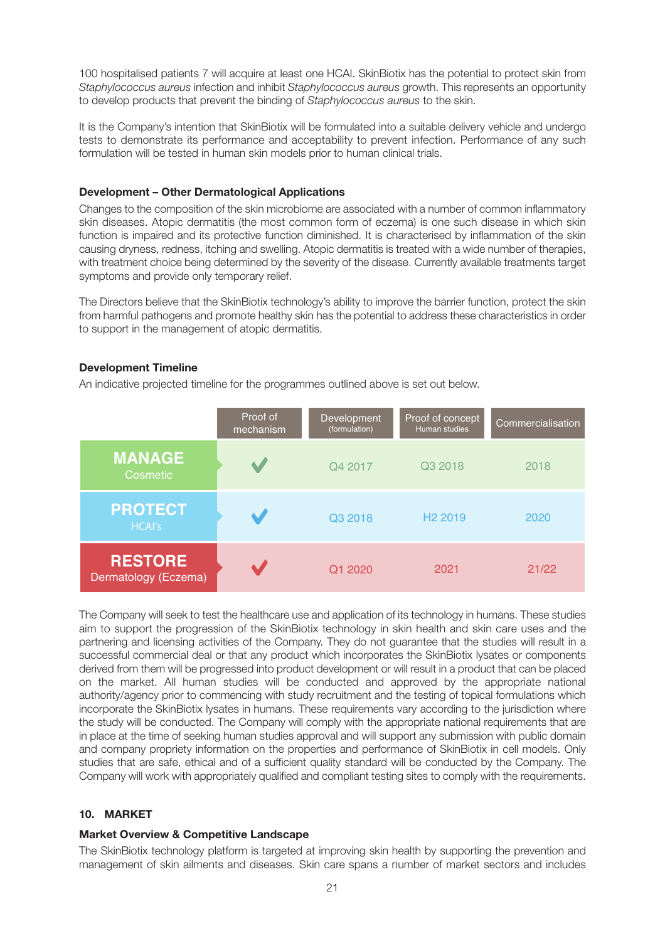100 hospitalised patients 7 will acquire at least one HCAI. SkinBiotix has the potential to protect skin from *Staphylococcus aureus* infection and inhibit *Staphylococcus aureus* growth. This represents an opportunity to develop products that prevent the binding of *Staphylococcus aureus* to the skin.

It is the Company's intention that SkinBiotix will be formulated into a suitable delivery vehicle and undergo tests to demonstrate its performance and acceptability to prevent infection. Performance of any such formulation will be tested in human skin models prior to human clinical trials.

#### **Development – Other Dermatological Applications**

Changes to the composition of the skin microbiome are associated with a number of common inflammatory skin diseases. Atopic dermatitis (the most common form of eczema) is one such disease in which skin function is impaired and its protective function diminished. It is characterised by inflammation of the skin causing dryness, redness, itching and swelling. Atopic dermatitis is treated with a wide number of therapies, with treatment choice being determined by the severity of the disease. Currently available treatments target symptoms and provide only temporary relief.

The Directors believe that the SkinBiotix technology's ability to improve the barrier function, protect the skin from harmful pathogens and promote healthy skin has the potential to address these characteristics in order to support in the management of atopic dermatitis.

#### **Development Timeline**

An indicative projected timeline for the programmes outlined above is set out below.

|                                        | Proof of<br>mechanism | <b>Development</b><br>(formulation) | Proof of concept<br>Human studies | Commercialisation |
|----------------------------------------|-----------------------|-------------------------------------|-----------------------------------|-------------------|
| <b>MANAGE</b><br>Cosmetic              |                       | Q4 2017                             | Q3 2018                           | 2018              |
| <b>PROTECT</b><br><b>HCAI's</b>        |                       | Q3 2018                             | H <sub>2</sub> 2019               | 2020              |
| <b>RESTORE</b><br>Dermatology (Eczema) |                       | Q1 2020                             | 2021                              | 21/22             |

The Company will seek to test the healthcare use and application of its technology in humans. These studies aim to support the progression of the SkinBiotix technology in skin health and skin care uses and the partnering and licensing activities of the Company. They do not guarantee that the studies will result in a successful commercial deal or that any product which incorporates the SkinBiotix lysates or components derived from them will be progressed into product development or will result in a product that can be placed on the market. All human studies will be conducted and approved by the appropriate national authority/agency prior to commencing with study recruitment and the testing of topical formulations which incorporate the SkinBiotix lysates in humans. These requirements vary according to the jurisdiction where the study will be conducted. The Company will comply with the appropriate national requirements that are in place at the time of seeking human studies approval and will support any submission with public domain and company propriety information on the properties and performance of SkinBiotix in cell models. Only studies that are safe, ethical and of a sufficient quality standard will be conducted by the Company. The Company will work with appropriately qualified and compliant testing sites to comply with the requirements.

## **10. MARKET**

#### **Market Overview & Competitive Landscape**

The SkinBiotix technology platform is targeted at improving skin health by supporting the prevention and management of skin ailments and diseases. Skin care spans a number of market sectors and includes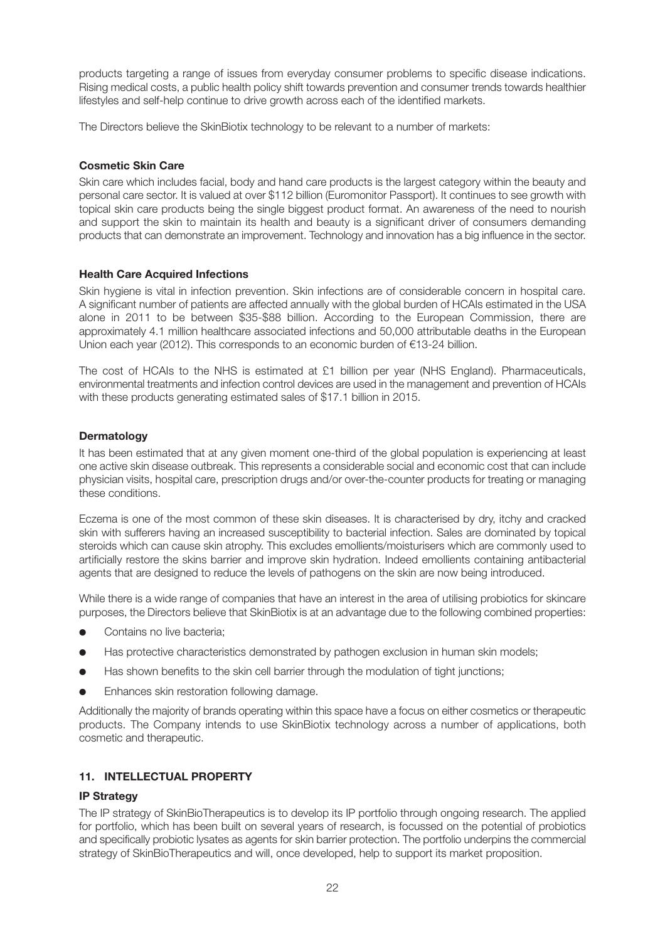products targeting a range of issues from everyday consumer problems to specific disease indications. Rising medical costs, a public health policy shift towards prevention and consumer trends towards healthier lifestyles and self-help continue to drive growth across each of the identified markets.

The Directors believe the SkinBiotix technology to be relevant to a number of markets:

## **Cosmetic Skin Care**

Skin care which includes facial, body and hand care products is the largest category within the beauty and personal care sector. It is valued at over \$112 billion (Euromonitor Passport). It continues to see growth with topical skin care products being the single biggest product format. An awareness of the need to nourish and support the skin to maintain its health and beauty is a significant driver of consumers demanding products that can demonstrate an improvement. Technology and innovation has a big influence in the sector.

## **Health Care Acquired Infections**

Skin hygiene is vital in infection prevention. Skin infections are of considerable concern in hospital care. A significant number of patients are affected annually with the global burden of HCAIs estimated in the USA alone in 2011 to be between \$35-\$88 billion. According to the European Commission, there are approximately 4.1 million healthcare associated infections and 50,000 attributable deaths in the European Union each year (2012). This corresponds to an economic burden of €13-24 billion.

The cost of HCAIs to the NHS is estimated at £1 billion per year (NHS England). Pharmaceuticals, environmental treatments and infection control devices are used in the management and prevention of HCAIs with these products generating estimated sales of \$17.1 billion in 2015.

## **Dermatology**

It has been estimated that at any given moment one-third of the global population is experiencing at least one active skin disease outbreak. This represents a considerable social and economic cost that can include physician visits, hospital care, prescription drugs and/or over-the-counter products for treating or managing these conditions.

Eczema is one of the most common of these skin diseases. It is characterised by dry, itchy and cracked skin with sufferers having an increased susceptibility to bacterial infection. Sales are dominated by topical steroids which can cause skin atrophy. This excludes emollients/moisturisers which are commonly used to artificially restore the skins barrier and improve skin hydration. Indeed emollients containing antibacterial agents that are designed to reduce the levels of pathogens on the skin are now being introduced.

While there is a wide range of companies that have an interest in the area of utilising probiotics for skincare purposes, the Directors believe that SkinBiotix is at an advantage due to the following combined properties:

- Contains no live bacteria:
- Has protective characteristics demonstrated by pathogen exclusion in human skin models;
- Has shown benefits to the skin cell barrier through the modulation of tight junctions;
- Enhances skin restoration following damage.

Additionally the majority of brands operating within this space have a focus on either cosmetics or therapeutic products. The Company intends to use SkinBiotix technology across a number of applications, both cosmetic and therapeutic.

## **11. INTELLECTUAL PROPERTY**

## **IP Strategy**

The IP strategy of SkinBioTherapeutics is to develop its IP portfolio through ongoing research. The applied for portfolio, which has been built on several years of research, is focussed on the potential of probiotics and specifically probiotic lysates as agents for skin barrier protection. The portfolio underpins the commercial strategy of SkinBioTherapeutics and will, once developed, help to support its market proposition.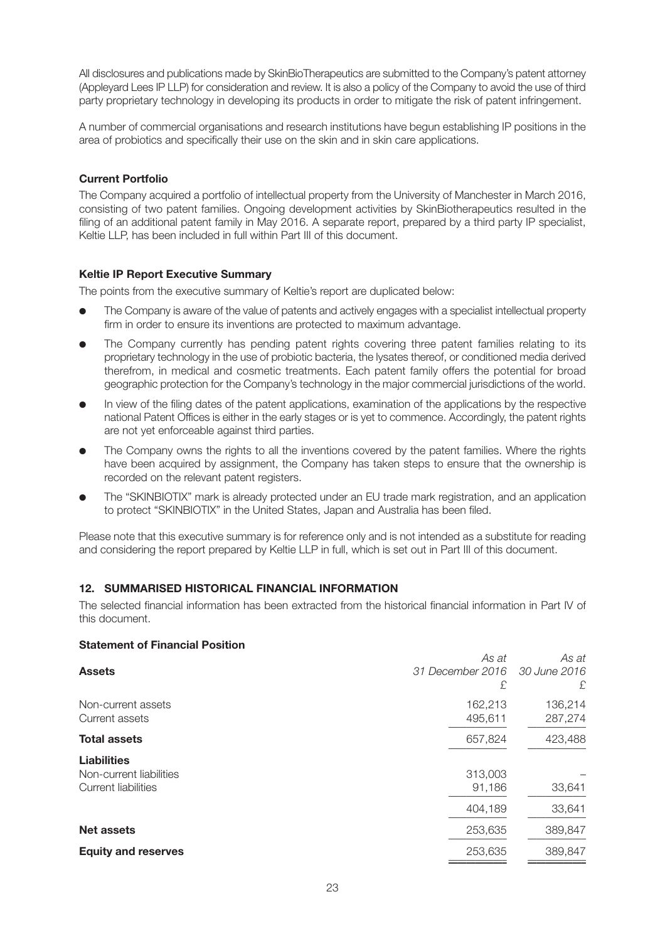All disclosures and publications made by SkinBioTherapeutics are submitted to the Company's patent attorney (Appleyard Lees IP LLP) for consideration and review. It is also a policy of the Company to avoid the use of third party proprietary technology in developing its products in order to mitigate the risk of patent infringement.

A number of commercial organisations and research institutions have begun establishing IP positions in the area of probiotics and specifically their use on the skin and in skin care applications.

#### **Current Portfolio**

The Company acquired a portfolio of intellectual property from the University of Manchester in March 2016, consisting of two patent families. Ongoing development activities by SkinBiotherapeutics resulted in the filing of an additional patent family in May 2016. A separate report, prepared by a third party IP specialist, Keltie LLP, has been included in full within Part III of this document.

## **Keltie IP Report Executive Summary**

The points from the executive summary of Keltie's report are duplicated below:

- The Company is aware of the value of patents and actively engages with a specialist intellectual property firm in order to ensure its inventions are protected to maximum advantage.
- The Company currently has pending patent rights covering three patent families relating to its proprietary technology in the use of probiotic bacteria, the lysates thereof, or conditioned media derived therefrom, in medical and cosmetic treatments. Each patent family offers the potential for broad geographic protection for the Company's technology in the major commercial jurisdictions of the world.
- In view of the filing dates of the patent applications, examination of the applications by the respective national Patent Offices is either in the early stages or is yet to commence. Accordingly, the patent rights are not yet enforceable against third parties.
- The Company owns the rights to all the inventions covered by the patent families. Where the rights have been acquired by assignment, the Company has taken steps to ensure that the ownership is recorded on the relevant patent registers.
- The "SKINBIOTIX" mark is already protected under an EU trade mark registration, and an application to protect "SKINBIOTIX" in the United States, Japan and Australia has been filed.

Please note that this executive summary is for reference only and is not intended as a substitute for reading and considering the report prepared by Keltie LLP in full, which is set out in Part III of this document.

## **12. SUMMARISED HISTORICAL FINANCIAL INFORMATION**

The selected financial information has been extracted from the historical financial information in Part IV of this document.

#### **Statement of Financial Position**

| <b>Assets</b>              | As at<br>31 December 2016 | As at<br>30 June 2016 |
|----------------------------|---------------------------|-----------------------|
|                            | £                         | £.                    |
| Non-current assets         | 162,213                   | 136,214               |
| Current assets             | 495,611                   | 287,274               |
| <b>Total assets</b>        | 657,824                   | 423,488               |
| <b>Liabilities</b>         |                           |                       |
| Non-current liabilities    | 313,003                   |                       |
| Current liabilities        | 91,186                    | 33,641                |
|                            | 404,189                   | 33,641                |
| <b>Net assets</b>          | 253,635                   | 389,847               |
| <b>Equity and reserves</b> | 253,635                   | 389,847               |
|                            |                           |                       |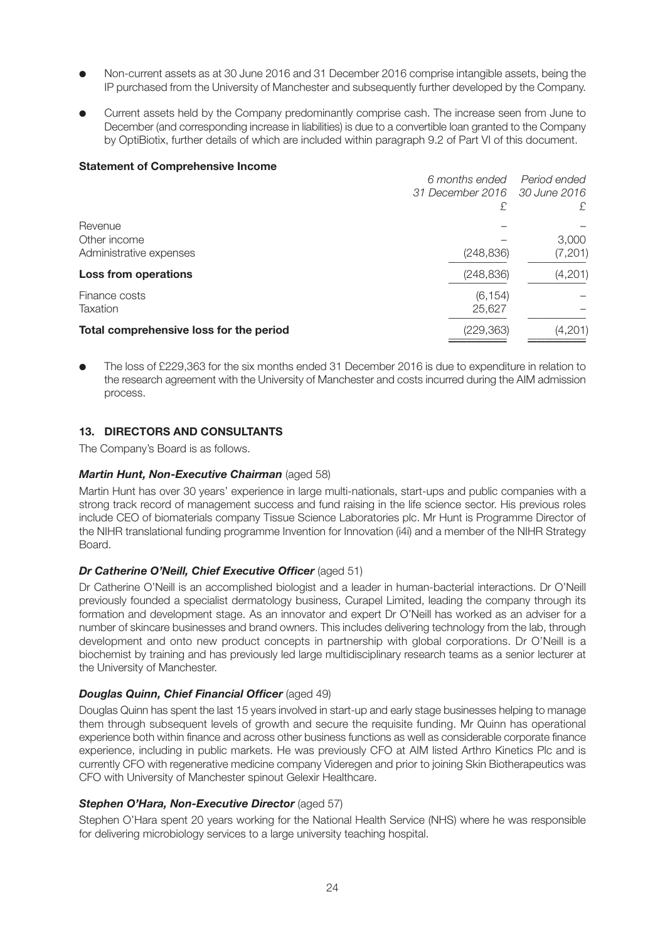- Non-current assets as at 30 June 2016 and 31 December 2016 comprise intangible assets, being the IP purchased from the University of Manchester and subsequently further developed by the Company.
- Current assets held by the Company predominantly comprise cash. The increase seen from June to December (and corresponding increase in liabilities) is due to a convertible loan granted to the Company by OptiBiotix, further details of which are included within paragraph 9.2 of Part VI of this document.

#### **Statement of Comprehensive Income**

|                                         | 6 months ended                | Period ended |
|-----------------------------------------|-------------------------------|--------------|
|                                         | 31 December 2016 30 June 2016 |              |
|                                         | £                             | £            |
| Revenue                                 |                               |              |
| Other income                            |                               | 3,000        |
| Administrative expenses                 | (248, 836)                    | (7, 201)     |
| Loss from operations                    | (248, 836)                    | (4,201)      |
| Finance costs                           | (6, 154)                      |              |
| Taxation                                | 25,627                        |              |
| Total comprehensive loss for the period | (229,363)                     | (4,201)      |
|                                         |                               |              |

The loss of £229,363 for the six months ended 31 December 2016 is due to expenditure in relation to the research agreement with the University of Manchester and costs incurred during the AIM admission process.

## **13. DIRECTORS AND CONSULTANTS**

The Company's Board is as follows.

## *Martin Hunt, Non-Executive Chairman* (aged 58)

Martin Hunt has over 30 years' experience in large multi-nationals, start-ups and public companies with a strong track record of management success and fund raising in the life science sector. His previous roles include CEO of biomaterials company Tissue Science Laboratories plc. Mr Hunt is Programme Director of the NIHR translational funding programme Invention for Innovation (i4i) and a member of the NIHR Strategy Board.

## *Dr Catherine O'Neill, Chief Executive Officer* (aged 51)

Dr Catherine O'Neill is an accomplished biologist and a leader in human-bacterial interactions. Dr O'Neill previously founded a specialist dermatology business, Curapel Limited, leading the company through its formation and development stage. As an innovator and expert Dr O'Neill has worked as an adviser for a number of skincare businesses and brand owners. This includes delivering technology from the lab, through development and onto new product concepts in partnership with global corporations. Dr O'Neill is a biochemist by training and has previously led large multidisciplinary research teams as a senior lecturer at the University of Manchester.

## *Douglas Quinn, Chief Financial Officer* (aged 49)

Douglas Quinn has spent the last 15 years involved in start-up and early stage businesses helping to manage them through subsequent levels of growth and secure the requisite funding. Mr Quinn has operational experience both within finance and across other business functions as well as considerable corporate finance experience, including in public markets. He was previously CFO at AIM listed Arthro Kinetics Plc and is currently CFO with regenerative medicine company Videregen and prior to joining Skin Biotherapeutics was CFO with University of Manchester spinout Gelexir Healthcare.

## *Stephen O'Hara, Non-Executive Director* (aged 57)

Stephen O'Hara spent 20 years working for the National Health Service (NHS) where he was responsible for delivering microbiology services to a large university teaching hospital.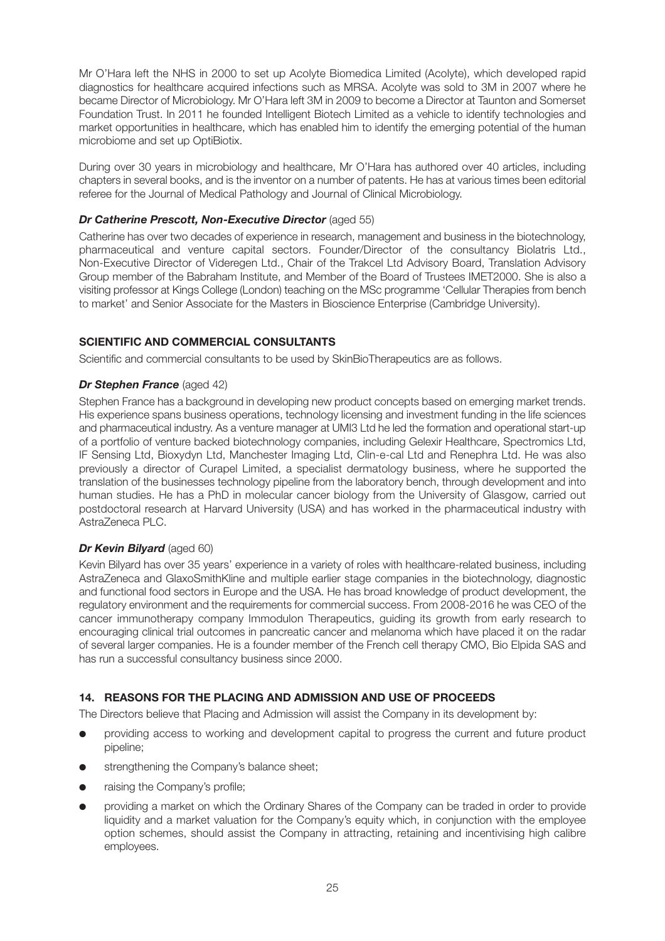Mr O'Hara left the NHS in 2000 to set up Acolyte Biomedica Limited (Acolyte), which developed rapid diagnostics for healthcare acquired infections such as MRSA. Acolyte was sold to 3M in 2007 where he became Director of Microbiology. Mr O'Hara left 3M in 2009 to become a Director at Taunton and Somerset Foundation Trust. In 2011 he founded Intelligent Biotech Limited as a vehicle to identify technologies and market opportunities in healthcare, which has enabled him to identify the emerging potential of the human microbiome and set up OptiBiotix.

During over 30 years in microbiology and healthcare, Mr O'Hara has authored over 40 articles, including chapters in several books, and is the inventor on a number of patents. He has at various times been editorial referee for the Journal of Medical Pathology and Journal of Clinical Microbiology.

## *Dr Catherine Prescott, Non-Executive Director* (aged 55)

Catherine has over two decades of experience in research, management and business in the biotechnology, pharmaceutical and venture capital sectors. Founder/Director of the consultancy Biolatris Ltd., Non-Executive Director of Videregen Ltd., Chair of the Trakcel Ltd Advisory Board, Translation Advisory Group member of the Babraham Institute, and Member of the Board of Trustees IMET2000. She is also a visiting professor at Kings College (London) teaching on the MSc programme 'Cellular Therapies from bench to market' and Senior Associate for the Masters in Bioscience Enterprise (Cambridge University).

## **SCIENTIFIC AND COMMERCIAL CONSULTANTS**

Scientific and commercial consultants to be used by SkinBioTherapeutics are as follows.

## *Dr Stephen France* (aged 42)

Stephen France has a background in developing new product concepts based on emerging market trends. His experience spans business operations, technology licensing and investment funding in the life sciences and pharmaceutical industry. As a venture manager at UMI3 Ltd he led the formation and operational start-up of a portfolio of venture backed biotechnology companies, including Gelexir Healthcare, Spectromics Ltd, IF Sensing Ltd, Bioxydyn Ltd, Manchester Imaging Ltd, Clin-e-cal Ltd and Renephra Ltd. He was also previously a director of Curapel Limited, a specialist dermatology business, where he supported the translation of the businesses technology pipeline from the laboratory bench, through development and into human studies. He has a PhD in molecular cancer biology from the University of Glasgow, carried out postdoctoral research at Harvard University (USA) and has worked in the pharmaceutical industry with AstraZeneca PLC.

## *Dr Kevin Bilyard* (aged 60)

Kevin Bilyard has over 35 years' experience in a variety of roles with healthcare-related business, including AstraZeneca and GlaxoSmithKline and multiple earlier stage companies in the biotechnology, diagnostic and functional food sectors in Europe and the USA. He has broad knowledge of product development, the regulatory environment and the requirements for commercial success. From 2008-2016 he was CEO of the cancer immunotherapy company Immodulon Therapeutics, guiding its growth from early research to encouraging clinical trial outcomes in pancreatic cancer and melanoma which have placed it on the radar of several larger companies. He is a founder member of the French cell therapy CMO, Bio Elpida SAS and has run a successful consultancy business since 2000.

## **14. REASONS FOR THE PLACING AND ADMISSION AND USE OF PROCEEDS**

The Directors believe that Placing and Admission will assist the Company in its development by:

- providing access to working and development capital to progress the current and future product pipeline;
- strengthening the Company's balance sheet;
- raising the Company's profile;
- providing a market on which the Ordinary Shares of the Company can be traded in order to provide liquidity and a market valuation for the Company's equity which, in conjunction with the employee option schemes, should assist the Company in attracting, retaining and incentivising high calibre employees.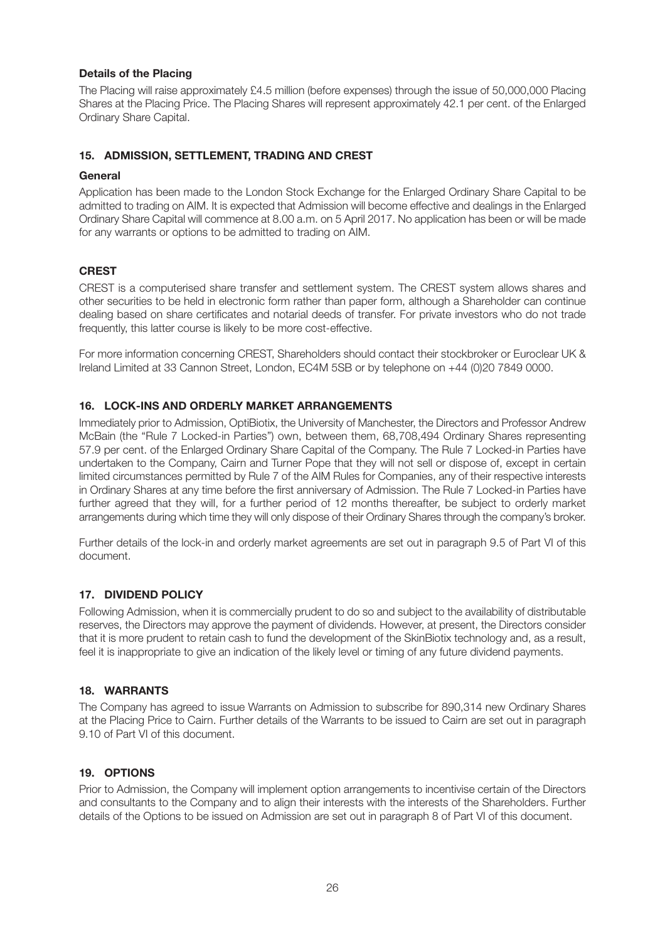## **Details of the Placing**

The Placing will raise approximately £4.5 million (before expenses) through the issue of 50,000,000 Placing Shares at the Placing Price. The Placing Shares will represent approximately 42.1 per cent. of the Enlarged Ordinary Share Capital.

## **15. ADMISSION, SETTLEMENT, TRADING AND CREST**

## **General**

Application has been made to the London Stock Exchange for the Enlarged Ordinary Share Capital to be admitted to trading on AIM. It is expected that Admission will become effective and dealings in the Enlarged Ordinary Share Capital will commence at 8.00 a.m. on 5 April 2017. No application has been or will be made for any warrants or options to be admitted to trading on AIM.

## **CREST**

CREST is a computerised share transfer and settlement system. The CREST system allows shares and other securities to be held in electronic form rather than paper form, although a Shareholder can continue dealing based on share certificates and notarial deeds of transfer. For private investors who do not trade frequently, this latter course is likely to be more cost-effective.

For more information concerning CREST, Shareholders should contact their stockbroker or Euroclear UK & Ireland Limited at 33 Cannon Street, London, EC4M 5SB or by telephone on +44 (0)20 7849 0000.

## **16. LOCK-INS AND ORDERLY MARKET ARRANGEMENTS**

Immediately prior to Admission, OptiBiotix, the University of Manchester, the Directors and Professor Andrew McBain (the "Rule 7 Locked-in Parties") own, between them, 68,708,494 Ordinary Shares representing 57.9 per cent. of the Enlarged Ordinary Share Capital of the Company. The Rule 7 Locked-in Parties have undertaken to the Company, Cairn and Turner Pope that they will not sell or dispose of, except in certain limited circumstances permitted by Rule 7 of the AIM Rules for Companies, any of their respective interests in Ordinary Shares at any time before the first anniversary of Admission. The Rule 7 Locked-in Parties have further agreed that they will, for a further period of 12 months thereafter, be subject to orderly market arrangements during which time they will only dispose of their Ordinary Shares through the company's broker.

Further details of the lock-in and orderly market agreements are set out in paragraph 9.5 of Part VI of this document.

## **17. DIVIDEND POLICY**

Following Admission, when it is commercially prudent to do so and subject to the availability of distributable reserves, the Directors may approve the payment of dividends. However, at present, the Directors consider that it is more prudent to retain cash to fund the development of the SkinBiotix technology and, as a result, feel it is inappropriate to give an indication of the likely level or timing of any future dividend payments.

## **18. WARRANTS**

The Company has agreed to issue Warrants on Admission to subscribe for 890,314 new Ordinary Shares at the Placing Price to Cairn. Further details of the Warrants to be issued to Cairn are set out in paragraph 9.10 of Part VI of this document.

## **19. OPTIONS**

Prior to Admission, the Company will implement option arrangements to incentivise certain of the Directors and consultants to the Company and to align their interests with the interests of the Shareholders. Further details of the Options to be issued on Admission are set out in paragraph 8 of Part VI of this document.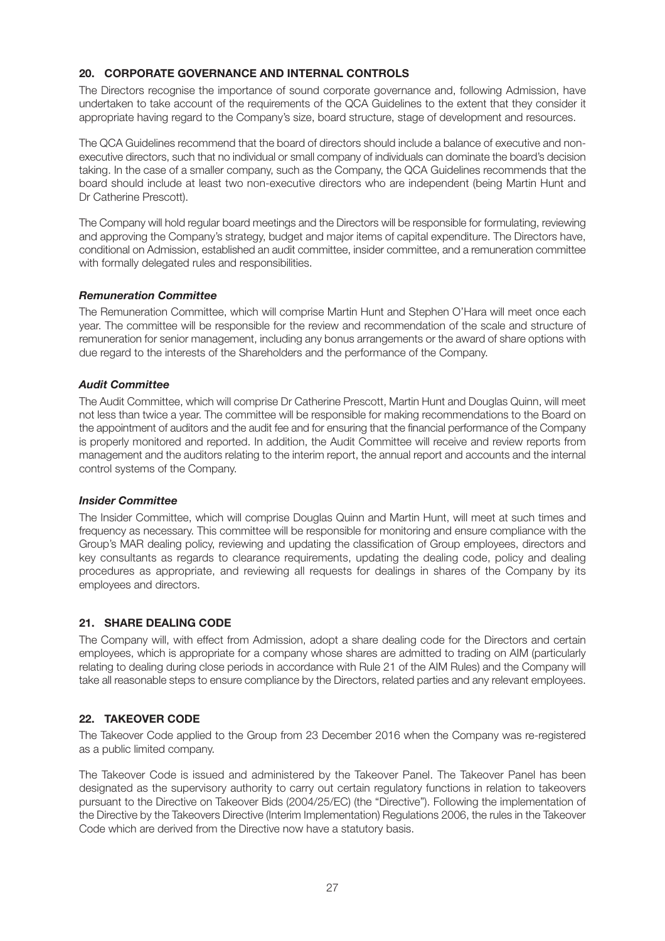## **20. CORPORATE GOVERNANCE AND INTERNAL CONTROLS**

The Directors recognise the importance of sound corporate governance and, following Admission, have undertaken to take account of the requirements of the QCA Guidelines to the extent that they consider it appropriate having regard to the Company's size, board structure, stage of development and resources.

The QCA Guidelines recommend that the board of directors should include a balance of executive and nonexecutive directors, such that no individual or small company of individuals can dominate the board's decision taking. In the case of a smaller company, such as the Company, the QCA Guidelines recommends that the board should include at least two non-executive directors who are independent (being Martin Hunt and Dr Catherine Prescott).

The Company will hold regular board meetings and the Directors will be responsible for formulating, reviewing and approving the Company's strategy, budget and major items of capital expenditure. The Directors have, conditional on Admission, established an audit committee, insider committee, and a remuneration committee with formally delegated rules and responsibilities.

## *Remuneration Committee*

The Remuneration Committee, which will comprise Martin Hunt and Stephen O'Hara will meet once each year. The committee will be responsible for the review and recommendation of the scale and structure of remuneration for senior management, including any bonus arrangements or the award of share options with due regard to the interests of the Shareholders and the performance of the Company.

#### *Audit Committee*

The Audit Committee, which will comprise Dr Catherine Prescott, Martin Hunt and Douglas Quinn, will meet not less than twice a year. The committee will be responsible for making recommendations to the Board on the appointment of auditors and the audit fee and for ensuring that the financial performance of the Company is properly monitored and reported. In addition, the Audit Committee will receive and review reports from management and the auditors relating to the interim report, the annual report and accounts and the internal control systems of the Company.

#### *Insider Committee*

The Insider Committee, which will comprise Douglas Quinn and Martin Hunt, will meet at such times and frequency as necessary. This committee will be responsible for monitoring and ensure compliance with the Group's MAR dealing policy, reviewing and updating the classification of Group employees, directors and key consultants as regards to clearance requirements, updating the dealing code, policy and dealing procedures as appropriate, and reviewing all requests for dealings in shares of the Company by its employees and directors.

## **21. SHARE DEALING CODE**

The Company will, with effect from Admission, adopt a share dealing code for the Directors and certain employees, which is appropriate for a company whose shares are admitted to trading on AIM (particularly relating to dealing during close periods in accordance with Rule 21 of the AIM Rules) and the Company will take all reasonable steps to ensure compliance by the Directors, related parties and any relevant employees.

## **22. TAKEOVER CODE**

The Takeover Code applied to the Group from 23 December 2016 when the Company was re-registered as a public limited company.

The Takeover Code is issued and administered by the Takeover Panel. The Takeover Panel has been designated as the supervisory authority to carry out certain regulatory functions in relation to takeovers pursuant to the Directive on Takeover Bids (2004/25/EC) (the "Directive"). Following the implementation of the Directive by the Takeovers Directive (Interim Implementation) Regulations 2006, the rules in the Takeover Code which are derived from the Directive now have a statutory basis.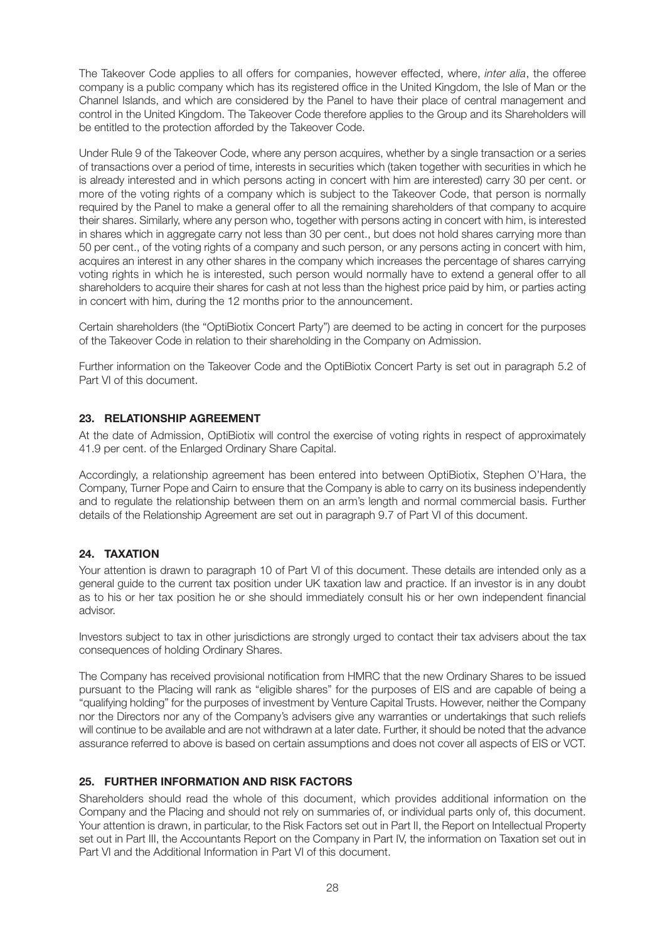The Takeover Code applies to all offers for companies, however effected, where, *inter alia*, the offeree company is a public company which has its registered office in the United Kingdom, the Isle of Man or the Channel Islands, and which are considered by the Panel to have their place of central management and control in the United Kingdom. The Takeover Code therefore applies to the Group and its Shareholders will be entitled to the protection afforded by the Takeover Code.

Under Rule 9 of the Takeover Code, where any person acquires, whether by a single transaction or a series of transactions over a period of time, interests in securities which (taken together with securities in which he is already interested and in which persons acting in concert with him are interested) carry 30 per cent. or more of the voting rights of a company which is subject to the Takeover Code, that person is normally required by the Panel to make a general offer to all the remaining shareholders of that company to acquire their shares. Similarly, where any person who, together with persons acting in concert with him, is interested in shares which in aggregate carry not less than 30 per cent., but does not hold shares carrying more than 50 per cent., of the voting rights of a company and such person, or any persons acting in concert with him, acquires an interest in any other shares in the company which increases the percentage of shares carrying voting rights in which he is interested, such person would normally have to extend a general offer to all shareholders to acquire their shares for cash at not less than the highest price paid by him, or parties acting in concert with him, during the 12 months prior to the announcement.

Certain shareholders (the "OptiBiotix Concert Party") are deemed to be acting in concert for the purposes of the Takeover Code in relation to their shareholding in the Company on Admission.

Further information on the Takeover Code and the OptiBiotix Concert Party is set out in paragraph 5.2 of Part VI of this document.

## **23. RELATIONSHIP AGREEMENT**

At the date of Admission, OptiBiotix will control the exercise of voting rights in respect of approximately 41.9 per cent. of the Enlarged Ordinary Share Capital.

Accordingly, a relationship agreement has been entered into between OptiBiotix, Stephen O'Hara, the Company, Turner Pope and Cairn to ensure that the Company is able to carry on its business independently and to regulate the relationship between them on an arm's length and normal commercial basis. Further details of the Relationship Agreement are set out in paragraph 9.7 of Part VI of this document.

## **24. TAXATION**

Your attention is drawn to paragraph 10 of Part VI of this document. These details are intended only as a general guide to the current tax position under UK taxation law and practice. If an investor is in any doubt as to his or her tax position he or she should immediately consult his or her own independent financial advisor.

Investors subject to tax in other jurisdictions are strongly urged to contact their tax advisers about the tax consequences of holding Ordinary Shares.

The Company has received provisional notification from HMRC that the new Ordinary Shares to be issued pursuant to the Placing will rank as "eligible shares" for the purposes of EIS and are capable of being a "qualifying holding" for the purposes of investment by Venture Capital Trusts. However, neither the Company nor the Directors nor any of the Company's advisers give any warranties or undertakings that such reliefs will continue to be available and are not withdrawn at a later date. Further, it should be noted that the advance assurance referred to above is based on certain assumptions and does not cover all aspects of EIS or VCT.

## **25. FURTHER INFORMATION AND RISK FACTORS**

Shareholders should read the whole of this document, which provides additional information on the Company and the Placing and should not rely on summaries of, or individual parts only of, this document. Your attention is drawn, in particular, to the Risk Factors set out in Part II, the Report on Intellectual Property set out in Part III, the Accountants Report on the Company in Part IV, the information on Taxation set out in Part VI and the Additional Information in Part VI of this document.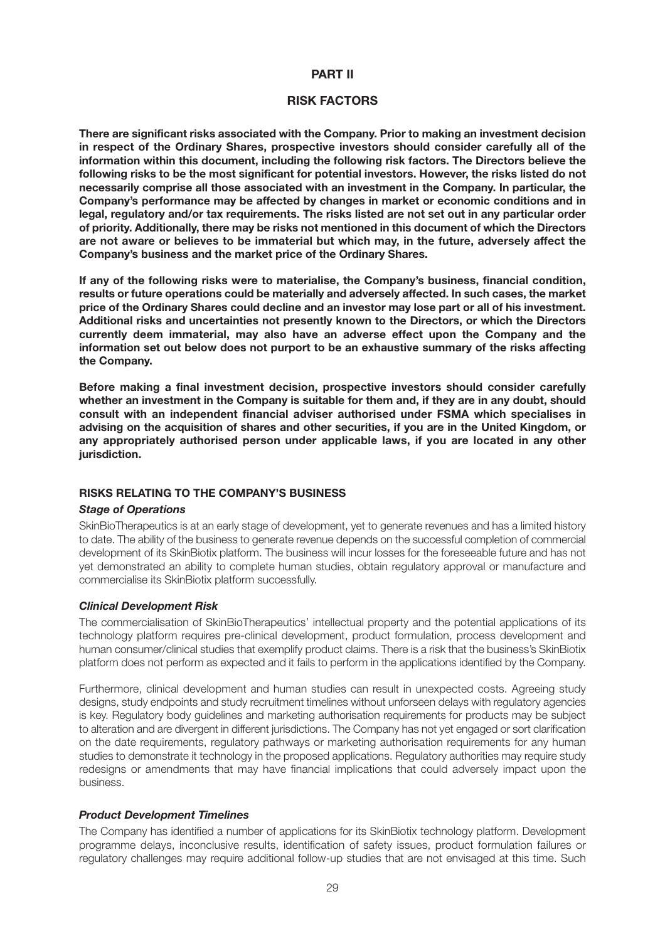#### **PART II**

#### **RISK FACTORS**

**There are significant risks associated with the Company. Prior to making an investment decision in respect of the Ordinary Shares, prospective investors should consider carefully all of the information within this document, including the following risk factors. The Directors believe the following risks to be the most significant for potential investors. However, the risks listed do not necessarily comprise all those associated with an investment in the Company. In particular, the Company's performance may be affected by changes in market or economic conditions and in legal, regulatory and/or tax requirements. The risks listed are not set out in any particular order of priority. Additionally, there may be risks not mentioned in this document of which the Directors are not aware or believes to be immaterial but which may, in the future, adversely affect the Company's business and the market price of the Ordinary Shares.**

**If any of the following risks were to materialise, the Company's business, financial condition, results or future operations could be materially and adversely affected. In such cases, the market price of the Ordinary Shares could decline and an investor may lose part or all of his investment. Additional risks and uncertainties not presently known to the Directors, or which the Directors currently deem immaterial, may also have an adverse effect upon the Company and the information set out below does not purport to be an exhaustive summary of the risks affecting the Company.**

**Before making a final investment decision, prospective investors should consider carefully whether an investment in the Company is suitable for them and, if they are in any doubt, should consult with an independent financial adviser authorised under FSMA which specialises in advising on the acquisition of shares and other securities, if you are in the United Kingdom, or any appropriately authorised person under applicable laws, if you are located in any other jurisdiction.**

## **RISKS RELATING TO THE COMPANY'S BUSINESS**

#### *Stage of Operations*

SkinBioTherapeutics is at an early stage of development, yet to generate revenues and has a limited history to date. The ability of the business to generate revenue depends on the successful completion of commercial development of its SkinBiotix platform. The business will incur losses for the foreseeable future and has not yet demonstrated an ability to complete human studies, obtain regulatory approval or manufacture and commercialise its SkinBiotix platform successfully.

#### *Clinical Development Risk*

The commercialisation of SkinBioTherapeutics' intellectual property and the potential applications of its technology platform requires pre-clinical development, product formulation, process development and human consumer/clinical studies that exemplify product claims. There is a risk that the business's SkinBiotix platform does not perform as expected and it fails to perform in the applications identified by the Company.

Furthermore, clinical development and human studies can result in unexpected costs. Agreeing study designs, study endpoints and study recruitment timelines without unforseen delays with regulatory agencies is key. Regulatory body guidelines and marketing authorisation requirements for products may be subject to alteration and are divergent in different jurisdictions. The Company has not yet engaged or sort clarification on the date requirements, regulatory pathways or marketing authorisation requirements for any human studies to demonstrate it technology in the proposed applications. Regulatory authorities may require study redesigns or amendments that may have financial implications that could adversely impact upon the business.

#### *Product Development Timelines*

The Company has identified a number of applications for its SkinBiotix technology platform. Development programme delays, inconclusive results, identification of safety issues, product formulation failures or regulatory challenges may require additional follow-up studies that are not envisaged at this time. Such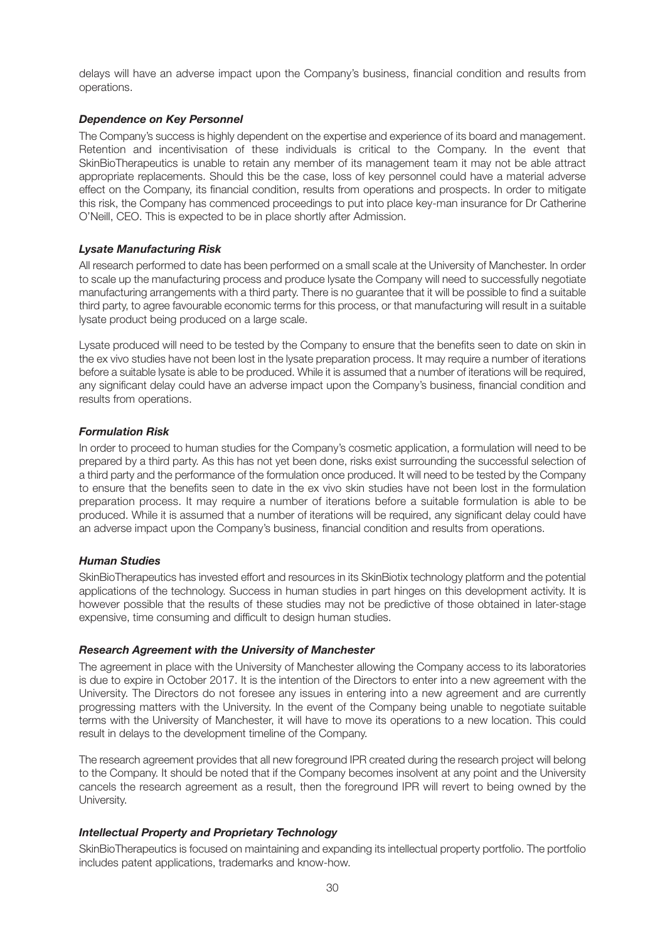delays will have an adverse impact upon the Company's business, financial condition and results from operations.

## *Dependence on Key Personnel*

The Company's success is highly dependent on the expertise and experience of its board and management. Retention and incentivisation of these individuals is critical to the Company. In the event that SkinBioTherapeutics is unable to retain any member of its management team it may not be able attract appropriate replacements. Should this be the case, loss of key personnel could have a material adverse effect on the Company, its financial condition, results from operations and prospects. In order to mitigate this risk, the Company has commenced proceedings to put into place key-man insurance for Dr Catherine O'Neill, CEO. This is expected to be in place shortly after Admission.

## *Lysate Manufacturing Risk*

All research performed to date has been performed on a small scale at the University of Manchester. In order to scale up the manufacturing process and produce lysate the Company will need to successfully negotiate manufacturing arrangements with a third party. There is no guarantee that it will be possible to find a suitable third party, to agree favourable economic terms for this process, or that manufacturing will result in a suitable lysate product being produced on a large scale.

Lysate produced will need to be tested by the Company to ensure that the benefits seen to date on skin in the ex vivo studies have not been lost in the lysate preparation process. It may require a number of iterations before a suitable lysate is able to be produced. While it is assumed that a number of iterations will be required, any significant delay could have an adverse impact upon the Company's business, financial condition and results from operations.

## *Formulation Risk*

In order to proceed to human studies for the Company's cosmetic application, a formulation will need to be prepared by a third party. As this has not yet been done, risks exist surrounding the successful selection of a third party and the performance of the formulation once produced. It will need to be tested by the Company to ensure that the benefits seen to date in the ex vivo skin studies have not been lost in the formulation preparation process. It may require a number of iterations before a suitable formulation is able to be produced. While it is assumed that a number of iterations will be required, any significant delay could have an adverse impact upon the Company's business, financial condition and results from operations.

## *Human Studies*

SkinBioTherapeutics has invested effort and resources in its SkinBiotix technology platform and the potential applications of the technology. Success in human studies in part hinges on this development activity. It is however possible that the results of these studies may not be predictive of those obtained in later-stage expensive, time consuming and difficult to design human studies.

## *Research Agreement with the University of Manchester*

The agreement in place with the University of Manchester allowing the Company access to its laboratories is due to expire in October 2017. It is the intention of the Directors to enter into a new agreement with the University. The Directors do not foresee any issues in entering into a new agreement and are currently progressing matters with the University. In the event of the Company being unable to negotiate suitable terms with the University of Manchester, it will have to move its operations to a new location. This could result in delays to the development timeline of the Company.

The research agreement provides that all new foreground IPR created during the research project will belong to the Company. It should be noted that if the Company becomes insolvent at any point and the University cancels the research agreement as a result, then the foreground IPR will revert to being owned by the University.

## *Intellectual Property and Proprietary Technology*

SkinBioTherapeutics is focused on maintaining and expanding its intellectual property portfolio. The portfolio includes patent applications, trademarks and know-how.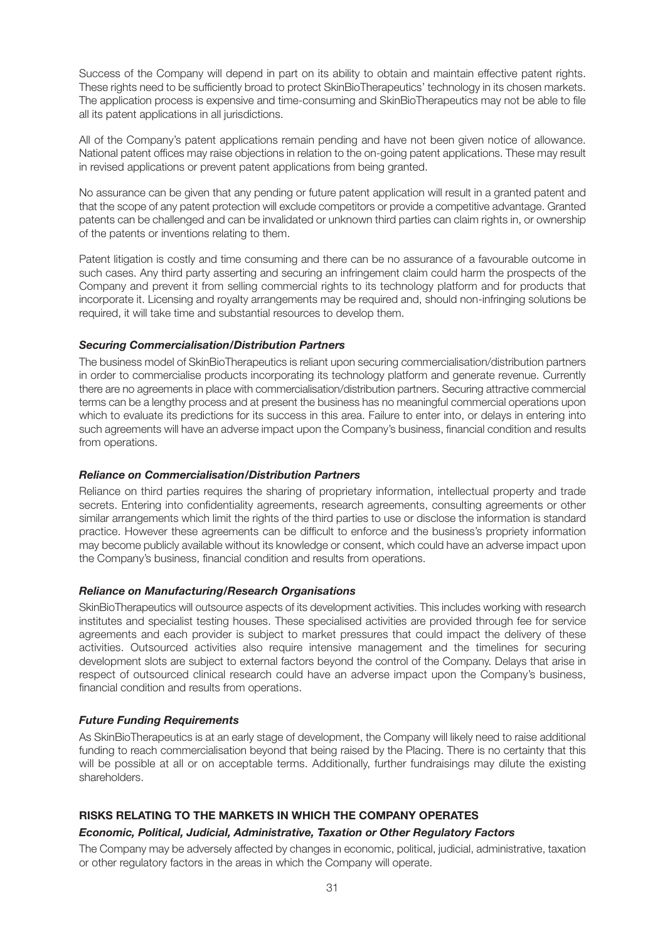Success of the Company will depend in part on its ability to obtain and maintain effective patent rights. These rights need to be sufficiently broad to protect SkinBioTherapeutics' technology in its chosen markets. The application process is expensive and time-consuming and SkinBioTherapeutics may not be able to file all its patent applications in all jurisdictions.

All of the Company's patent applications remain pending and have not been given notice of allowance. National patent offices may raise objections in relation to the on-going patent applications. These may result in revised applications or prevent patent applications from being granted.

No assurance can be given that any pending or future patent application will result in a granted patent and that the scope of any patent protection will exclude competitors or provide a competitive advantage. Granted patents can be challenged and can be invalidated or unknown third parties can claim rights in, or ownership of the patents or inventions relating to them.

Patent litigation is costly and time consuming and there can be no assurance of a favourable outcome in such cases. Any third party asserting and securing an infringement claim could harm the prospects of the Company and prevent it from selling commercial rights to its technology platform and for products that incorporate it. Licensing and royalty arrangements may be required and, should non-infringing solutions be required, it will take time and substantial resources to develop them.

## *Securing Commercialisation/Distribution Partners*

The business model of SkinBioTherapeutics is reliant upon securing commercialisation/distribution partners in order to commercialise products incorporating its technology platform and generate revenue. Currently there are no agreements in place with commercialisation/distribution partners. Securing attractive commercial terms can be a lengthy process and at present the business has no meaningful commercial operations upon which to evaluate its predictions for its success in this area. Failure to enter into, or delays in entering into such agreements will have an adverse impact upon the Company's business, financial condition and results from operations.

#### *Reliance on Commercialisation/Distribution Partners*

Reliance on third parties requires the sharing of proprietary information, intellectual property and trade secrets. Entering into confidentiality agreements, research agreements, consulting agreements or other similar arrangements which limit the rights of the third parties to use or disclose the information is standard practice. However these agreements can be difficult to enforce and the business's propriety information may become publicly available without its knowledge or consent, which could have an adverse impact upon the Company's business, financial condition and results from operations.

## *Reliance on Manufacturing/Research Organisations*

SkinBioTherapeutics will outsource aspects of its development activities. This includes working with research institutes and specialist testing houses. These specialised activities are provided through fee for service agreements and each provider is subject to market pressures that could impact the delivery of these activities. Outsourced activities also require intensive management and the timelines for securing development slots are subject to external factors beyond the control of the Company. Delays that arise in respect of outsourced clinical research could have an adverse impact upon the Company's business, financial condition and results from operations.

## *Future Funding Requirements*

As SkinBioTherapeutics is at an early stage of development, the Company will likely need to raise additional funding to reach commercialisation beyond that being raised by the Placing. There is no certainty that this will be possible at all or on acceptable terms. Additionally, further fundraisings may dilute the existing shareholders.

## **RISKS RELATING TO THE MARKETS IN WHICH THE COMPANY OPERATES**

#### *Economic, Political, Judicial, Administrative, Taxation or Other Regulatory Factors*

The Company may be adversely affected by changes in economic, political, judicial, administrative, taxation or other regulatory factors in the areas in which the Company will operate.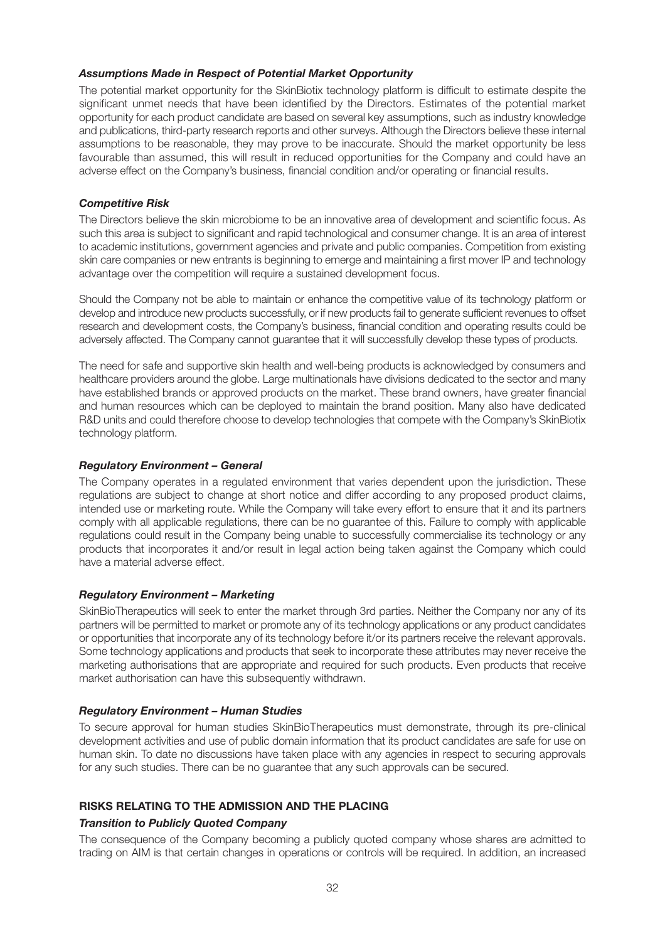## *Assumptions Made in Respect of Potential Market Opportunity*

The potential market opportunity for the SkinBiotix technology platform is difficult to estimate despite the significant unmet needs that have been identified by the Directors. Estimates of the potential market opportunity for each product candidate are based on several key assumptions, such as industry knowledge and publications, third-party research reports and other surveys. Although the Directors believe these internal assumptions to be reasonable, they may prove to be inaccurate. Should the market opportunity be less favourable than assumed, this will result in reduced opportunities for the Company and could have an adverse effect on the Company's business, financial condition and/or operating or financial results.

## *Competitive Risk*

The Directors believe the skin microbiome to be an innovative area of development and scientific focus. As such this area is subject to significant and rapid technological and consumer change. It is an area of interest to academic institutions, government agencies and private and public companies. Competition from existing skin care companies or new entrants is beginning to emerge and maintaining a first mover IP and technology advantage over the competition will require a sustained development focus.

Should the Company not be able to maintain or enhance the competitive value of its technology platform or develop and introduce new products successfully, or if new products fail to generate sufficient revenues to offset research and development costs, the Company's business, financial condition and operating results could be adversely affected. The Company cannot guarantee that it will successfully develop these types of products.

The need for safe and supportive skin health and well-being products is acknowledged by consumers and healthcare providers around the globe. Large multinationals have divisions dedicated to the sector and many have established brands or approved products on the market. These brand owners, have greater financial and human resources which can be deployed to maintain the brand position. Many also have dedicated R&D units and could therefore choose to develop technologies that compete with the Company's SkinBiotix technology platform.

## *Regulatory Environment – General*

The Company operates in a regulated environment that varies dependent upon the jurisdiction. These regulations are subject to change at short notice and differ according to any proposed product claims, intended use or marketing route. While the Company will take every effort to ensure that it and its partners comply with all applicable regulations, there can be no guarantee of this. Failure to comply with applicable regulations could result in the Company being unable to successfully commercialise its technology or any products that incorporates it and/or result in legal action being taken against the Company which could have a material adverse effect.

## *Regulatory Environment – Marketing*

SkinBioTherapeutics will seek to enter the market through 3rd parties. Neither the Company nor any of its partners will be permitted to market or promote any of its technology applications or any product candidates or opportunities that incorporate any of its technology before it/or its partners receive the relevant approvals. Some technology applications and products that seek to incorporate these attributes may never receive the marketing authorisations that are appropriate and required for such products. Even products that receive market authorisation can have this subsequently withdrawn.

## *Regulatory Environment – Human Studies*

To secure approval for human studies SkinBioTherapeutics must demonstrate, through its pre-clinical development activities and use of public domain information that its product candidates are safe for use on human skin. To date no discussions have taken place with any agencies in respect to securing approvals for any such studies. There can be no guarantee that any such approvals can be secured.

## **RISKS RELATING TO THE ADMISSION AND THE PLACING**

## *Transition to Publicly Quoted Company*

The consequence of the Company becoming a publicly quoted company whose shares are admitted to trading on AIM is that certain changes in operations or controls will be required. In addition, an increased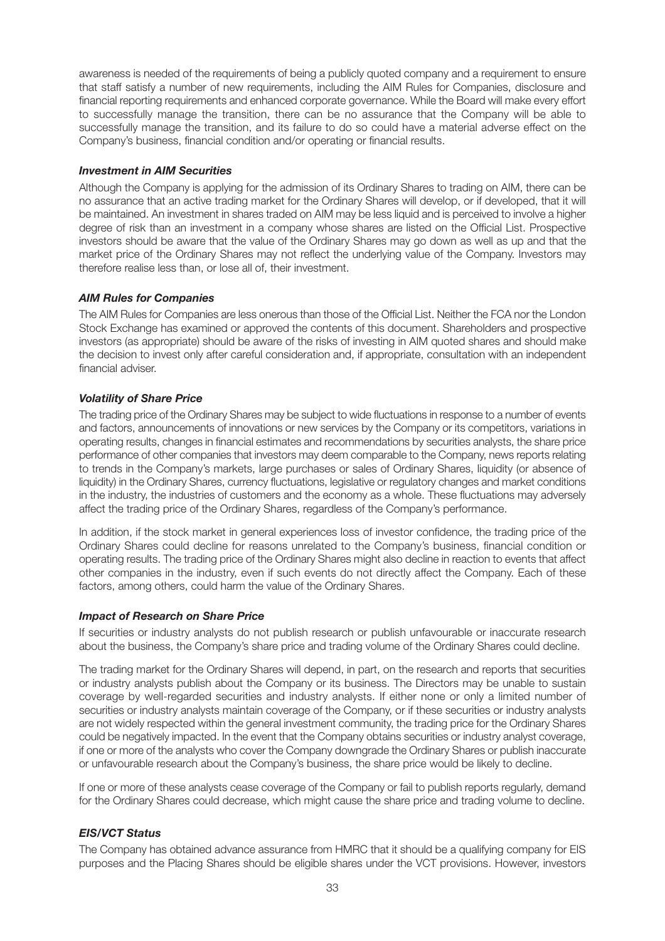awareness is needed of the requirements of being a publicly quoted company and a requirement to ensure that staff satisfy a number of new requirements, including the AIM Rules for Companies, disclosure and financial reporting requirements and enhanced corporate governance. While the Board will make every effort to successfully manage the transition, there can be no assurance that the Company will be able to successfully manage the transition, and its failure to do so could have a material adverse effect on the Company's business, financial condition and/or operating or financial results.

#### *Investment in AIM Securities*

Although the Company is applying for the admission of its Ordinary Shares to trading on AIM, there can be no assurance that an active trading market for the Ordinary Shares will develop, or if developed, that it will be maintained. An investment in shares traded on AIM may be less liquid and is perceived to involve a higher degree of risk than an investment in a company whose shares are listed on the Official List. Prospective investors should be aware that the value of the Ordinary Shares may go down as well as up and that the market price of the Ordinary Shares may not reflect the underlying value of the Company. Investors may therefore realise less than, or lose all of, their investment.

#### *AIM Rules for Companies*

The AIM Rules for Companies are less onerous than those of the Official List. Neither the FCA nor the London Stock Exchange has examined or approved the contents of this document. Shareholders and prospective investors (as appropriate) should be aware of the risks of investing in AIM quoted shares and should make the decision to invest only after careful consideration and, if appropriate, consultation with an independent financial adviser.

#### *Volatility of Share Price*

The trading price of the Ordinary Shares may be subject to wide fluctuations in response to a number of events and factors, announcements of innovations or new services by the Company or its competitors, variations in operating results, changes in financial estimates and recommendations by securities analysts, the share price performance of other companies that investors may deem comparable to the Company, news reports relating to trends in the Company's markets, large purchases or sales of Ordinary Shares, liquidity (or absence of liquidity) in the Ordinary Shares, currency fluctuations, legislative or regulatory changes and market conditions in the industry, the industries of customers and the economy as a whole. These fluctuations may adversely affect the trading price of the Ordinary Shares, regardless of the Company's performance.

In addition, if the stock market in general experiences loss of investor confidence, the trading price of the Ordinary Shares could decline for reasons unrelated to the Company's business, financial condition or operating results. The trading price of the Ordinary Shares might also decline in reaction to events that affect other companies in the industry, even if such events do not directly affect the Company. Each of these factors, among others, could harm the value of the Ordinary Shares.

#### *Impact of Research on Share Price*

If securities or industry analysts do not publish research or publish unfavourable or inaccurate research about the business, the Company's share price and trading volume of the Ordinary Shares could decline.

The trading market for the Ordinary Shares will depend, in part, on the research and reports that securities or industry analysts publish about the Company or its business. The Directors may be unable to sustain coverage by well-regarded securities and industry analysts. If either none or only a limited number of securities or industry analysts maintain coverage of the Company, or if these securities or industry analysts are not widely respected within the general investment community, the trading price for the Ordinary Shares could be negatively impacted. In the event that the Company obtains securities or industry analyst coverage, if one or more of the analysts who cover the Company downgrade the Ordinary Shares or publish inaccurate or unfavourable research about the Company's business, the share price would be likely to decline.

If one or more of these analysts cease coverage of the Company or fail to publish reports regularly, demand for the Ordinary Shares could decrease, which might cause the share price and trading volume to decline.

## *EIS/VCT Status*

The Company has obtained advance assurance from HMRC that it should be a qualifying company for EIS purposes and the Placing Shares should be eligible shares under the VCT provisions. However, investors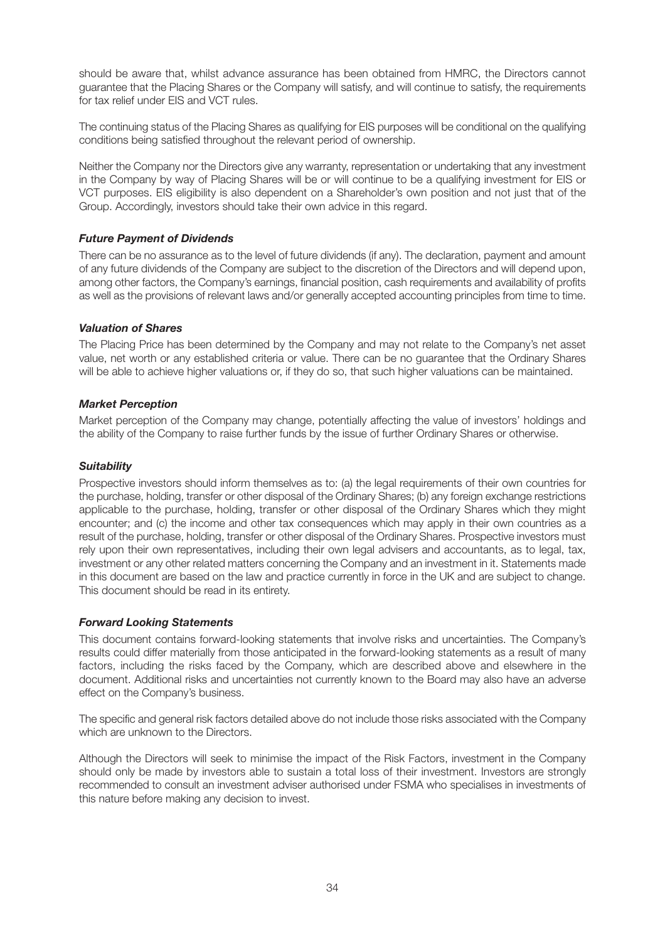should be aware that, whilst advance assurance has been obtained from HMRC, the Directors cannot guarantee that the Placing Shares or the Company will satisfy, and will continue to satisfy, the requirements for tax relief under EIS and VCT rules.

The continuing status of the Placing Shares as qualifying for EIS purposes will be conditional on the qualifying conditions being satisfied throughout the relevant period of ownership.

Neither the Company nor the Directors give any warranty, representation or undertaking that any investment in the Company by way of Placing Shares will be or will continue to be a qualifying investment for EIS or VCT purposes. EIS eligibility is also dependent on a Shareholder's own position and not just that of the Group. Accordingly, investors should take their own advice in this regard.

## *Future Payment of Dividends*

There can be no assurance as to the level of future dividends (if any). The declaration, payment and amount of any future dividends of the Company are subject to the discretion of the Directors and will depend upon, among other factors, the Company's earnings, financial position, cash requirements and availability of profits as well as the provisions of relevant laws and/or generally accepted accounting principles from time to time.

#### *Valuation of Shares*

The Placing Price has been determined by the Company and may not relate to the Company's net asset value, net worth or any established criteria or value. There can be no guarantee that the Ordinary Shares will be able to achieve higher valuations or, if they do so, that such higher valuations can be maintained.

#### *Market Perception*

Market perception of the Company may change, potentially affecting the value of investors' holdings and the ability of the Company to raise further funds by the issue of further Ordinary Shares or otherwise.

#### *Suitability*

Prospective investors should inform themselves as to: (a) the legal requirements of their own countries for the purchase, holding, transfer or other disposal of the Ordinary Shares; (b) any foreign exchange restrictions applicable to the purchase, holding, transfer or other disposal of the Ordinary Shares which they might encounter; and (c) the income and other tax consequences which may apply in their own countries as a result of the purchase, holding, transfer or other disposal of the Ordinary Shares. Prospective investors must rely upon their own representatives, including their own legal advisers and accountants, as to legal, tax, investment or any other related matters concerning the Company and an investment in it. Statements made in this document are based on the law and practice currently in force in the UK and are subject to change. This document should be read in its entirety.

## *Forward Looking Statements*

This document contains forward-looking statements that involve risks and uncertainties. The Company's results could differ materially from those anticipated in the forward-looking statements as a result of many factors, including the risks faced by the Company, which are described above and elsewhere in the document. Additional risks and uncertainties not currently known to the Board may also have an adverse effect on the Company's business.

The specific and general risk factors detailed above do not include those risks associated with the Company which are unknown to the Directors.

Although the Directors will seek to minimise the impact of the Risk Factors, investment in the Company should only be made by investors able to sustain a total loss of their investment. Investors are strongly recommended to consult an investment adviser authorised under FSMA who specialises in investments of this nature before making any decision to invest.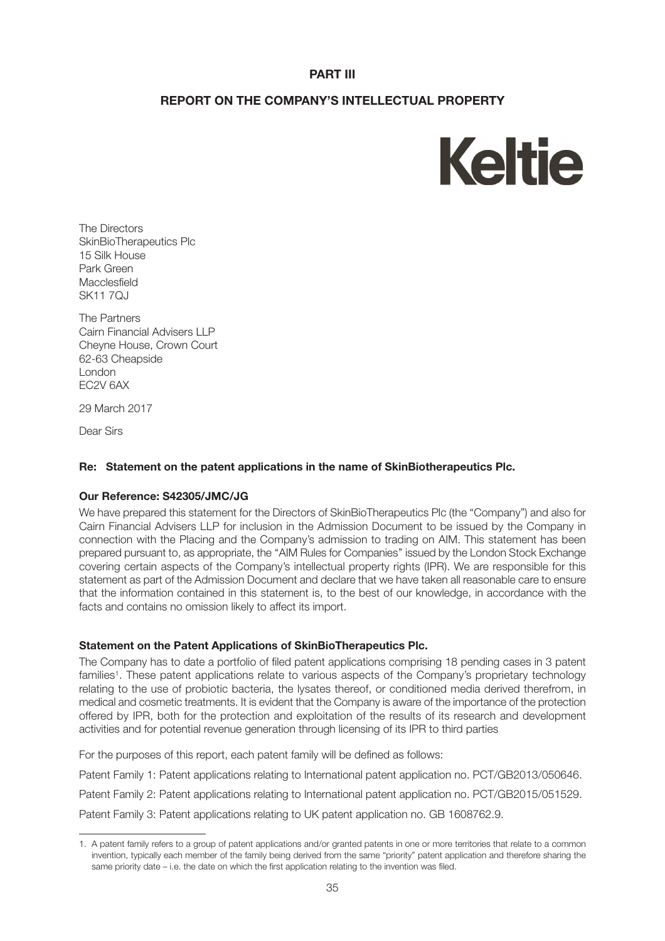## **PART III**

## **REPORT ON THE COMPANY'S INTELLECTUAL PROPERTY**



The Directors SkinBioTherapeutics Plc 15 Silk House Park Green Macclesfield SK11 7QJ

The Partners Cairn Financial Advisers LLP Cheyne House, Crown Court 62-63 Cheapside London EC2V 6AX

29 March 2017

Dear Sirs

## **Re: Statement on the patent applications in the name of SkinBiotherapeutics Plc.**

## **Our Reference: S42305/JMC/JG**

We have prepared this statement for the Directors of SkinBioTherapeutics Plc (the "Company") and also for Cairn Financial Advisers LLP for inclusion in the Admission Document to be issued by the Company in connection with the Placing and the Company's admission to trading on AIM. This statement has been prepared pursuant to, as appropriate, the ''AIM Rules for Companies'' issued by the London Stock Exchange covering certain aspects of the Company's intellectual property rights (IPR). We are responsible for this statement as part of the Admission Document and declare that we have taken all reasonable care to ensure that the information contained in this statement is, to the best of our knowledge, in accordance with the facts and contains no omission likely to affect its import.

## **Statement on the Patent Applications of SkinBioTherapeutics Plc.**

The Company has to date a portfolio of filed patent applications comprising 18 pending cases in 3 patent families<sup>1</sup>. These patent applications relate to various aspects of the Company's proprietary technology relating to the use of probiotic bacteria, the lysates thereof, or conditioned media derived therefrom, in medical and cosmetic treatments. It is evident that the Company is aware of the importance of the protection offered by IPR, both for the protection and exploitation of the results of its research and development activities and for potential revenue generation through licensing of its IPR to third parties

For the purposes of this report, each patent family will be defined as follows:

Patent Family 1: Patent applications relating to International patent application no. PCT/GB2013/050646.

Patent Family 2: Patent applications relating to International patent application no. PCT/GB2015/051529.

Patent Family 3: Patent applications relating to UK patent application no. GB 1608762.9.

<sup>1.</sup> A patent family refers to a group of patent applications and/or granted patents in one or more territories that relate to a common invention, typically each member of the family being derived from the same "priority" patent application and therefore sharing the same priority date – i.e. the date on which the first application relating to the invention was filed.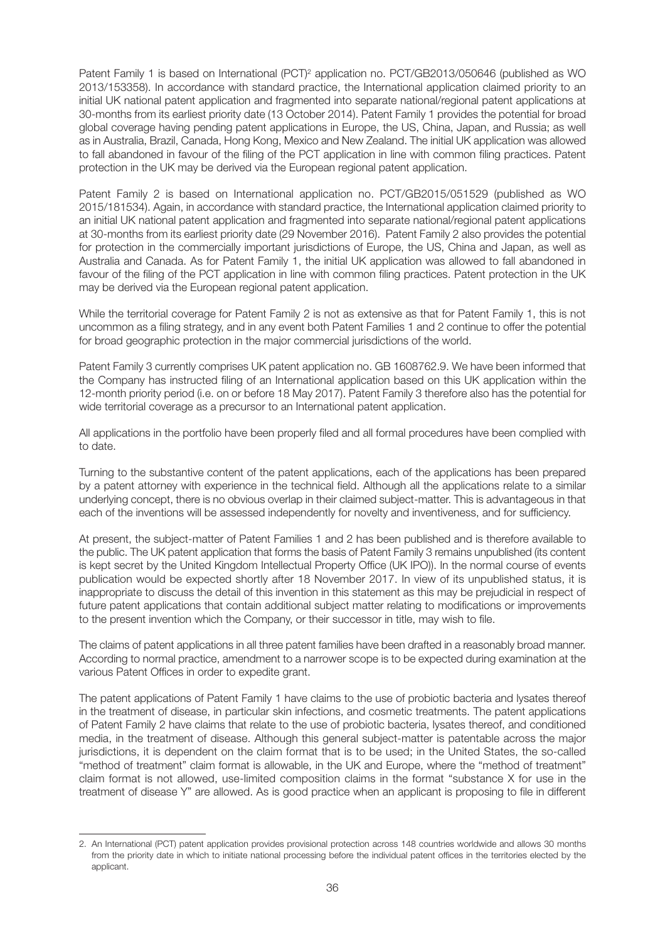Patent Family 1 is based on International (PCT)<sup>2</sup> application no. PCT/GB2013/050646 (published as WO 2013/153358). In accordance with standard practice, the International application claimed priority to an initial UK national patent application and fragmented into separate national/regional patent applications at 30-months from its earliest priority date (13 October 2014). Patent Family 1 provides the potential for broad global coverage having pending patent applications in Europe, the US, China, Japan, and Russia; as well as in Australia, Brazil, Canada, Hong Kong, Mexico and New Zealand. The initial UK application was allowed to fall abandoned in favour of the filing of the PCT application in line with common filing practices. Patent protection in the UK may be derived via the European regional patent application.

Patent Family 2 is based on International application no. PCT/GB2015/051529 (published as WO 2015/181534). Again, in accordance with standard practice, the International application claimed priority to an initial UK national patent application and fragmented into separate national/regional patent applications at 30-months from its earliest priority date (29 November 2016). Patent Family 2 also provides the potential for protection in the commercially important jurisdictions of Europe, the US, China and Japan, as well as Australia and Canada. As for Patent Family 1, the initial UK application was allowed to fall abandoned in favour of the filing of the PCT application in line with common filing practices. Patent protection in the UK may be derived via the European regional patent application.

While the territorial coverage for Patent Family 2 is not as extensive as that for Patent Family 1, this is not uncommon as a filing strategy, and in any event both Patent Families 1 and 2 continue to offer the potential for broad geographic protection in the major commercial jurisdictions of the world.

Patent Family 3 currently comprises UK patent application no. GB 1608762.9. We have been informed that the Company has instructed filing of an International application based on this UK application within the 12-month priority period (i.e. on or before 18 May 2017). Patent Family 3 therefore also has the potential for wide territorial coverage as a precursor to an International patent application.

All applications in the portfolio have been properly filed and all formal procedures have been complied with to date.

Turning to the substantive content of the patent applications, each of the applications has been prepared by a patent attorney with experience in the technical field. Although all the applications relate to a similar underlying concept, there is no obvious overlap in their claimed subject-matter. This is advantageous in that each of the inventions will be assessed independently for novelty and inventiveness, and for sufficiency.

At present, the subject-matter of Patent Families 1 and 2 has been published and is therefore available to the public. The UK patent application that forms the basis of Patent Family 3 remains unpublished (its content is kept secret by the United Kingdom Intellectual Property Office (UK IPO)). In the normal course of events publication would be expected shortly after 18 November 2017. In view of its unpublished status, it is inappropriate to discuss the detail of this invention in this statement as this may be prejudicial in respect of future patent applications that contain additional subject matter relating to modifications or improvements to the present invention which the Company, or their successor in title, may wish to file.

The claims of patent applications in all three patent families have been drafted in a reasonably broad manner. According to normal practice, amendment to a narrower scope is to be expected during examination at the various Patent Offices in order to expedite grant.

The patent applications of Patent Family 1 have claims to the use of probiotic bacteria and lysates thereof in the treatment of disease, in particular skin infections, and cosmetic treatments. The patent applications of Patent Family 2 have claims that relate to the use of probiotic bacteria, lysates thereof, and conditioned media, in the treatment of disease. Although this general subject-matter is patentable across the major jurisdictions, it is dependent on the claim format that is to be used; in the United States, the so-called "method of treatment" claim format is allowable, in the UK and Europe, where the "method of treatment" claim format is not allowed, use-limited composition claims in the format "substance X for use in the treatment of disease Y" are allowed. As is good practice when an applicant is proposing to file in different

<sup>2.</sup> An International (PCT) patent application provides provisional protection across 148 countries worldwide and allows 30 months from the priority date in which to initiate national processing before the individual patent offices in the territories elected by the applicant.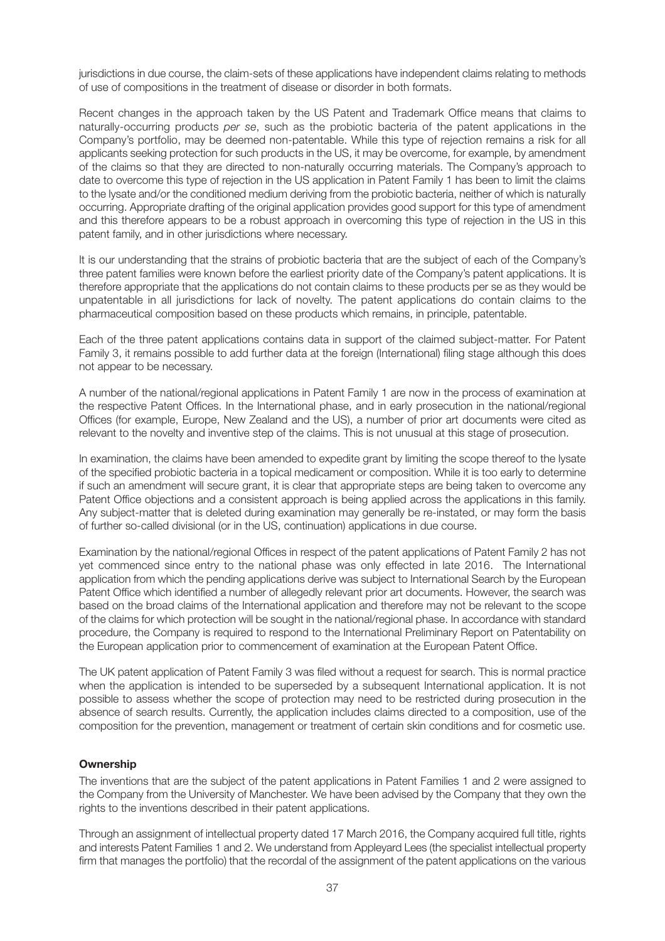jurisdictions in due course, the claim-sets of these applications have independent claims relating to methods of use of compositions in the treatment of disease or disorder in both formats.

Recent changes in the approach taken by the US Patent and Trademark Office means that claims to naturally-occurring products *per se*, such as the probiotic bacteria of the patent applications in the Company's portfolio, may be deemed non-patentable. While this type of rejection remains a risk for all applicants seeking protection for such products in the US, it may be overcome, for example, by amendment of the claims so that they are directed to non-naturally occurring materials. The Company's approach to date to overcome this type of rejection in the US application in Patent Family 1 has been to limit the claims to the lysate and/or the conditioned medium deriving from the probiotic bacteria, neither of which is naturally occurring. Appropriate drafting of the original application provides good support for this type of amendment and this therefore appears to be a robust approach in overcoming this type of rejection in the US in this patent family, and in other jurisdictions where necessary.

It is our understanding that the strains of probiotic bacteria that are the subject of each of the Company's three patent families were known before the earliest priority date of the Company's patent applications. It is therefore appropriate that the applications do not contain claims to these products per se as they would be unpatentable in all jurisdictions for lack of novelty. The patent applications do contain claims to the pharmaceutical composition based on these products which remains, in principle, patentable.

Each of the three patent applications contains data in support of the claimed subject-matter. For Patent Family 3, it remains possible to add further data at the foreign (International) filing stage although this does not appear to be necessary.

A number of the national/regional applications in Patent Family 1 are now in the process of examination at the respective Patent Offices. In the International phase, and in early prosecution in the national/regional Offices (for example, Europe, New Zealand and the US), a number of prior art documents were cited as relevant to the novelty and inventive step of the claims. This is not unusual at this stage of prosecution.

In examination, the claims have been amended to expedite grant by limiting the scope thereof to the lysate of the specified probiotic bacteria in a topical medicament or composition. While it is too early to determine if such an amendment will secure grant, it is clear that appropriate steps are being taken to overcome any Patent Office objections and a consistent approach is being applied across the applications in this family. Any subject-matter that is deleted during examination may generally be re-instated, or may form the basis of further so-called divisional (or in the US, continuation) applications in due course.

Examination by the national/regional Offices in respect of the patent applications of Patent Family 2 has not yet commenced since entry to the national phase was only effected in late 2016. The International application from which the pending applications derive was subject to International Search by the European Patent Office which identified a number of allegedly relevant prior art documents. However, the search was based on the broad claims of the International application and therefore may not be relevant to the scope of the claims for which protection will be sought in the national/regional phase. In accordance with standard procedure, the Company is required to respond to the International Preliminary Report on Patentability on the European application prior to commencement of examination at the European Patent Office.

The UK patent application of Patent Family 3 was filed without a request for search. This is normal practice when the application is intended to be superseded by a subsequent International application. It is not possible to assess whether the scope of protection may need to be restricted during prosecution in the absence of search results. Currently, the application includes claims directed to a composition, use of the composition for the prevention, management or treatment of certain skin conditions and for cosmetic use.

# **Ownership**

The inventions that are the subject of the patent applications in Patent Families 1 and 2 were assigned to the Company from the University of Manchester. We have been advised by the Company that they own the rights to the inventions described in their patent applications.

Through an assignment of intellectual property dated 17 March 2016, the Company acquired full title, rights and interests Patent Families 1 and 2. We understand from Appleyard Lees (the specialist intellectual property firm that manages the portfolio) that the recordal of the assignment of the patent applications on the various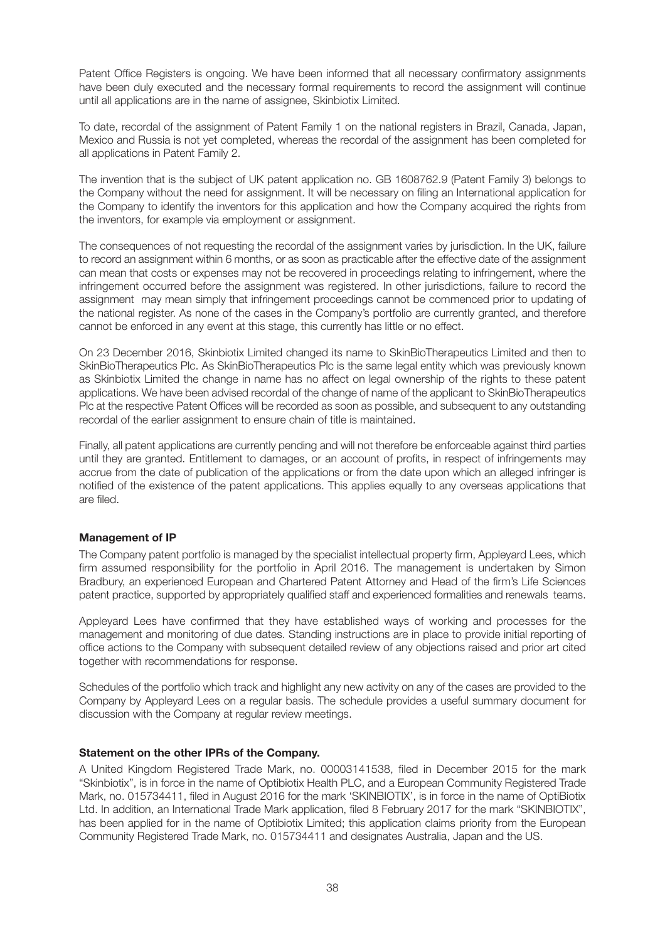Patent Office Registers is ongoing. We have been informed that all necessary confirmatory assignments have been duly executed and the necessary formal requirements to record the assignment will continue until all applications are in the name of assignee, Skinbiotix Limited.

To date, recordal of the assignment of Patent Family 1 on the national registers in Brazil, Canada, Japan, Mexico and Russia is not yet completed, whereas the recordal of the assignment has been completed for all applications in Patent Family 2.

The invention that is the subject of UK patent application no. GB 1608762.9 (Patent Family 3) belongs to the Company without the need for assignment. It will be necessary on filing an International application for the Company to identify the inventors for this application and how the Company acquired the rights from the inventors, for example via employment or assignment.

The consequences of not requesting the recordal of the assignment varies by jurisdiction. In the UK, failure to record an assignment within 6 months, or as soon as practicable after the effective date of the assignment can mean that costs or expenses may not be recovered in proceedings relating to infringement, where the infringement occurred before the assignment was registered. In other jurisdictions, failure to record the assignment may mean simply that infringement proceedings cannot be commenced prior to updating of the national register. As none of the cases in the Company's portfolio are currently granted, and therefore cannot be enforced in any event at this stage, this currently has little or no effect.

On 23 December 2016, Skinbiotix Limited changed its name to SkinBioTherapeutics Limited and then to SkinBioTherapeutics Plc. As SkinBioTherapeutics Plc is the same legal entity which was previously known as Skinbiotix Limited the change in name has no affect on legal ownership of the rights to these patent applications. We have been advised recordal of the change of name of the applicant to SkinBioTherapeutics Plc at the respective Patent Offices will be recorded as soon as possible, and subsequent to any outstanding recordal of the earlier assignment to ensure chain of title is maintained.

Finally, all patent applications are currently pending and will not therefore be enforceable against third parties until they are granted. Entitlement to damages, or an account of profits, in respect of infringements may accrue from the date of publication of the applications or from the date upon which an alleged infringer is notified of the existence of the patent applications. This applies equally to any overseas applications that are filed.

# **Management of IP**

The Company patent portfolio is managed by the specialist intellectual property firm, Appleyard Lees, which firm assumed responsibility for the portfolio in April 2016. The management is undertaken by Simon Bradbury, an experienced European and Chartered Patent Attorney and Head of the firm's Life Sciences patent practice, supported by appropriately qualified staff and experienced formalities and renewals teams.

Appleyard Lees have confirmed that they have established ways of working and processes for the management and monitoring of due dates. Standing instructions are in place to provide initial reporting of office actions to the Company with subsequent detailed review of any objections raised and prior art cited together with recommendations for response.

Schedules of the portfolio which track and highlight any new activity on any of the cases are provided to the Company by Appleyard Lees on a regular basis. The schedule provides a useful summary document for discussion with the Company at regular review meetings.

## **Statement on the other IPRs of the Company.**

A United Kingdom Registered Trade Mark, no. 00003141538, filed in December 2015 for the mark "Skinbiotix", is in force in the name of Optibiotix Health PLC, and a European Community Registered Trade Mark, no. 015734411, filed in August 2016 for the mark 'SKINBIOTIX', is in force in the name of OptiBiotix Ltd. In addition, an International Trade Mark application, filed 8 February 2017 for the mark "SKINBIOTIX", has been applied for in the name of Optibiotix Limited; this application claims priority from the European Community Registered Trade Mark, no. 015734411 and designates Australia, Japan and the US.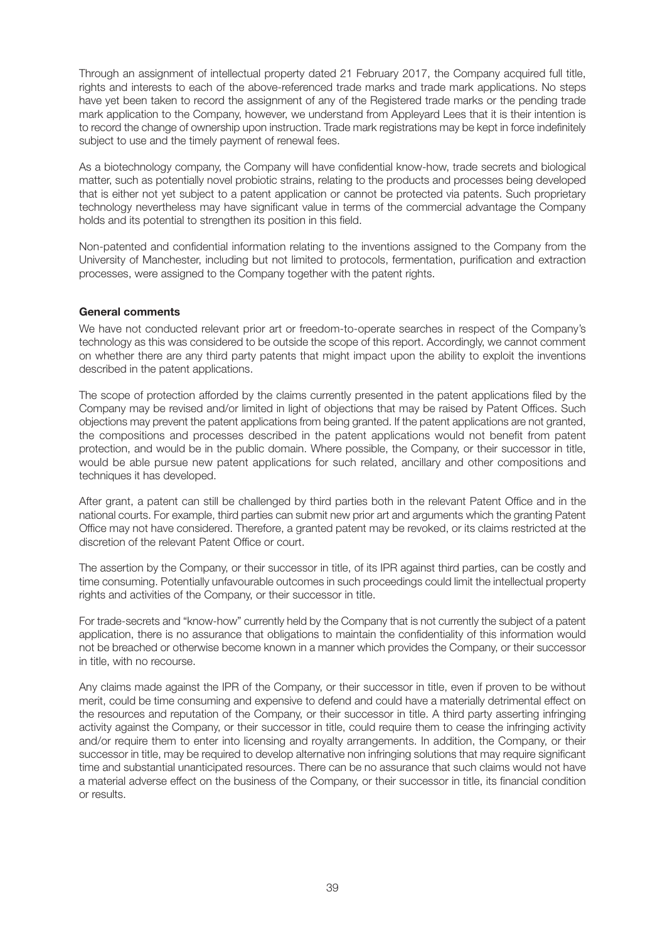Through an assignment of intellectual property dated 21 February 2017, the Company acquired full title, rights and interests to each of the above-referenced trade marks and trade mark applications. No steps have yet been taken to record the assignment of any of the Registered trade marks or the pending trade mark application to the Company, however, we understand from Appleyard Lees that it is their intention is to record the change of ownership upon instruction. Trade mark registrations may be kept in force indefinitely subject to use and the timely payment of renewal fees.

As a biotechnology company, the Company will have confidential know-how, trade secrets and biological matter, such as potentially novel probiotic strains, relating to the products and processes being developed that is either not yet subject to a patent application or cannot be protected via patents. Such proprietary technology nevertheless may have significant value in terms of the commercial advantage the Company holds and its potential to strengthen its position in this field.

Non-patented and confidential information relating to the inventions assigned to the Company from the University of Manchester, including but not limited to protocols, fermentation, purification and extraction processes, were assigned to the Company together with the patent rights.

# **General comments**

We have not conducted relevant prior art or freedom-to-operate searches in respect of the Company's technology as this was considered to be outside the scope of this report. Accordingly, we cannot comment on whether there are any third party patents that might impact upon the ability to exploit the inventions described in the patent applications.

The scope of protection afforded by the claims currently presented in the patent applications filed by the Company may be revised and/or limited in light of objections that may be raised by Patent Offices. Such objections may prevent the patent applications from being granted. If the patent applications are not granted, the compositions and processes described in the patent applications would not benefit from patent protection, and would be in the public domain. Where possible, the Company, or their successor in title, would be able pursue new patent applications for such related, ancillary and other compositions and techniques it has developed.

After grant, a patent can still be challenged by third parties both in the relevant Patent Office and in the national courts. For example, third parties can submit new prior art and arguments which the granting Patent Office may not have considered. Therefore, a granted patent may be revoked, or its claims restricted at the discretion of the relevant Patent Office or court.

The assertion by the Company, or their successor in title, of its IPR against third parties, can be costly and time consuming. Potentially unfavourable outcomes in such proceedings could limit the intellectual property rights and activities of the Company, or their successor in title.

For trade-secrets and "know-how" currently held by the Company that is not currently the subject of a patent application, there is no assurance that obligations to maintain the confidentiality of this information would not be breached or otherwise become known in a manner which provides the Company, or their successor in title, with no recourse.

Any claims made against the IPR of the Company, or their successor in title, even if proven to be without merit, could be time consuming and expensive to defend and could have a materially detrimental effect on the resources and reputation of the Company, or their successor in title. A third party asserting infringing activity against the Company, or their successor in title, could require them to cease the infringing activity and/or require them to enter into licensing and royalty arrangements. In addition, the Company, or their successor in title, may be required to develop alternative non infringing solutions that may require significant time and substantial unanticipated resources. There can be no assurance that such claims would not have a material adverse effect on the business of the Company, or their successor in title, its financial condition or results.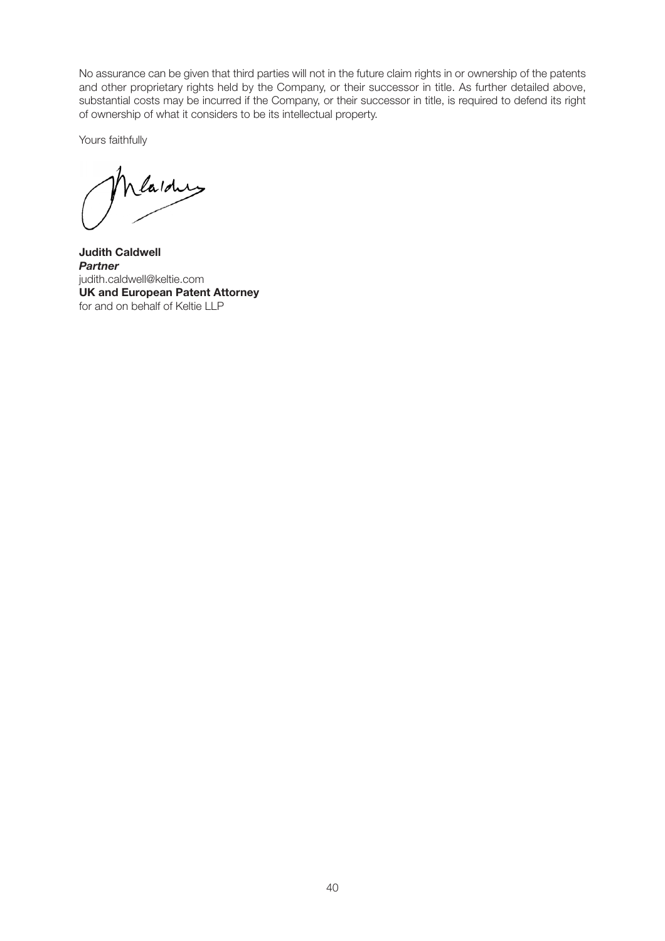No assurance can be given that third parties will not in the future claim rights in or ownership of the patents and other proprietary rights held by the Company, or their successor in title. As further detailed above, substantial costs may be incurred if the Company, or their successor in title, is required to defend its right of ownership of what it considers to be its intellectual property.

Yours faithfully

Mardus

**Judith Caldwell** *Partner* judith.caldwell@keltie.com **UK and European Patent Attorney** for and on behalf of Keltie LLP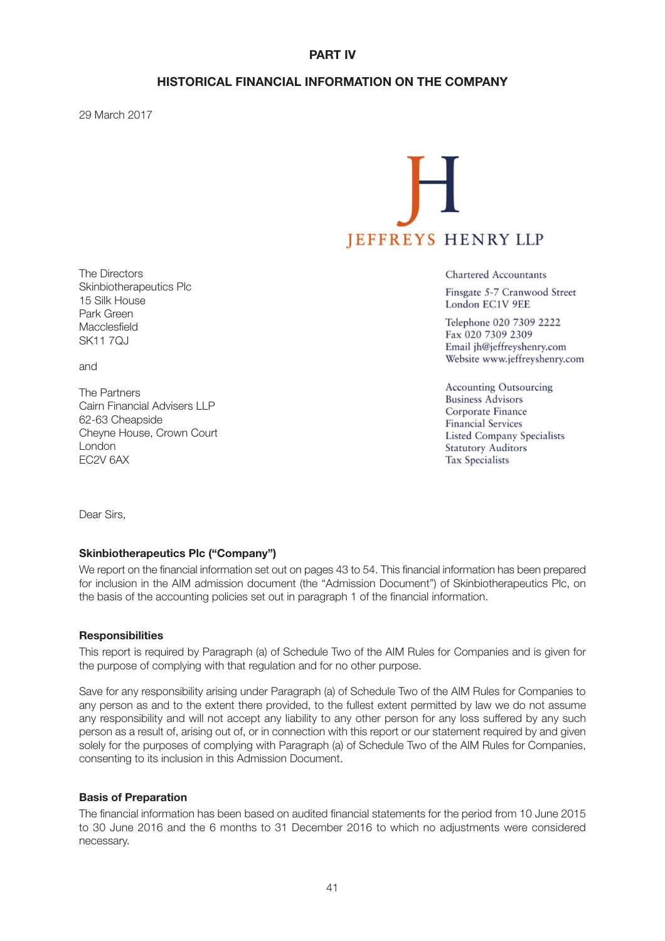# **PART IV**

# **HISTORICAL FINANCIAL INFORMATION ON THE COMPANY**

29 March 2017



**Chartered Accountants** 

Finsgate 5-7 Cranwood Street London EC1V 9EE

Telephone 020 7309 2222 Fax 020 7309 2309 Email jh@jeffreyshenry.com Website www.jeffreyshenry.com

**Accounting Outsourcing Business Advisors** Corporate Finance **Financial Services Listed Company Specialists Statutory Auditors Tax Specialists** 

The Directors Skinbiotherapeutics Plc 15 Silk House Park Green Macclesfield SK11 70J

and

The Partners Cairn Financial Advisers LLP 62-63 Cheapside Cheyne House, Crown Court London EC2V 6AX

Dear Sirs,

## **Skinbiotherapeutics Plc ("Company")**

We report on the financial information set out on pages 43 to 54. This financial information has been prepared for inclusion in the AIM admission document (the "Admission Document") of Skinbiotherapeutics Plc, on the basis of the accounting policies set out in paragraph 1 of the financial information.

## **Responsibilities**

This report is required by Paragraph (a) of Schedule Two of the AIM Rules for Companies and is given for the purpose of complying with that regulation and for no other purpose.

Save for any responsibility arising under Paragraph (a) of Schedule Two of the AIM Rules for Companies to any person as and to the extent there provided, to the fullest extent permitted by law we do not assume any responsibility and will not accept any liability to any other person for any loss suffered by any such person as a result of, arising out of, or in connection with this report or our statement required by and given solely for the purposes of complying with Paragraph (a) of Schedule Two of the AIM Rules for Companies, consenting to its inclusion in this Admission Document.

## **Basis of Preparation**

The financial information has been based on audited financial statements for the period from 10 June 2015 to 30 June 2016 and the 6 months to 31 December 2016 to which no adjustments were considered necessary.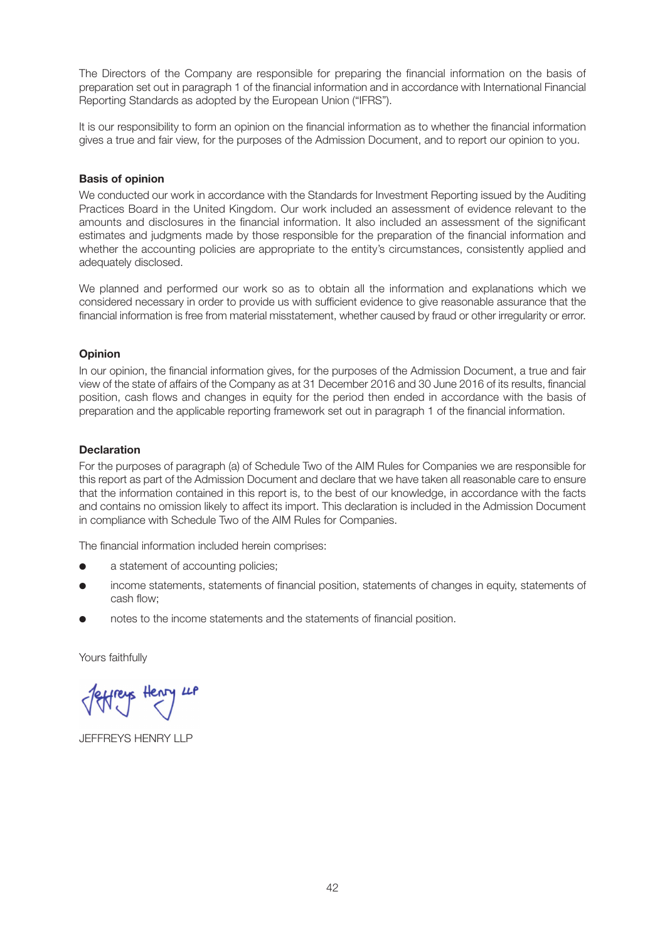The Directors of the Company are responsible for preparing the financial information on the basis of preparation set out in paragraph 1 of the financial information and in accordance with International Financial Reporting Standards as adopted by the European Union ("IFRS").

It is our responsibility to form an opinion on the financial information as to whether the financial information gives a true and fair view, for the purposes of the Admission Document, and to report our opinion to you.

## **Basis of opinion**

We conducted our work in accordance with the Standards for Investment Reporting issued by the Auditing Practices Board in the United Kingdom. Our work included an assessment of evidence relevant to the amounts and disclosures in the financial information. It also included an assessment of the significant estimates and judgments made by those responsible for the preparation of the financial information and whether the accounting policies are appropriate to the entity's circumstances, consistently applied and adequately disclosed.

We planned and performed our work so as to obtain all the information and explanations which we considered necessary in order to provide us with sufficient evidence to give reasonable assurance that the financial information is free from material misstatement, whether caused by fraud or other irregularity or error.

## **Opinion**

In our opinion, the financial information gives, for the purposes of the Admission Document, a true and fair view of the state of affairs of the Company as at 31 December 2016 and 30 June 2016 of its results, financial position, cash flows and changes in equity for the period then ended in accordance with the basis of preparation and the applicable reporting framework set out in paragraph 1 of the financial information.

## **Declaration**

For the purposes of paragraph (a) of Schedule Two of the AIM Rules for Companies we are responsible for this report as part of the Admission Document and declare that we have taken all reasonable care to ensure that the information contained in this report is, to the best of our knowledge, in accordance with the facts and contains no omission likely to affect its import. This declaration is included in the Admission Document in compliance with Schedule Two of the AIM Rules for Companies.

The financial information included herein comprises:

- a statement of accounting policies;
- income statements, statements of financial position, statements of changes in equity, statements of cash flow;
- notes to the income statements and the statements of financial position.

Yours faithfully

JEFFREYS HENRY LLP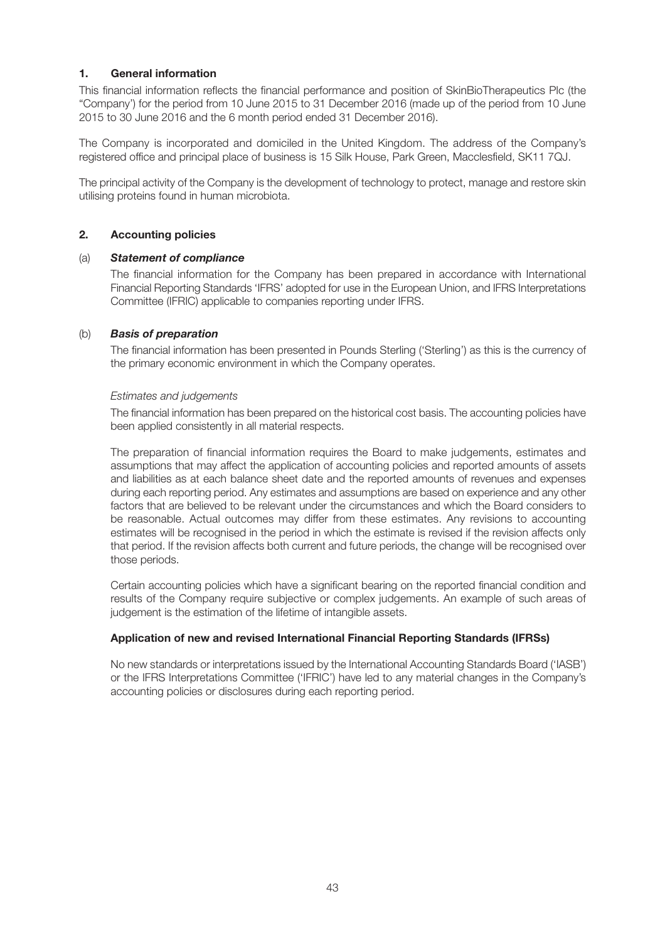# **1. General information**

This financial information reflects the financial performance and position of SkinBioTherapeutics Plc (the "Company') for the period from 10 June 2015 to 31 December 2016 (made up of the period from 10 June 2015 to 30 June 2016 and the 6 month period ended 31 December 2016).

The Company is incorporated and domiciled in the United Kingdom. The address of the Company's registered office and principal place of business is 15 Silk House, Park Green, Macclesfield, SK11 7QJ.

The principal activity of the Company is the development of technology to protect, manage and restore skin utilising proteins found in human microbiota.

## **2. Accounting policies**

## (a) *Statement of compliance*

The financial information for the Company has been prepared in accordance with International Financial Reporting Standards 'IFRS' adopted for use in the European Union, and IFRS Interpretations Committee (IFRIC) applicable to companies reporting under IFRS.

## (b) *Basis of preparation*

The financial information has been presented in Pounds Sterling ('Sterling') as this is the currency of the primary economic environment in which the Company operates.

## *Estimates and judgements*

The financial information has been prepared on the historical cost basis. The accounting policies have been applied consistently in all material respects.

The preparation of financial information requires the Board to make judgements, estimates and assumptions that may affect the application of accounting policies and reported amounts of assets and liabilities as at each balance sheet date and the reported amounts of revenues and expenses during each reporting period. Any estimates and assumptions are based on experience and any other factors that are believed to be relevant under the circumstances and which the Board considers to be reasonable. Actual outcomes may differ from these estimates. Any revisions to accounting estimates will be recognised in the period in which the estimate is revised if the revision affects only that period. If the revision affects both current and future periods, the change will be recognised over those periods.

Certain accounting policies which have a significant bearing on the reported financial condition and results of the Company require subjective or complex judgements. An example of such areas of judgement is the estimation of the lifetime of intangible assets.

# **Application of new and revised International Financial Reporting Standards (IFRSs)**

No new standards or interpretations issued by the International Accounting Standards Board ('IASB') or the IFRS Interpretations Committee ('IFRIC') have led to any material changes in the Company's accounting policies or disclosures during each reporting period.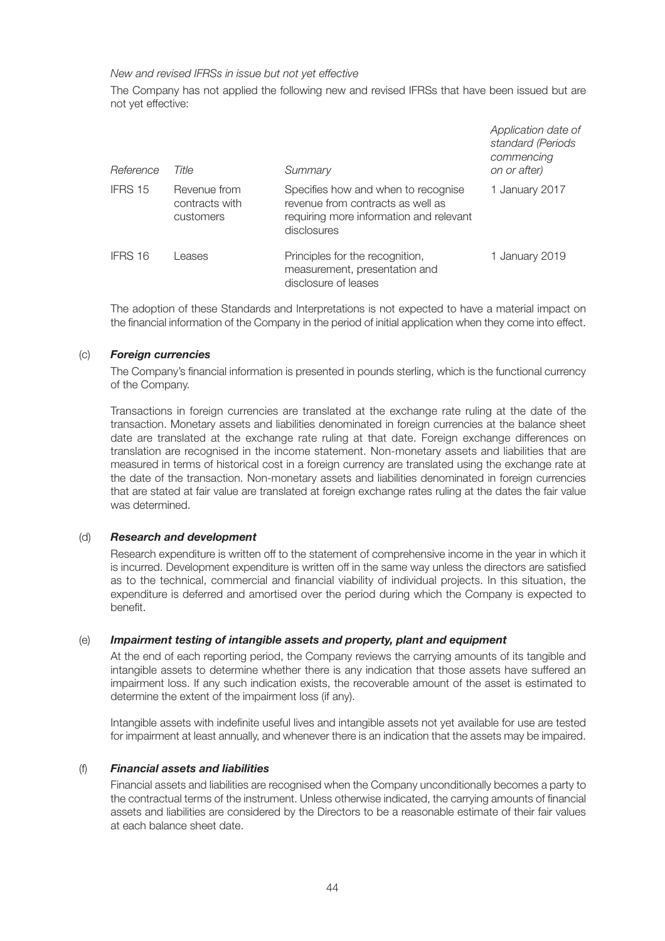## *New and revised IFRSs in issue but not yet effective*

The Company has not applied the following new and revised IFRSs that have been issued but are not yet effective:

| Reference | Title                                       | Summary                                                                                                                            | Application date of<br>standard (Periods<br>commencing<br>on or after) |
|-----------|---------------------------------------------|------------------------------------------------------------------------------------------------------------------------------------|------------------------------------------------------------------------|
| IFRS 15   | Revenue from<br>contracts with<br>customers | Specifies how and when to recognise<br>revenue from contracts as well as<br>requiring more information and relevant<br>disclosures | 1 January 2017                                                         |
| IFRS 16   | eases                                       | Principles for the recognition,<br>measurement, presentation and<br>disclosure of leases                                           | 1 January 2019                                                         |

The adoption of these Standards and Interpretations is not expected to have a material impact on the financial information of the Company in the period of initial application when they come into effect.

## (c) *Foreign currencies*

The Company's financial information is presented in pounds sterling, which is the functional currency of the Company.

Transactions in foreign currencies are translated at the exchange rate ruling at the date of the transaction. Monetary assets and liabilities denominated in foreign currencies at the balance sheet date are translated at the exchange rate ruling at that date. Foreign exchange differences on translation are recognised in the income statement. Non-monetary assets and liabilities that are measured in terms of historical cost in a foreign currency are translated using the exchange rate at the date of the transaction. Non-monetary assets and liabilities denominated in foreign currencies that are stated at fair value are translated at foreign exchange rates ruling at the dates the fair value was determined.

# (d) *Research and development*

Research expenditure is written off to the statement of comprehensive income in the year in which it is incurred. Development expenditure is written off in the same way unless the directors are satisfied as to the technical, commercial and financial viability of individual projects. In this situation, the expenditure is deferred and amortised over the period during which the Company is expected to benefit.

# (e) *Impairment testing of intangible assets and property, plant and equipment*

At the end of each reporting period, the Company reviews the carrying amounts of its tangible and intangible assets to determine whether there is any indication that those assets have suffered an impairment loss. If any such indication exists, the recoverable amount of the asset is estimated to determine the extent of the impairment loss (if any).

Intangible assets with indefinite useful lives and intangible assets not yet available for use are tested for impairment at least annually, and whenever there is an indication that the assets may be impaired.

## (f) *Financial assets and liabilities*

Financial assets and liabilities are recognised when the Company unconditionally becomes a party to the contractual terms of the instrument. Unless otherwise indicated, the carrying amounts of financial assets and liabilities are considered by the Directors to be a reasonable estimate of their fair values at each balance sheet date.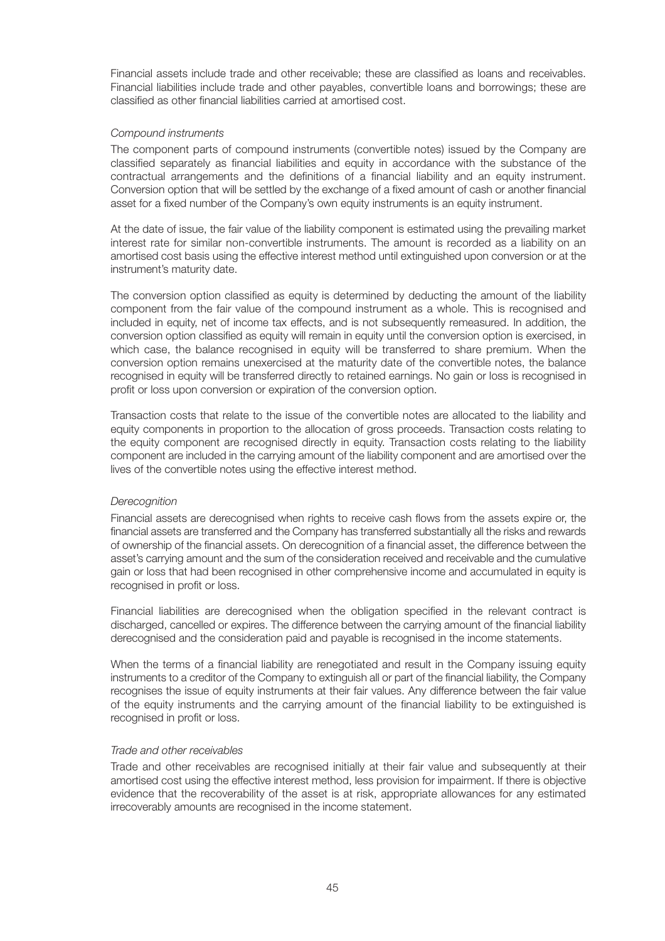Financial assets include trade and other receivable; these are classified as loans and receivables. Financial liabilities include trade and other payables, convertible loans and borrowings; these are classified as other financial liabilities carried at amortised cost.

## *Compound instruments*

The component parts of compound instruments (convertible notes) issued by the Company are classified separately as financial liabilities and equity in accordance with the substance of the contractual arrangements and the definitions of a financial liability and an equity instrument. Conversion option that will be settled by the exchange of a fixed amount of cash or another financial asset for a fixed number of the Company's own equity instruments is an equity instrument.

At the date of issue, the fair value of the liability component is estimated using the prevailing market interest rate for similar non-convertible instruments. The amount is recorded as a liability on an amortised cost basis using the effective interest method until extinguished upon conversion or at the instrument's maturity date.

The conversion option classified as equity is determined by deducting the amount of the liability component from the fair value of the compound instrument as a whole. This is recognised and included in equity, net of income tax effects, and is not subsequently remeasured. In addition, the conversion option classified as equity will remain in equity until the conversion option is exercised, in which case, the balance recognised in equity will be transferred to share premium. When the conversion option remains unexercised at the maturity date of the convertible notes, the balance recognised in equity will be transferred directly to retained earnings. No gain or loss is recognised in profit or loss upon conversion or expiration of the conversion option.

Transaction costs that relate to the issue of the convertible notes are allocated to the liability and equity components in proportion to the allocation of gross proceeds. Transaction costs relating to the equity component are recognised directly in equity. Transaction costs relating to the liability component are included in the carrying amount of the liability component and are amortised over the lives of the convertible notes using the effective interest method.

## *Derecognition*

Financial assets are derecognised when rights to receive cash flows from the assets expire or, the financial assets are transferred and the Company has transferred substantially all the risks and rewards of ownership of the financial assets. On derecognition of a financial asset, the difference between the asset's carrying amount and the sum of the consideration received and receivable and the cumulative gain or loss that had been recognised in other comprehensive income and accumulated in equity is recognised in profit or loss.

Financial liabilities are derecognised when the obligation specified in the relevant contract is discharged, cancelled or expires. The difference between the carrying amount of the financial liability derecognised and the consideration paid and payable is recognised in the income statements.

When the terms of a financial liability are renegotiated and result in the Company issuing equity instruments to a creditor of the Company to extinguish all or part of the financial liability, the Company recognises the issue of equity instruments at their fair values. Any difference between the fair value of the equity instruments and the carrying amount of the financial liability to be extinguished is recognised in profit or loss.

## *Trade and other receivables*

Trade and other receivables are recognised initially at their fair value and subsequently at their amortised cost using the effective interest method, less provision for impairment. If there is objective evidence that the recoverability of the asset is at risk, appropriate allowances for any estimated irrecoverably amounts are recognised in the income statement.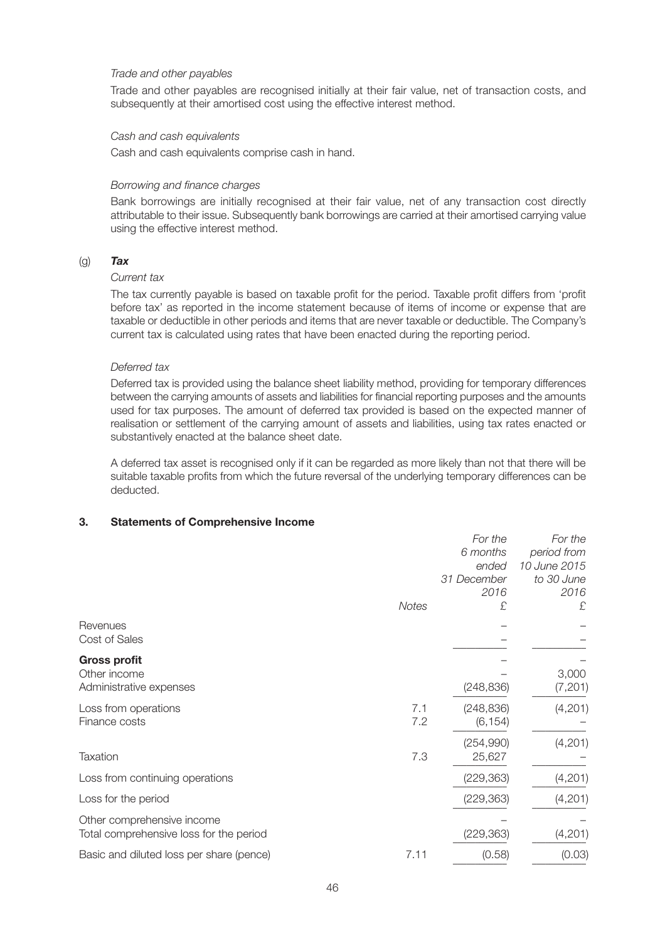## *Trade and other payables*

Trade and other payables are recognised initially at their fair value, net of transaction costs, and subsequently at their amortised cost using the effective interest method.

## *Cash and cash equivalents*

Cash and cash equivalents comprise cash in hand.

## *Borrowing and finance charges*

Bank borrowings are initially recognised at their fair value, net of any transaction cost directly attributable to their issue. Subsequently bank borrowings are carried at their amortised carrying value using the effective interest method.

## (g) *Tax*

## *Current tax*

The tax currently payable is based on taxable profit for the period. Taxable profit differs from 'profit before tax' as reported in the income statement because of items of income or expense that are taxable or deductible in other periods and items that are never taxable or deductible. The Company's current tax is calculated using rates that have been enacted during the reporting period.

## *Deferred tax*

Deferred tax is provided using the balance sheet liability method, providing for temporary differences between the carrying amounts of assets and liabilities for financial reporting purposes and the amounts used for tax purposes. The amount of deferred tax provided is based on the expected manner of realisation or settlement of the carrying amount of assets and liabilities, using tax rates enacted or substantively enacted at the balance sheet date.

A deferred tax asset is recognised only if it can be regarded as more likely than not that there will be suitable taxable profits from which the future reversal of the underlying temporary differences can be deducted.

# **3. Statements of Comprehensive Income**

|                                                                       |              | For the<br>6 months<br>ended<br>31 December | For the<br>period from<br>10 June 2015<br>to 30 June |
|-----------------------------------------------------------------------|--------------|---------------------------------------------|------------------------------------------------------|
|                                                                       | <b>Notes</b> | 2016<br>£                                   | 2016<br>£                                            |
| Revenues<br>Cost of Sales                                             |              |                                             |                                                      |
| <b>Gross profit</b><br>Other income<br>Administrative expenses        |              | (248, 836)                                  | 3,000<br>(7, 201)                                    |
| Loss from operations<br>Finance costs                                 | 7.1<br>7.2   | (248, 836)<br>(6, 154)                      | (4,201)                                              |
| <b>Taxation</b>                                                       | 7.3          | (254,990)<br>25,627                         | (4,201)                                              |
| Loss from continuing operations                                       |              | (229, 363)                                  | (4,201)                                              |
| Loss for the period                                                   |              | (229, 363)                                  | (4,201)                                              |
| Other comprehensive income<br>Total comprehensive loss for the period |              | (229, 363)                                  | (4, 201)                                             |
| Basic and diluted loss per share (pence)                              | 7.11         | (0.58)                                      | (0.03)                                               |
|                                                                       |              |                                             |                                                      |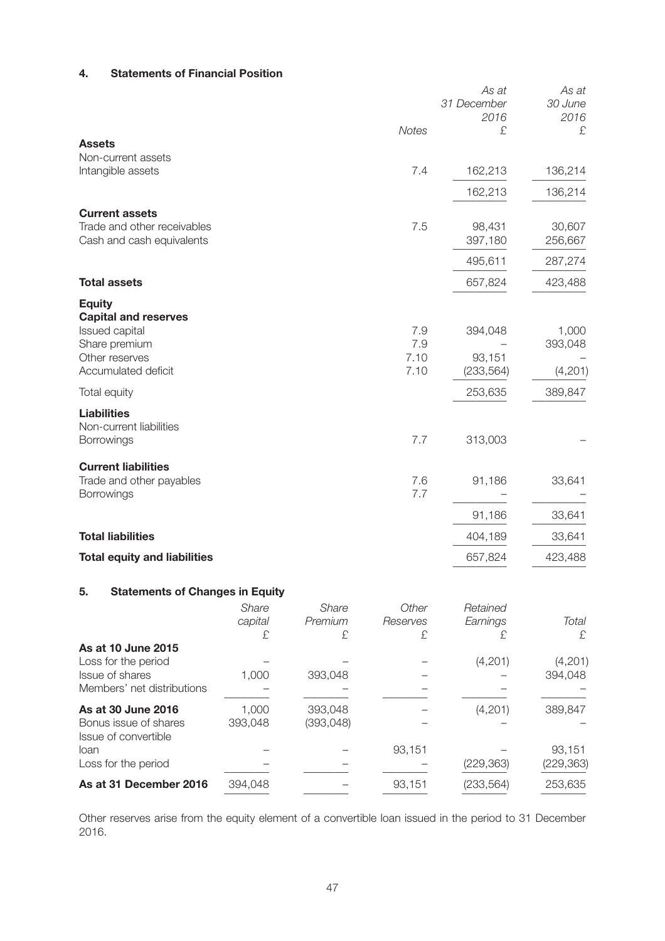# **4. Statements of Financial Position**

|                                                        |         |         |              | As at<br>31 December<br>2016 | As at<br>30 June<br>2016 |
|--------------------------------------------------------|---------|---------|--------------|------------------------------|--------------------------|
| <b>Assets</b>                                          |         |         | Notes        | £                            | £                        |
| Non-current assets                                     |         |         |              |                              |                          |
| Intangible assets                                      |         |         | 7.4          | 162,213                      | 136,214                  |
|                                                        |         |         |              | 162,213                      | 136,214                  |
| <b>Current assets</b>                                  |         |         |              |                              |                          |
| Trade and other receivables                            |         |         | 7.5          | 98,431                       | 30,607                   |
| Cash and cash equivalents                              |         |         |              | 397,180                      | 256,667                  |
|                                                        |         |         |              | 495,611                      | 287,274                  |
| <b>Total assets</b>                                    |         |         |              | 657,824                      | 423,488                  |
| <b>Equity</b>                                          |         |         |              |                              |                          |
| <b>Capital and reserves</b><br>Issued capital          |         |         | 7.9          | 394,048                      | 1,000                    |
| Share premium                                          |         |         | 7.9          |                              | 393,048                  |
| Other reserves<br>Accumulated deficit                  |         |         | 7.10<br>7.10 | 93,151<br>(233, 564)         | (4,201)                  |
| Total equity                                           |         |         |              | 253,635                      | 389,847                  |
| <b>Liabilities</b>                                     |         |         |              |                              |                          |
| Non-current liabilities<br>Borrowings                  |         |         | 7.7          | 313,003                      |                          |
|                                                        |         |         |              |                              |                          |
| <b>Current liabilities</b><br>Trade and other payables |         |         | 7.6          | 91,186                       | 33,641                   |
| Borrowings                                             |         |         | 7.7          |                              |                          |
|                                                        |         |         |              | 91,186                       | 33,641                   |
| <b>Total liabilities</b>                               |         |         |              | 404,189                      | 33,641                   |
| <b>Total equity and liabilities</b>                    |         |         |              | 657,824                      | 423,488                  |
| 5.<br><b>Statements of Changes in Equity</b>           |         |         |              |                              |                          |
|                                                        | Share   | Share   | Other        | Retained                     |                          |
|                                                        | capital | Premium | Reserves     | Earnings                     | Total                    |
| As at 10 June 2015                                     | £       | £       | £            | £                            | £                        |
| Loss for the period                                    |         |         |              | (4,201)                      | (4,201)                  |
| Issue of shares<br>Members' net distributions          | 1,000   | 393,048 |              |                              | 394,048                  |
| As at 30 June 2016                                     | 1,000   | 393,048 |              | (4,201)                      | 389,847                  |
|                                                        |         |         |              |                              |                          |

| AS at 30 June 2016     | UUU. I  | 393.U48   |        | (4, 201)   | 38Y.847    |
|------------------------|---------|-----------|--------|------------|------------|
| Bonus issue of shares  | 393.048 | (393,048) |        |            |            |
| Issue of convertible   |         |           |        |            |            |
| loan                   |         |           | 93.151 |            | 93.151     |
| Loss for the period    |         |           |        | (229, 363) | (229, 363) |
| As at 31 December 2016 | 394.048 |           | 93.151 | (233.564)  | 253,635    |
|                        |         |           |        |            |            |

Other reserves arise from the equity element of a convertible loan issued in the period to 31 December 2016.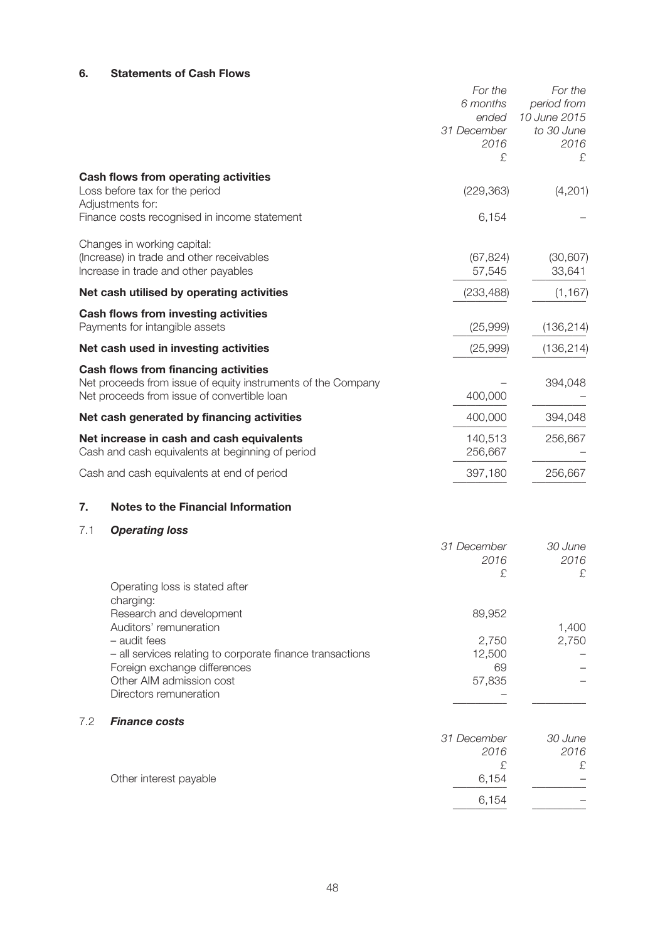# **6. Statements of Cash Flows**

|     |                                                                                                                                                                                                                       | 31 December | For the<br>6 months<br>ended<br>2016<br>£ | For the<br>period from<br>10 June 2015<br>to 30 June<br>2016<br>£ |
|-----|-----------------------------------------------------------------------------------------------------------------------------------------------------------------------------------------------------------------------|-------------|-------------------------------------------|-------------------------------------------------------------------|
|     | Cash flows from operating activities<br>Loss before tax for the period<br>Adjustments for:                                                                                                                            |             | (229, 363)                                | (4,201)                                                           |
|     | Finance costs recognised in income statement                                                                                                                                                                          |             | 6,154                                     |                                                                   |
|     | Changes in working capital:<br>(Increase) in trade and other receivables<br>Increase in trade and other payables                                                                                                      |             | (67, 824)<br>57,545                       | (30, 607)<br>33,641                                               |
|     | Net cash utilised by operating activities                                                                                                                                                                             |             | (233, 488)                                | (1, 167)                                                          |
|     | <b>Cash flows from investing activities</b><br>Payments for intangible assets                                                                                                                                         |             | (25,999)                                  | (136, 214)                                                        |
|     | Net cash used in investing activities                                                                                                                                                                                 |             | (25,999)                                  | (136, 214)                                                        |
|     | <b>Cash flows from financing activities</b><br>Net proceeds from issue of equity instruments of the Company<br>Net proceeds from issue of convertible loan                                                            |             | 400,000                                   | 394,048                                                           |
|     | Net cash generated by financing activities                                                                                                                                                                            |             | 400,000                                   | 394,048                                                           |
|     | Net increase in cash and cash equivalents<br>Cash and cash equivalents at beginning of period                                                                                                                         |             | 140,513<br>256,667                        | 256,667                                                           |
|     | Cash and cash equivalents at end of period                                                                                                                                                                            |             | 397,180                                   | 256,667                                                           |
| 7.  | <b>Notes to the Financial Information</b>                                                                                                                                                                             |             |                                           |                                                                   |
| 7.1 | <b>Operating loss</b>                                                                                                                                                                                                 |             |                                           |                                                                   |
|     |                                                                                                                                                                                                                       | 31 December | 2016<br>£                                 | 30 June<br>2016<br>£                                              |
|     | Operating loss is stated after<br>charging:                                                                                                                                                                           |             |                                           |                                                                   |
|     | Research and development<br>Auditors' remuneration<br>- audit fees<br>- all services relating to corporate finance transactions<br>Foreign exchange differences<br>Other AIM admission cost<br>Directors remuneration |             | 89,952<br>2,750<br>12,500<br>69<br>57,835 | 1,400<br>2,750                                                    |
| 7.2 | <b>Finance costs</b>                                                                                                                                                                                                  |             |                                           |                                                                   |
|     |                                                                                                                                                                                                                       | 31 December | 2016<br>£                                 | 30 June<br>2016<br>£                                              |
|     | Other interest payable                                                                                                                                                                                                |             | 6,154                                     |                                                                   |
|     |                                                                                                                                                                                                                       |             | 6,154                                     |                                                                   |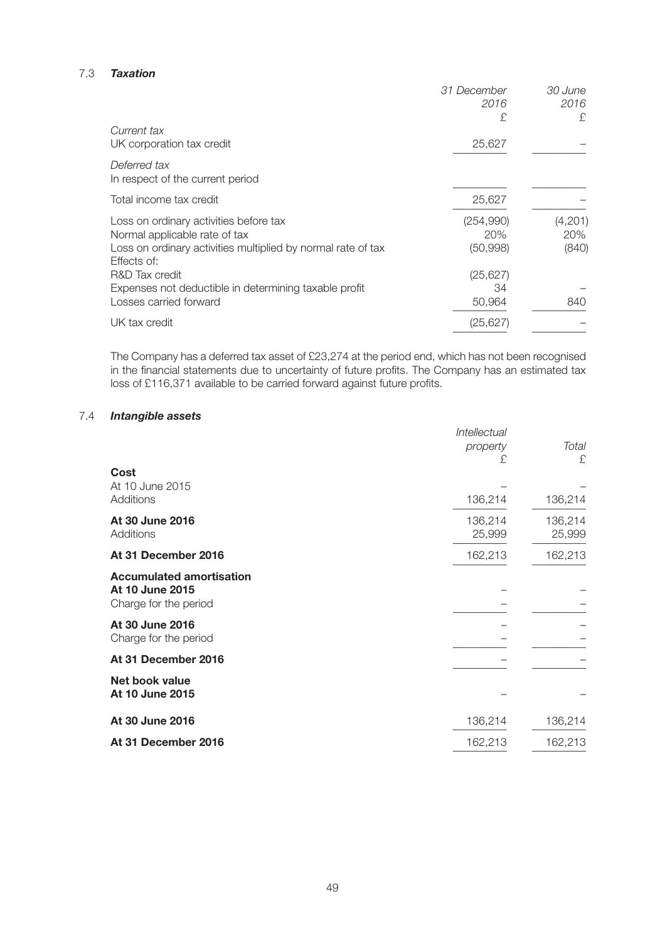## 7.3 *Taxation*

|                                                                             | 31 December<br>2016 | 30 June<br>2016 |
|-----------------------------------------------------------------------------|---------------------|-----------------|
|                                                                             | £                   | £.              |
| Current tax                                                                 |                     |                 |
| UK corporation tax credit                                                   | 25,627              |                 |
| Deferred tax                                                                |                     |                 |
| In respect of the current period                                            |                     |                 |
| Total income tax credit                                                     | 25,627              |                 |
| Loss on ordinary activities before tax                                      | (254,990)           | (4,201)         |
| Normal applicable rate of tax                                               | 20%                 | 20%             |
| Loss on ordinary activities multiplied by normal rate of tax<br>Effects of: | (50, 998)           | (840)           |
| R&D Tax credit                                                              | (25, 627)           |                 |
| Expenses not deductible in determining taxable profit                       | 34                  |                 |
| Losses carried forward                                                      | 50,964              | 840             |
| UK tax credit                                                               | (25, 627)           |                 |
|                                                                             |                     |                 |

The Company has a deferred tax asset of £23,274 at the period end, which has not been recognised in the financial statements due to uncertainty of future profits. The Company has an estimated tax loss of £116,371 available to be carried forward against future profits.

# 7.4 *Intangible assets*

|                                                                             | Intellectual      |                   |
|-----------------------------------------------------------------------------|-------------------|-------------------|
|                                                                             | property          | Total             |
|                                                                             | £.                | £                 |
| Cost<br>At 10 June 2015                                                     |                   |                   |
| Additions                                                                   | 136,214           | 136,214           |
| At 30 June 2016<br>Additions                                                | 136,214<br>25,999 | 136,214<br>25,999 |
| At 31 December 2016                                                         | 162,213           | 162,213           |
| <b>Accumulated amortisation</b><br>At 10 June 2015<br>Charge for the period |                   |                   |
| At 30 June 2016<br>Charge for the period                                    |                   |                   |
| At 31 December 2016                                                         |                   |                   |
| <b>Net book value</b><br>At 10 June 2015                                    |                   |                   |
| At 30 June 2016                                                             | 136,214           | 136,214           |
| At 31 December 2016                                                         | 162,213           | 162,213           |
|                                                                             |                   |                   |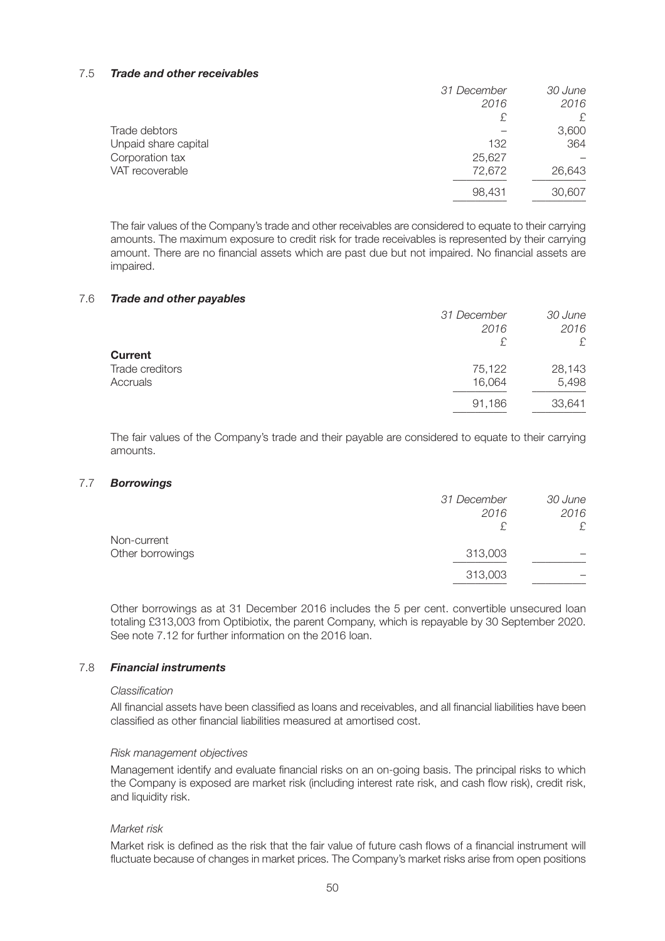## 7.5 *Trade and other receivables*

|                      | 31 December | 30 June |
|----------------------|-------------|---------|
|                      | 2016        | 2016    |
|                      | £           | £       |
| Trade debtors        |             | 3,600   |
| Unpaid share capital | 132         | 364     |
| Corporation tax      | 25,627      |         |
| VAT recoverable      | 72,672      | 26,643  |
|                      | 98,431      | 30,607  |
|                      |             |         |

The fair values of the Company's trade and other receivables are considered to equate to their carrying amounts. The maximum exposure to credit risk for trade receivables is represented by their carrying amount. There are no financial assets which are past due but not impaired. No financial assets are impaired.

## 7.6 *Trade and other payables*

|                 | 31 December | 30 June |
|-----------------|-------------|---------|
|                 | 2016        | 2016    |
|                 | £           | £       |
| <b>Current</b>  |             |         |
| Trade creditors | 75,122      | 28,143  |
| Accruals        | 16,064      | 5,498   |
|                 | 91,186      | 33,641  |

The fair values of the Company's trade and their payable are considered to equate to their carrying amounts.

## 7.7 *Borrowings*

|                  | 31 December | 30 June |
|------------------|-------------|---------|
|                  | 2016        | 2016    |
|                  |             | £       |
| Non-current      |             |         |
| Other borrowings | 313,003     |         |
|                  | 313,003     |         |
|                  |             |         |

Other borrowings as at 31 December 2016 includes the 5 per cent. convertible unsecured loan totaling £313,003 from Optibiotix, the parent Company, which is repayable by 30 September 2020. See note 7.12 for further information on the 2016 loan.

# 7.8 *Financial instruments*

## *Classification*

All financial assets have been classified as loans and receivables, and all financial liabilities have been classified as other financial liabilities measured at amortised cost.

## *Risk management objectives*

Management identify and evaluate financial risks on an on-going basis. The principal risks to which the Company is exposed are market risk (including interest rate risk, and cash flow risk), credit risk, and liquidity risk.

## *Market risk*

Market risk is defined as the risk that the fair value of future cash flows of a financial instrument will fluctuate because of changes in market prices. The Company's market risks arise from open positions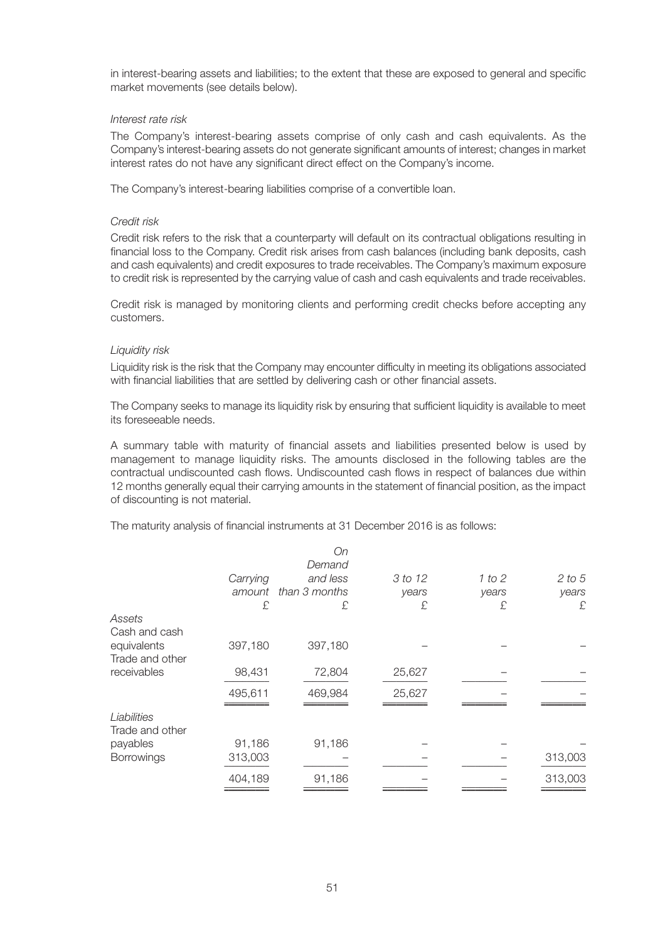in interest-bearing assets and liabilities; to the extent that these are exposed to general and specific market movements (see details below).

## *Interest rate risk*

The Company's interest-bearing assets comprise of only cash and cash equivalents. As the Company's interest-bearing assets do not generate significant amounts of interest; changes in market interest rates do not have any significant direct effect on the Company's income.

The Company's interest-bearing liabilities comprise of a convertible loan.

## *Credit risk*

Credit risk refers to the risk that a counterparty will default on its contractual obligations resulting in financial loss to the Company. Credit risk arises from cash balances (including bank deposits, cash and cash equivalents) and credit exposures to trade receivables. The Company's maximum exposure to credit risk is represented by the carrying value of cash and cash equivalents and trade receivables.

Credit risk is managed by monitoring clients and performing credit checks before accepting any customers.

## *Liquidity risk*

Liquidity risk is the risk that the Company may encounter difficulty in meeting its obligations associated with financial liabilities that are settled by delivering cash or other financial assets.

The Company seeks to manage its liquidity risk by ensuring that sufficient liquidity is available to meet its foreseeable needs.

A summary table with maturity of financial assets and liabilities presented below is used by management to manage liquidity risks. The amounts disclosed in the following tables are the contractual undiscounted cash flows. Undiscounted cash flows in respect of balances due within 12 months generally equal their carrying amounts in the statement of financial position, as the impact of discounting is not material.

The maturity analysis of financial instruments at 31 December 2016 is as follows:

|                                |          | On<br>Demand  |         |        |         |
|--------------------------------|----------|---------------|---------|--------|---------|
|                                | Carrying | and less      | 3 to 12 | 1 to 2 | 2 to 5  |
|                                | amount   | than 3 months | years   | years  | years   |
|                                | £        | £             | £       | £      | £       |
| Assets<br>Cash and cash        |          |               |         |        |         |
| equivalents<br>Trade and other | 397,180  | 397,180       |         |        |         |
| receivables                    | 98,431   | 72,804        | 25,627  |        |         |
|                                | 495,611  | 469,984       | 25,627  |        |         |
| Liabilities<br>Trade and other |          |               |         |        |         |
| payables                       | 91,186   | 91,186        |         |        |         |
| <b>Borrowings</b>              | 313,003  |               |         |        | 313,003 |
|                                | 404,189  | 91,186        |         |        | 313,003 |
|                                |          |               |         |        |         |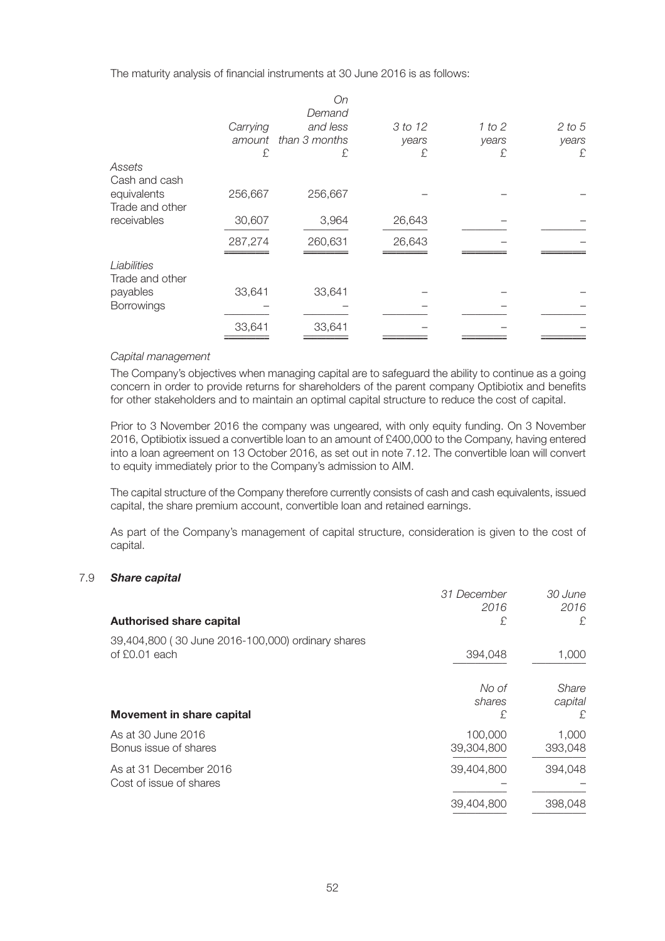The maturity analysis of financial instruments at 30 June 2016 is as follows:

|                                |          | On<br>Demand         |         |        |        |
|--------------------------------|----------|----------------------|---------|--------|--------|
|                                | Carrying | and less             | 3 to 12 | 1 to 2 | 2 to 5 |
|                                |          | amount than 3 months | years   | years  | years  |
|                                | £        | £                    | £       | £      | £      |
| Assets<br>Cash and cash        |          |                      |         |        |        |
| equivalents<br>Trade and other | 256,667  | 256,667              |         |        |        |
| receivables                    | 30,607   | 3,964                | 26,643  |        |        |
|                                | 287,274  | 260,631              | 26,643  |        |        |
| Liabilities<br>Trade and other |          |                      |         |        |        |
| payables                       | 33,641   | 33,641               |         |        |        |
| Borrowings                     |          |                      |         |        |        |
|                                | 33,641   | 33,641               |         |        |        |
|                                |          |                      |         |        |        |

## *Capital management*

The Company's objectives when managing capital are to safeguard the ability to continue as a going concern in order to provide returns for shareholders of the parent company Optibiotix and benefits for other stakeholders and to maintain an optimal capital structure to reduce the cost of capital.

Prior to 3 November 2016 the company was ungeared, with only equity funding. On 3 November 2016, Optibiotix issued a convertible loan to an amount of £400,000 to the Company, having entered into a loan agreement on 13 October 2016, as set out in note 7.12. The convertible loan will convert to equity immediately prior to the Company's admission to AIM.

The capital structure of the Company therefore currently consists of cash and cash equivalents, issued capital, the share premium account, convertible loan and retained earnings.

As part of the Company's management of capital structure, consideration is given to the cost of capital.

## 7.9 *Share capital*

|                                                                    | 31 December<br>2016   | 30 June<br>2016        |
|--------------------------------------------------------------------|-----------------------|------------------------|
| <b>Authorised share capital</b>                                    | £                     | £.                     |
| 39,404,800 (30 June 2016-100,000) ordinary shares<br>of £0.01 each | 394,048               | 1,000                  |
| Movement in share capital                                          | No of<br>shares<br>£  | Share<br>capital<br>£. |
| As at 30 June 2016<br>Bonus issue of shares                        | 100,000<br>39,304,800 | 1,000<br>393,048       |
| As at 31 December 2016<br>Cost of issue of shares                  | 39,404,800            | 394,048                |
|                                                                    | 39,404,800            | 398,048                |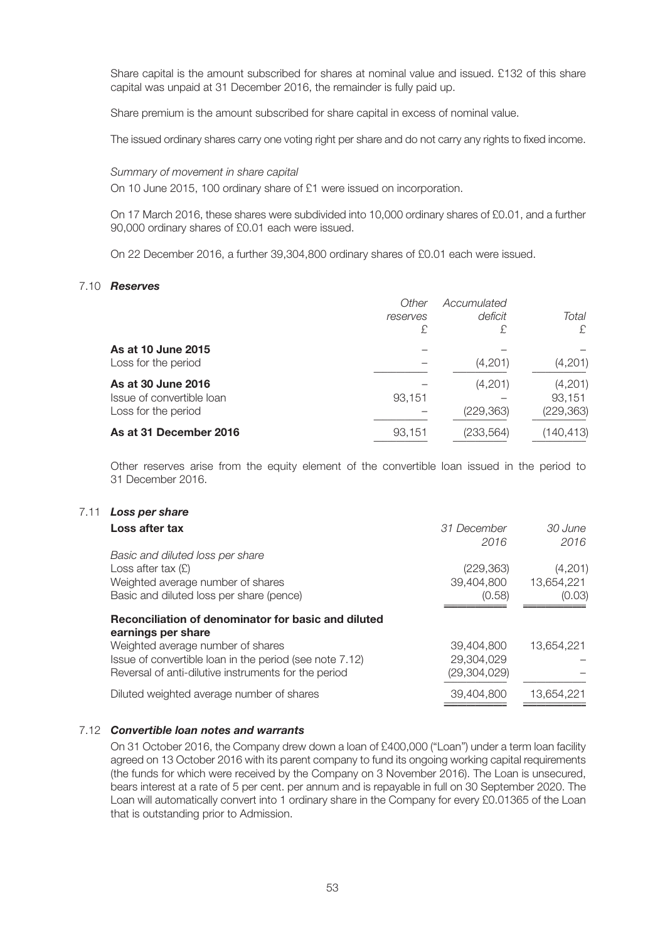Share capital is the amount subscribed for shares at nominal value and issued. £132 of this share capital was unpaid at 31 December 2016, the remainder is fully paid up.

Share premium is the amount subscribed for share capital in excess of nominal value.

The issued ordinary shares carry one voting right per share and do not carry any rights to fixed income.

*Summary of movement in share capital*

On 10 June 2015, 100 ordinary share of £1 were issued on incorporation.

On 17 March 2016, these shares were subdivided into 10,000 ordinary shares of £0.01, and a further 90,000 ordinary shares of £0.01 each were issued.

On 22 December 2016, a further 39,304,800 ordinary shares of £0.01 each were issued.

## 7.10 *Reserves*

|                                                                        | Other<br>reserves<br>£ | Accumulated<br>deficit<br>£ | Total<br>£                      |
|------------------------------------------------------------------------|------------------------|-----------------------------|---------------------------------|
| As at 10 June 2015<br>Loss for the period                              |                        | (4,201)                     | (4,201)                         |
| As at 30 June 2016<br>Issue of convertible loan<br>Loss for the period | 93,151                 | (4,201)<br>(229, 363)       | (4,201)<br>93.151<br>(229, 363) |
| As at 31 December 2016                                                 | 93,151                 | (233, 564)                  | (140,413)                       |

Other reserves arise from the equity element of the convertible loan issued in the period to 31 December 2016.

# 7.11 *Loss per share*

| Loss after tax                                                                                                                                       | 31 December<br>2016                        | 30 June<br>2016                 |
|------------------------------------------------------------------------------------------------------------------------------------------------------|--------------------------------------------|---------------------------------|
| Basic and diluted loss per share<br>Loss after tax $(E)$<br>Weighted average number of shares<br>Basic and diluted loss per share (pence)            | (229, 363)<br>39,404,800<br>(0.58)         | (4,201)<br>13.654.221<br>(0.03) |
| Reconciliation of denominator for basic and diluted<br>earnings per share                                                                            |                                            |                                 |
| Weighted average number of shares<br>Issue of convertible loan in the period (see note 7.12)<br>Reversal of anti-dilutive instruments for the period | 39,404,800<br>29,304,029<br>(29, 304, 029) | 13.654.221                      |
| Diluted weighted average number of shares                                                                                                            | 39,404,800                                 | 13,654,221                      |

# 7.12 *Convertible loan notes and warrants*

On 31 October 2016, the Company drew down a loan of £400,000 ("Loan") under a term loan facility agreed on 13 October 2016 with its parent company to fund its ongoing working capital requirements (the funds for which were received by the Company on 3 November 2016). The Loan is unsecured, bears interest at a rate of 5 per cent. per annum and is repayable in full on 30 September 2020. The Loan will automatically convert into 1 ordinary share in the Company for every £0.01365 of the Loan that is outstanding prior to Admission.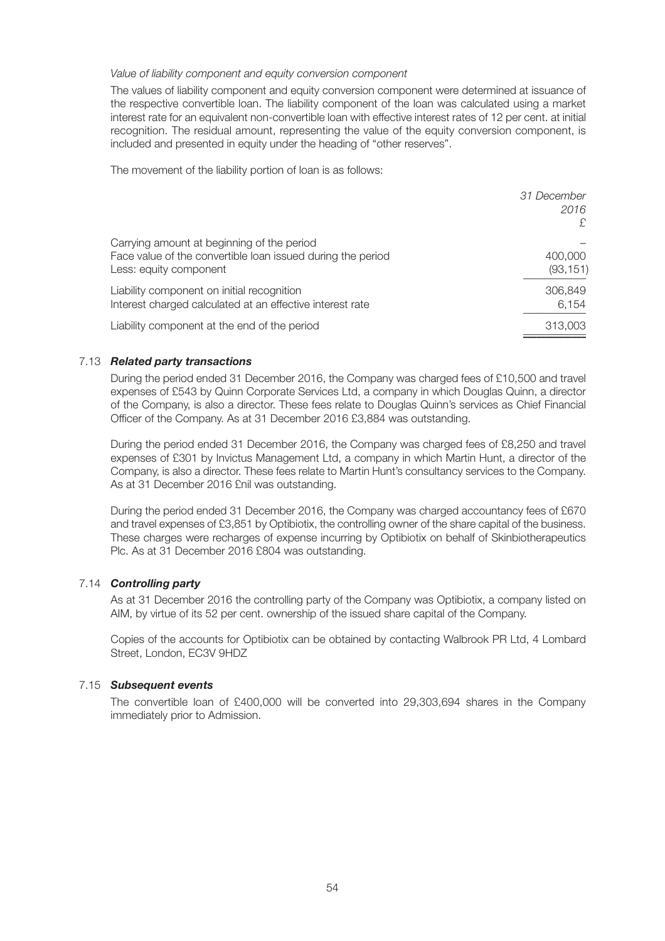## *Value of liability component and equity conversion component*

The values of liability component and equity conversion component were determined at issuance of the respective convertible loan. The liability component of the loan was calculated using a market interest rate for an equivalent non-convertible loan with effective interest rates of 12 per cent. at initial recognition. The residual amount, representing the value of the equity conversion component, is included and presented in equity under the heading of "other reserves".

The movement of the liability portion of loan is as follows:

|                                                                                                                                     | 31 December<br>2016<br>£ |
|-------------------------------------------------------------------------------------------------------------------------------------|--------------------------|
| Carrying amount at beginning of the period<br>Face value of the convertible loan issued during the period<br>Less: equity component | 400,000<br>(93, 151)     |
| Liability component on initial recognition<br>Interest charged calculated at an effective interest rate                             | 306,849<br>6,154         |
| Liability component at the end of the period                                                                                        | 313,003                  |

# 7.13 *Related party transactions*

During the period ended 31 December 2016, the Company was charged fees of £10,500 and travel expenses of £543 by Quinn Corporate Services Ltd, a company in which Douglas Quinn, a director of the Company, is also a director. These fees relate to Douglas Quinn's services as Chief Financial Officer of the Company. As at 31 December 2016 £3,884 was outstanding.

During the period ended 31 December 2016, the Company was charged fees of £8,250 and travel expenses of £301 by Invictus Management Ltd, a company in which Martin Hunt, a director of the Company, is also a director. These fees relate to Martin Hunt's consultancy services to the Company. As at 31 December 2016 £nil was outstanding.

During the period ended 31 December 2016, the Company was charged accountancy fees of £670 and travel expenses of £3,851 by Optibiotix, the controlling owner of the share capital of the business. These charges were recharges of expense incurring by Optibiotix on behalf of Skinbiotherapeutics Plc. As at 31 December 2016 £804 was outstanding.

# 7.14 *Controlling party*

As at 31 December 2016 the controlling party of the Company was Optibiotix, a company listed on AIM, by virtue of its 52 per cent. ownership of the issued share capital of the Company.

Copies of the accounts for Optibiotix can be obtained by contacting Walbrook PR Ltd, 4 Lombard Street, London, EC3V 9HDZ

## 7.15 *Subsequent events*

The convertible loan of £400,000 will be converted into 29,303,694 shares in the Company immediately prior to Admission.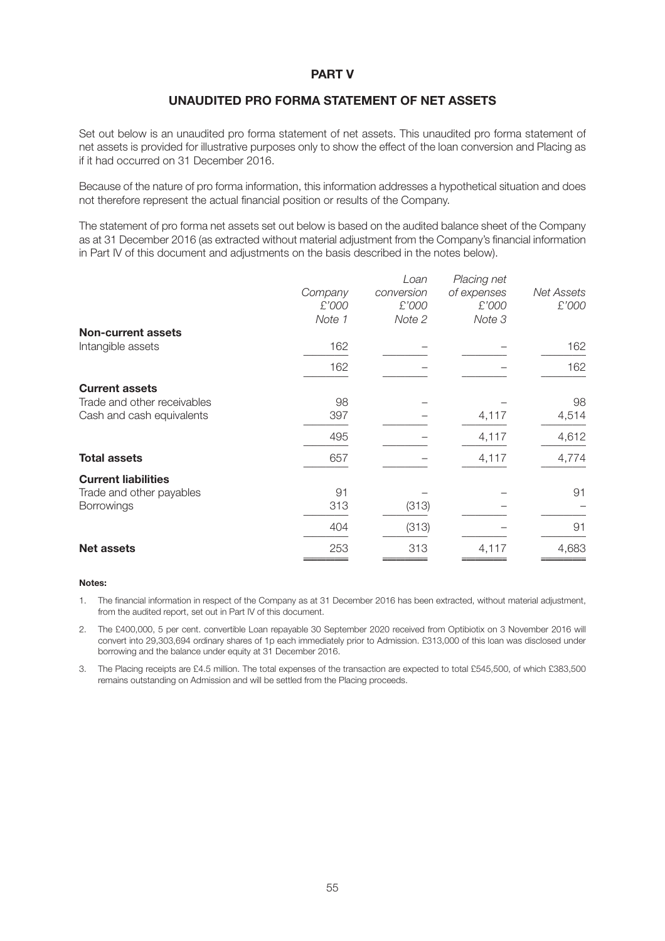# **PART V**

# **UNAUDITED PRO FORMA STATEMENT OF NET ASSETS**

Set out below is an unaudited pro forma statement of net assets. This unaudited pro forma statement of net assets is provided for illustrative purposes only to show the effect of the loan conversion and Placing as if it had occurred on 31 December 2016.

Because of the nature of pro forma information, this information addresses a hypothetical situation and does not therefore represent the actual financial position or results of the Company.

The statement of pro forma net assets set out below is based on the audited balance sheet of the Company as at 31 December 2016 (as extracted without material adjustment from the Company's financial information in Part IV of this document and adjustments on the basis described in the notes below).

|                             |         | Loan       | Placing net |                   |
|-----------------------------|---------|------------|-------------|-------------------|
|                             | Company | conversion | of expenses | <b>Net Assets</b> |
|                             | £'000   | £'000      | £'000       | £'000             |
|                             | Note 1  | Note 2     | Note 3      |                   |
| <b>Non-current assets</b>   |         |            |             |                   |
| Intangible assets           | 162     |            |             | 162               |
|                             | 162     |            |             | 162               |
| <b>Current assets</b>       |         |            |             |                   |
| Trade and other receivables | 98      |            |             | 98                |
| Cash and cash equivalents   | 397     |            | 4,117       | 4,514             |
|                             | 495     |            | 4,117       | 4,612             |
| <b>Total assets</b>         | 657     |            | 4,117       | 4,774             |
| <b>Current liabilities</b>  |         |            |             |                   |
| Trade and other payables    | 91      |            |             | 91                |
| <b>Borrowings</b>           | 313     | (313)      |             |                   |
|                             | 404     | (313)      |             | 91                |
| <b>Net assets</b>           | 253     | 313        | 4,117       | 4,683             |
|                             |         |            |             |                   |

#### **Notes:**

- 1. The financial information in respect of the Company as at 31 December 2016 has been extracted, without material adjustment, from the audited report, set out in Part IV of this document.
- 2. The £400,000, 5 per cent. convertible Loan repayable 30 September 2020 received from Optibiotix on 3 November 2016 will convert into 29,303,694 ordinary shares of 1p each immediately prior to Admission. £313,000 of this loan was disclosed under borrowing and the balance under equity at 31 December 2016.
- 3. The Placing receipts are £4.5 million. The total expenses of the transaction are expected to total £545,500, of which £383,500 remains outstanding on Admission and will be settled from the Placing proceeds.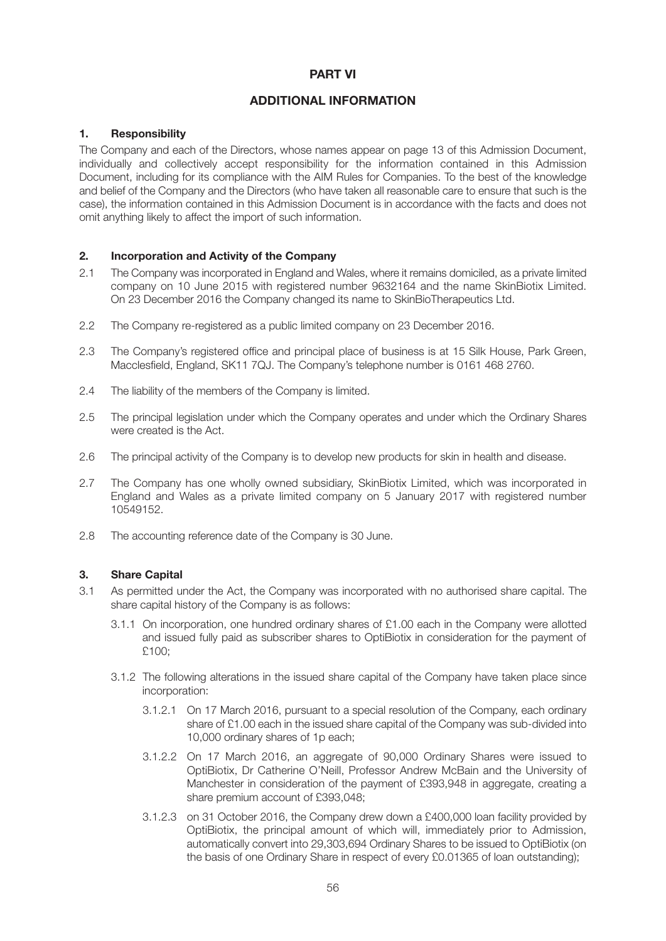# **PART VI**

# **ADDITIONAL INFORMATION**

# **1. Responsibility**

The Company and each of the Directors, whose names appear on page 13 of this Admission Document, individually and collectively accept responsibility for the information contained in this Admission Document, including for its compliance with the AIM Rules for Companies. To the best of the knowledge and belief of the Company and the Directors (who have taken all reasonable care to ensure that such is the case), the information contained in this Admission Document is in accordance with the facts and does not omit anything likely to affect the import of such information.

## **2. Incorporation and Activity of the Company**

- 2.1 The Company was incorporated in England and Wales, where it remains domiciled, as a private limited company on 10 June 2015 with registered number 9632164 and the name SkinBiotix Limited. On 23 December 2016 the Company changed its name to SkinBioTherapeutics Ltd.
- 2.2 The Company re-registered as a public limited company on 23 December 2016.
- 2.3 The Company's registered office and principal place of business is at 15 Silk House, Park Green, Macclesfield, England, SK11 7QJ. The Company's telephone number is 0161 468 2760.
- 2.4 The liability of the members of the Company is limited.
- 2.5 The principal legislation under which the Company operates and under which the Ordinary Shares were created is the Act.
- 2.6 The principal activity of the Company is to develop new products for skin in health and disease.
- 2.7 The Company has one wholly owned subsidiary, SkinBiotix Limited, which was incorporated in England and Wales as a private limited company on 5 January 2017 with registered number 10549152.
- 2.8 The accounting reference date of the Company is 30 June.

# **3. Share Capital**

- 3.1 As permitted under the Act, the Company was incorporated with no authorised share capital. The share capital history of the Company is as follows:
	- 3.1.1 On incorporation, one hundred ordinary shares of £1.00 each in the Company were allotted and issued fully paid as subscriber shares to OptiBiotix in consideration for the payment of £100;
	- 3.1.2 The following alterations in the issued share capital of the Company have taken place since incorporation:
		- 3.1.2.1 On 17 March 2016, pursuant to a special resolution of the Company, each ordinary share of £1.00 each in the issued share capital of the Company was sub-divided into 10,000 ordinary shares of 1p each;
		- 3.1.2.2 On 17 March 2016, an aggregate of 90,000 Ordinary Shares were issued to OptiBiotix, Dr Catherine O'Neill, Professor Andrew McBain and the University of Manchester in consideration of the payment of £393,948 in aggregate, creating a share premium account of £393,048;
		- 3.1.2.3 on 31 October 2016, the Company drew down a £400,000 loan facility provided by OptiBiotix, the principal amount of which will, immediately prior to Admission, automatically convert into 29,303,694 Ordinary Shares to be issued to OptiBiotix (on the basis of one Ordinary Share in respect of every £0.01365 of loan outstanding);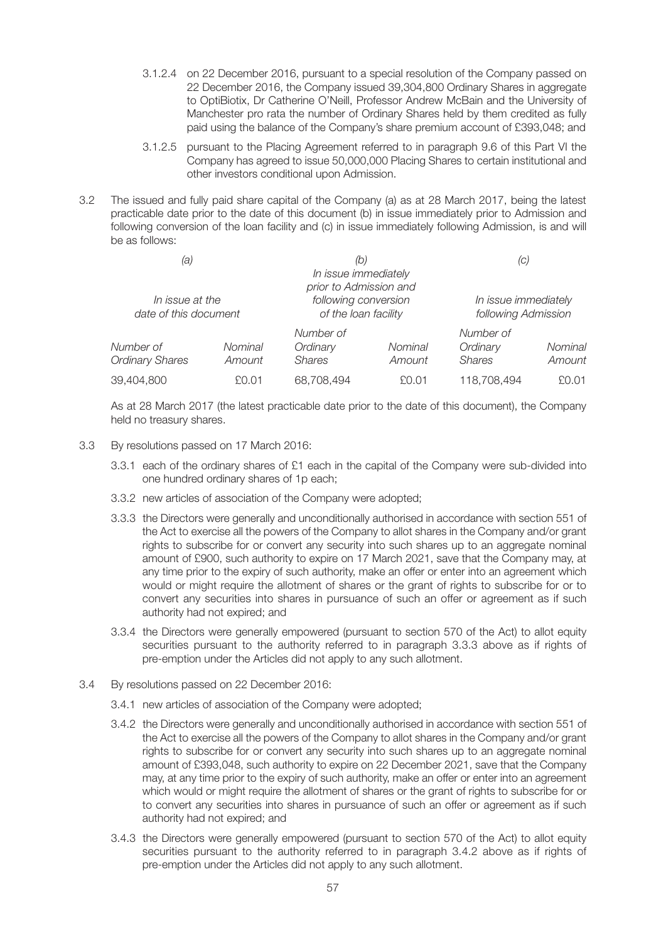- 3.1.2.4 on 22 December 2016, pursuant to a special resolution of the Company passed on 22 December 2016, the Company issued 39,304,800 Ordinary Shares in aggregate to OptiBiotix, Dr Catherine O'Neill, Professor Andrew McBain and the University of Manchester pro rata the number of Ordinary Shares held by them credited as fully paid using the balance of the Company's share premium account of £393,048; and
- 3.1.2.5 pursuant to the Placing Agreement referred to in paragraph 9.6 of this Part VI the Company has agreed to issue 50,000,000 Placing Shares to certain institutional and other investors conditional upon Admission.
- 3.2 The issued and fully paid share capital of the Company (a) as at 28 March 2017, being the latest practicable date prior to the date of this document (b) in issue immediately prior to Admission and following conversion of the loan facility and (c) in issue immediately following Admission, is and will be as follows:

| (a)                                      |                   | (b.<br>In issue immediately<br>prior to Admission and |                   | (C)                                         |                   |
|------------------------------------------|-------------------|-------------------------------------------------------|-------------------|---------------------------------------------|-------------------|
| In issue at the<br>date of this document |                   | following conversion<br>of the loan facility          |                   | In issue immediately<br>following Admission |                   |
| Number of<br><b>Ordinary Shares</b>      | Nominal<br>Amount | Number of<br>Ordinary<br><b>Shares</b>                | Nominal<br>Amount | Number of<br>Ordinary<br><b>Shares</b>      | Nominal<br>Amount |
| 39,404,800                               | £0.01             | 68,708,494                                            | £0.01             | 118,708,494                                 | £0.01             |

As at 28 March 2017 (the latest practicable date prior to the date of this document), the Company held no treasury shares.

- 3.3 By resolutions passed on 17 March 2016:
	- 3.3.1 each of the ordinary shares of £1 each in the capital of the Company were sub-divided into one hundred ordinary shares of 1p each;
	- 3.3.2 new articles of association of the Company were adopted;
	- 3.3.3 the Directors were generally and unconditionally authorised in accordance with section 551 of the Act to exercise all the powers of the Company to allot shares in the Company and/or grant rights to subscribe for or convert any security into such shares up to an aggregate nominal amount of £900, such authority to expire on 17 March 2021, save that the Company may, at any time prior to the expiry of such authority, make an offer or enter into an agreement which would or might require the allotment of shares or the grant of rights to subscribe for or to convert any securities into shares in pursuance of such an offer or agreement as if such authority had not expired; and
	- 3.3.4 the Directors were generally empowered (pursuant to section 570 of the Act) to allot equity securities pursuant to the authority referred to in paragraph 3.3.3 above as if rights of pre-emption under the Articles did not apply to any such allotment.
- 3.4 By resolutions passed on 22 December 2016:
	- 3.4.1 new articles of association of the Company were adopted;
	- 3.4.2 the Directors were generally and unconditionally authorised in accordance with section 551 of the Act to exercise all the powers of the Company to allot shares in the Company and/or grant rights to subscribe for or convert any security into such shares up to an aggregate nominal amount of £393,048, such authority to expire on 22 December 2021, save that the Company may, at any time prior to the expiry of such authority, make an offer or enter into an agreement which would or might require the allotment of shares or the grant of rights to subscribe for or to convert any securities into shares in pursuance of such an offer or agreement as if such authority had not expired; and
	- 3.4.3 the Directors were generally empowered (pursuant to section 570 of the Act) to allot equity securities pursuant to the authority referred to in paragraph 3.4.2 above as if rights of pre-emption under the Articles did not apply to any such allotment.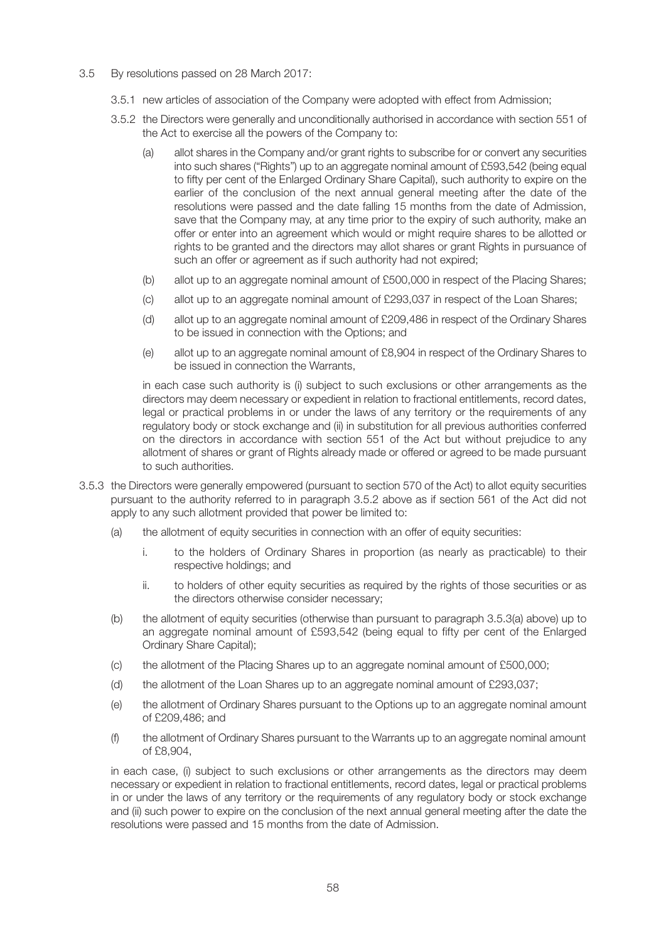- 3.5 By resolutions passed on 28 March 2017:
	- 3.5.1 new articles of association of the Company were adopted with effect from Admission;
	- 3.5.2 the Directors were generally and unconditionally authorised in accordance with section 551 of the Act to exercise all the powers of the Company to:
		- (a) allot shares in the Company and/or grant rights to subscribe for or convert any securities into such shares ("Rights") up to an aggregate nominal amount of £593,542 (being equal to fifty per cent of the Enlarged Ordinary Share Capital), such authority to expire on the earlier of the conclusion of the next annual general meeting after the date of the resolutions were passed and the date falling 15 months from the date of Admission, save that the Company may, at any time prior to the expiry of such authority, make an offer or enter into an agreement which would or might require shares to be allotted or rights to be granted and the directors may allot shares or grant Rights in pursuance of such an offer or agreement as if such authority had not expired;
		- (b) allot up to an aggregate nominal amount of £500,000 in respect of the Placing Shares;
		- (c) allot up to an aggregate nominal amount of £293,037 in respect of the Loan Shares;
		- (d) allot up to an aggregate nominal amount of £209,486 in respect of the Ordinary Shares to be issued in connection with the Options; and
		- (e) allot up to an aggregate nominal amount of £8,904 in respect of the Ordinary Shares to be issued in connection the Warrants,

in each case such authority is (i) subject to such exclusions or other arrangements as the directors may deem necessary or expedient in relation to fractional entitlements, record dates, legal or practical problems in or under the laws of any territory or the requirements of any regulatory body or stock exchange and (ii) in substitution for all previous authorities conferred on the directors in accordance with section 551 of the Act but without prejudice to any allotment of shares or grant of Rights already made or offered or agreed to be made pursuant to such authorities.

- 3.5.3 the Directors were generally empowered (pursuant to section 570 of the Act) to allot equity securities pursuant to the authority referred to in paragraph 3.5.2 above as if section 561 of the Act did not apply to any such allotment provided that power be limited to:
	- (a) the allotment of equity securities in connection with an offer of equity securities:
		- i. to the holders of Ordinary Shares in proportion (as nearly as practicable) to their respective holdings; and
		- ii. to holders of other equity securities as required by the rights of those securities or as the directors otherwise consider necessary;
	- (b) the allotment of equity securities (otherwise than pursuant to paragraph 3.5.3(a) above) up to an aggregate nominal amount of £593,542 (being equal to fifty per cent of the Enlarged Ordinary Share Capital);
	- (c) the allotment of the Placing Shares up to an aggregate nominal amount of £500,000;
	- (d) the allotment of the Loan Shares up to an aggregate nominal amount of £293,037;
	- (e) the allotment of Ordinary Shares pursuant to the Options up to an aggregate nominal amount of £209,486; and
	- (f) the allotment of Ordinary Shares pursuant to the Warrants up to an aggregate nominal amount of £8,904,

in each case, (i) subject to such exclusions or other arrangements as the directors may deem necessary or expedient in relation to fractional entitlements, record dates, legal or practical problems in or under the laws of any territory or the requirements of any regulatory body or stock exchange and (ii) such power to expire on the conclusion of the next annual general meeting after the date the resolutions were passed and 15 months from the date of Admission.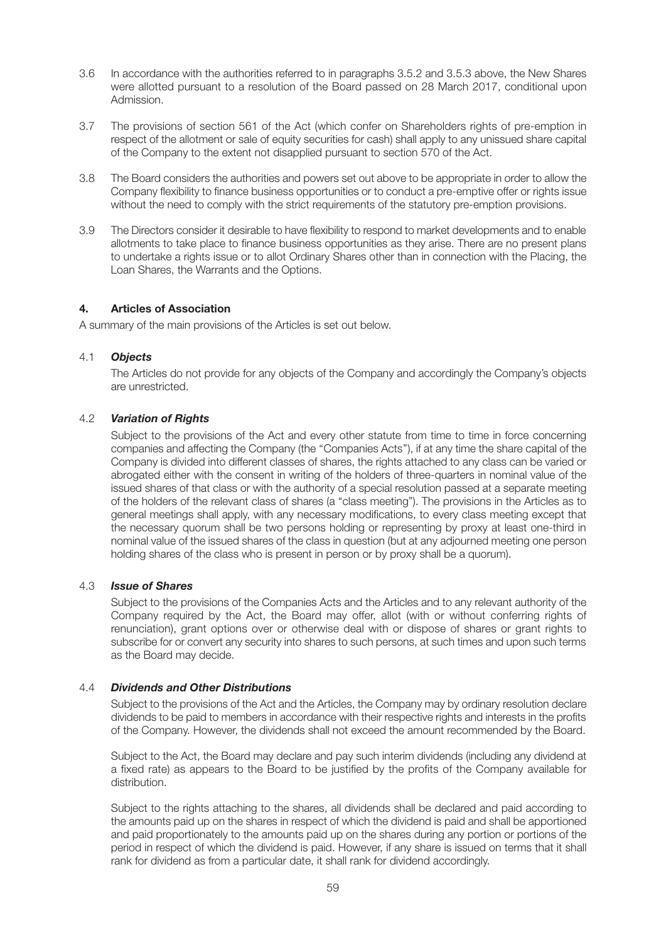- 3.6 In accordance with the authorities referred to in paragraphs 3.5.2 and 3.5.3 above, the New Shares were allotted pursuant to a resolution of the Board passed on 28 March 2017, conditional upon Admission.
- 3.7 The provisions of section 561 of the Act (which confer on Shareholders rights of pre-emption in respect of the allotment or sale of equity securities for cash) shall apply to any unissued share capital of the Company to the extent not disapplied pursuant to section 570 of the Act.
- 3.8 The Board considers the authorities and powers set out above to be appropriate in order to allow the Company flexibility to finance business opportunities or to conduct a pre-emptive offer or rights issue without the need to comply with the strict requirements of the statutory pre-emption provisions.
- 3.9 The Directors consider it desirable to have flexibility to respond to market developments and to enable allotments to take place to finance business opportunities as they arise. There are no present plans to undertake a rights issue or to allot Ordinary Shares other than in connection with the Placing, the Loan Shares, the Warrants and the Options.

# **4. Articles of Association**

A summary of the main provisions of the Articles is set out below.

# 4.1 *Objects*

The Articles do not provide for any objects of the Company and accordingly the Company's objects are unrestricted.

# 4.2 *Variation of Rights*

Subject to the provisions of the Act and every other statute from time to time in force concerning companies and affecting the Company (the ''Companies Acts''), if at any time the share capital of the Company is divided into different classes of shares, the rights attached to any class can be varied or abrogated either with the consent in writing of the holders of three-quarters in nominal value of the issued shares of that class or with the authority of a special resolution passed at a separate meeting of the holders of the relevant class of shares (a "class meeting"). The provisions in the Articles as to general meetings shall apply, with any necessary modifications, to every class meeting except that the necessary quorum shall be two persons holding or representing by proxy at least one-third in nominal value of the issued shares of the class in question (but at any adjourned meeting one person holding shares of the class who is present in person or by proxy shall be a quorum).

# 4.3 *Issue of Shares*

Subject to the provisions of the Companies Acts and the Articles and to any relevant authority of the Company required by the Act, the Board may offer, allot (with or without conferring rights of renunciation), grant options over or otherwise deal with or dispose of shares or grant rights to subscribe for or convert any security into shares to such persons, at such times and upon such terms as the Board may decide.

# 4.4 *Dividends and Other Distributions*

Subject to the provisions of the Act and the Articles, the Company may by ordinary resolution declare dividends to be paid to members in accordance with their respective rights and interests in the profits of the Company. However, the dividends shall not exceed the amount recommended by the Board.

Subject to the Act, the Board may declare and pay such interim dividends (including any dividend at a fixed rate) as appears to the Board to be justified by the profits of the Company available for distribution.

Subject to the rights attaching to the shares, all dividends shall be declared and paid according to the amounts paid up on the shares in respect of which the dividend is paid and shall be apportioned and paid proportionately to the amounts paid up on the shares during any portion or portions of the period in respect of which the dividend is paid. However, if any share is issued on terms that it shall rank for dividend as from a particular date, it shall rank for dividend accordingly.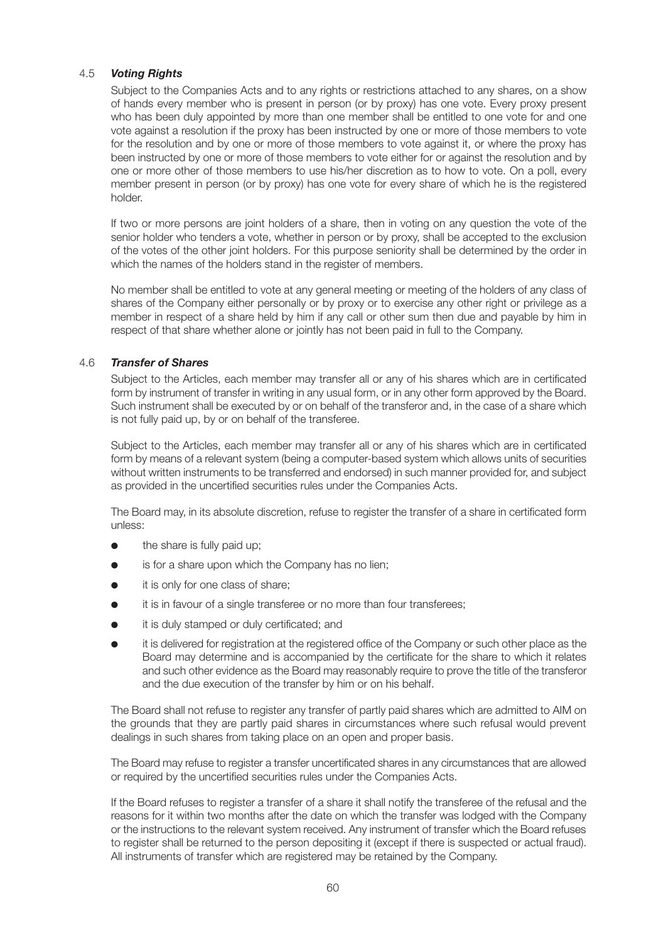# 4.5 *Voting Rights*

Subject to the Companies Acts and to any rights or restrictions attached to any shares, on a show of hands every member who is present in person (or by proxy) has one vote. Every proxy present who has been duly appointed by more than one member shall be entitled to one vote for and one vote against a resolution if the proxy has been instructed by one or more of those members to vote for the resolution and by one or more of those members to vote against it, or where the proxy has been instructed by one or more of those members to vote either for or against the resolution and by one or more other of those members to use his/her discretion as to how to vote. On a poll, every member present in person (or by proxy) has one vote for every share of which he is the registered holder.

If two or more persons are joint holders of a share, then in voting on any question the vote of the senior holder who tenders a vote, whether in person or by proxy, shall be accepted to the exclusion of the votes of the other joint holders. For this purpose seniority shall be determined by the order in which the names of the holders stand in the register of members.

No member shall be entitled to vote at any general meeting or meeting of the holders of any class of shares of the Company either personally or by proxy or to exercise any other right or privilege as a member in respect of a share held by him if any call or other sum then due and payable by him in respect of that share whether alone or jointly has not been paid in full to the Company.

# 4.6 *Transfer of Shares*

Subject to the Articles, each member may transfer all or any of his shares which are in certificated form by instrument of transfer in writing in any usual form, or in any other form approved by the Board. Such instrument shall be executed by or on behalf of the transferor and, in the case of a share which is not fully paid up, by or on behalf of the transferee.

Subject to the Articles, each member may transfer all or any of his shares which are in certificated form by means of a relevant system (being a computer-based system which allows units of securities without written instruments to be transferred and endorsed) in such manner provided for, and subject as provided in the uncertified securities rules under the Companies Acts.

The Board may, in its absolute discretion, refuse to register the transfer of a share in certificated form unless:

- the share is fully paid up;
- is for a share upon which the Company has no lien;
- it is only for one class of share:
- it is in favour of a single transferee or no more than four transferees;
- it is duly stamped or duly certificated; and
- **●** it is delivered for registration at the registered office of the Company or such other place as the Board may determine and is accompanied by the certificate for the share to which it relates and such other evidence as the Board may reasonably require to prove the title of the transferor and the due execution of the transfer by him or on his behalf.

The Board shall not refuse to register any transfer of partly paid shares which are admitted to AIM on the grounds that they are partly paid shares in circumstances where such refusal would prevent dealings in such shares from taking place on an open and proper basis.

The Board may refuse to register a transfer uncertificated shares in any circumstances that are allowed or required by the uncertified securities rules under the Companies Acts.

If the Board refuses to register a transfer of a share it shall notify the transferee of the refusal and the reasons for it within two months after the date on which the transfer was lodged with the Company or the instructions to the relevant system received. Any instrument of transfer which the Board refuses to register shall be returned to the person depositing it (except if there is suspected or actual fraud). All instruments of transfer which are registered may be retained by the Company.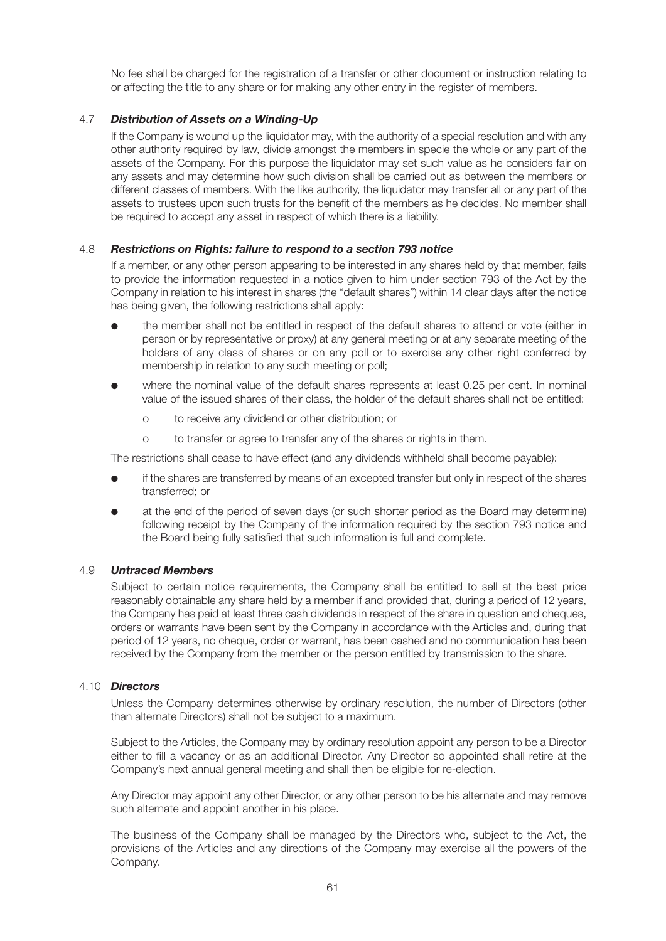No fee shall be charged for the registration of a transfer or other document or instruction relating to or affecting the title to any share or for making any other entry in the register of members.

# 4.7 *Distribution of Assets on a Winding-Up*

If the Company is wound up the liquidator may, with the authority of a special resolution and with any other authority required by law, divide amongst the members in specie the whole or any part of the assets of the Company. For this purpose the liquidator may set such value as he considers fair on any assets and may determine how such division shall be carried out as between the members or different classes of members. With the like authority, the liquidator may transfer all or any part of the assets to trustees upon such trusts for the benefit of the members as he decides. No member shall be required to accept any asset in respect of which there is a liability.

# 4.8 *Restrictions on Rights: failure to respond to a section 793 notice*

If a member, or any other person appearing to be interested in any shares held by that member, fails to provide the information requested in a notice given to him under section 793 of the Act by the Company in relation to his interest in shares (the "default shares") within 14 clear days after the notice has being given, the following restrictions shall apply:

- **●** the member shall not be entitled in respect of the default shares to attend or vote (either in person or by representative or proxy) at any general meeting or at any separate meeting of the holders of any class of shares or on any poll or to exercise any other right conferred by membership in relation to any such meeting or poll;
- where the nominal value of the default shares represents at least 0.25 per cent. In nominal value of the issued shares of their class, the holder of the default shares shall not be entitled:
	- o to receive any dividend or other distribution; or
	- o to transfer or agree to transfer any of the shares or rights in them.

The restrictions shall cease to have effect (and any dividends withheld shall become payable):

- if the shares are transferred by means of an excepted transfer but only in respect of the shares transferred; or
- at the end of the period of seven days (or such shorter period as the Board may determine) following receipt by the Company of the information required by the section 793 notice and the Board being fully satisfied that such information is full and complete.

# 4.9 *Untraced Members*

Subject to certain notice requirements, the Company shall be entitled to sell at the best price reasonably obtainable any share held by a member if and provided that, during a period of 12 years, the Company has paid at least three cash dividends in respect of the share in question and cheques, orders or warrants have been sent by the Company in accordance with the Articles and, during that period of 12 years, no cheque, order or warrant, has been cashed and no communication has been received by the Company from the member or the person entitled by transmission to the share.

# 4.10 *Directors*

Unless the Company determines otherwise by ordinary resolution, the number of Directors (other than alternate Directors) shall not be subject to a maximum.

Subject to the Articles, the Company may by ordinary resolution appoint any person to be a Director either to fill a vacancy or as an additional Director. Any Director so appointed shall retire at the Company's next annual general meeting and shall then be eligible for re-election.

Any Director may appoint any other Director, or any other person to be his alternate and may remove such alternate and appoint another in his place.

The business of the Company shall be managed by the Directors who, subject to the Act, the provisions of the Articles and any directions of the Company may exercise all the powers of the Company.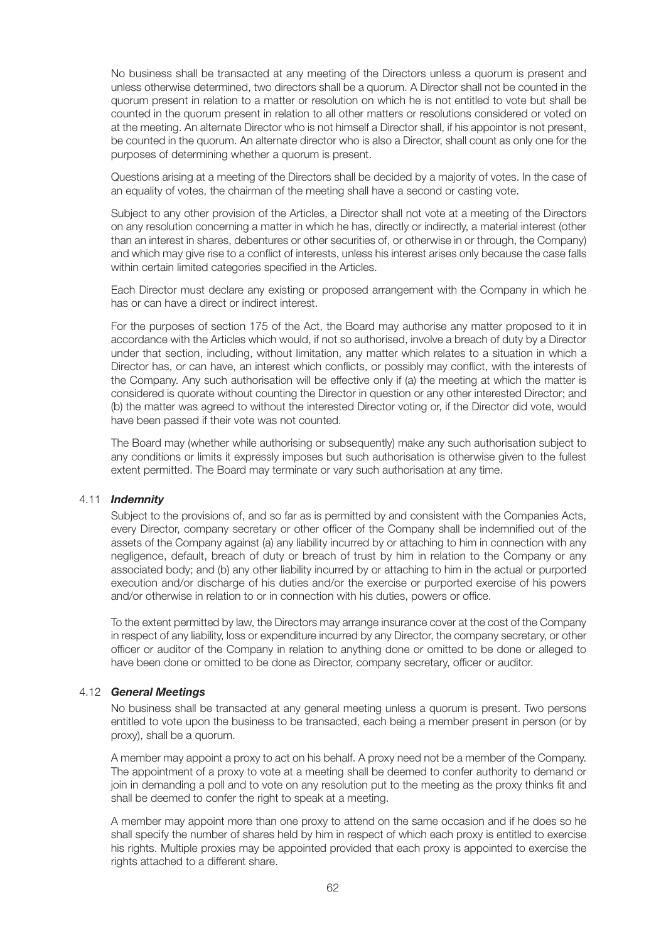No business shall be transacted at any meeting of the Directors unless a quorum is present and unless otherwise determined, two directors shall be a quorum. A Director shall not be counted in the quorum present in relation to a matter or resolution on which he is not entitled to vote but shall be counted in the quorum present in relation to all other matters or resolutions considered or voted on at the meeting. An alternate Director who is not himself a Director shall, if his appointor is not present, be counted in the quorum. An alternate director who is also a Director, shall count as only one for the purposes of determining whether a quorum is present.

Questions arising at a meeting of the Directors shall be decided by a majority of votes. In the case of an equality of votes, the chairman of the meeting shall have a second or casting vote.

Subject to any other provision of the Articles, a Director shall not vote at a meeting of the Directors on any resolution concerning a matter in which he has, directly or indirectly, a material interest (other than an interest in shares, debentures or other securities of, or otherwise in or through, the Company) and which may give rise to a conflict of interests, unless his interest arises only because the case falls within certain limited categories specified in the Articles.

Each Director must declare any existing or proposed arrangement with the Company in which he has or can have a direct or indirect interest.

For the purposes of section 175 of the Act, the Board may authorise any matter proposed to it in accordance with the Articles which would, if not so authorised, involve a breach of duty by a Director under that section, including, without limitation, any matter which relates to a situation in which a Director has, or can have, an interest which conflicts, or possibly may conflict, with the interests of the Company. Any such authorisation will be effective only if (a) the meeting at which the matter is considered is quorate without counting the Director in question or any other interested Director; and (b) the matter was agreed to without the interested Director voting or, if the Director did vote, would have been passed if their vote was not counted.

The Board may (whether while authorising or subsequently) make any such authorisation subject to any conditions or limits it expressly imposes but such authorisation is otherwise given to the fullest extent permitted. The Board may terminate or vary such authorisation at any time.

## 4.11 *Indemnity*

Subject to the provisions of, and so far as is permitted by and consistent with the Companies Acts, every Director, company secretary or other officer of the Company shall be indemnified out of the assets of the Company against (a) any liability incurred by or attaching to him in connection with any negligence, default, breach of duty or breach of trust by him in relation to the Company or any associated body; and (b) any other liability incurred by or attaching to him in the actual or purported execution and/or discharge of his duties and/or the exercise or purported exercise of his powers and/or otherwise in relation to or in connection with his duties, powers or office.

To the extent permitted by law, the Directors may arrange insurance cover at the cost of the Company in respect of any liability, loss or expenditure incurred by any Director, the company secretary, or other officer or auditor of the Company in relation to anything done or omitted to be done or alleged to have been done or omitted to be done as Director, company secretary, officer or auditor.

## 4.12 *General Meetings*

No business shall be transacted at any general meeting unless a quorum is present. Two persons entitled to vote upon the business to be transacted, each being a member present in person (or by proxy), shall be a quorum.

A member may appoint a proxy to act on his behalf. A proxy need not be a member of the Company. The appointment of a proxy to vote at a meeting shall be deemed to confer authority to demand or join in demanding a poll and to vote on any resolution put to the meeting as the proxy thinks fit and shall be deemed to confer the right to speak at a meeting.

A member may appoint more than one proxy to attend on the same occasion and if he does so he shall specify the number of shares held by him in respect of which each proxy is entitled to exercise his rights. Multiple proxies may be appointed provided that each proxy is appointed to exercise the rights attached to a different share.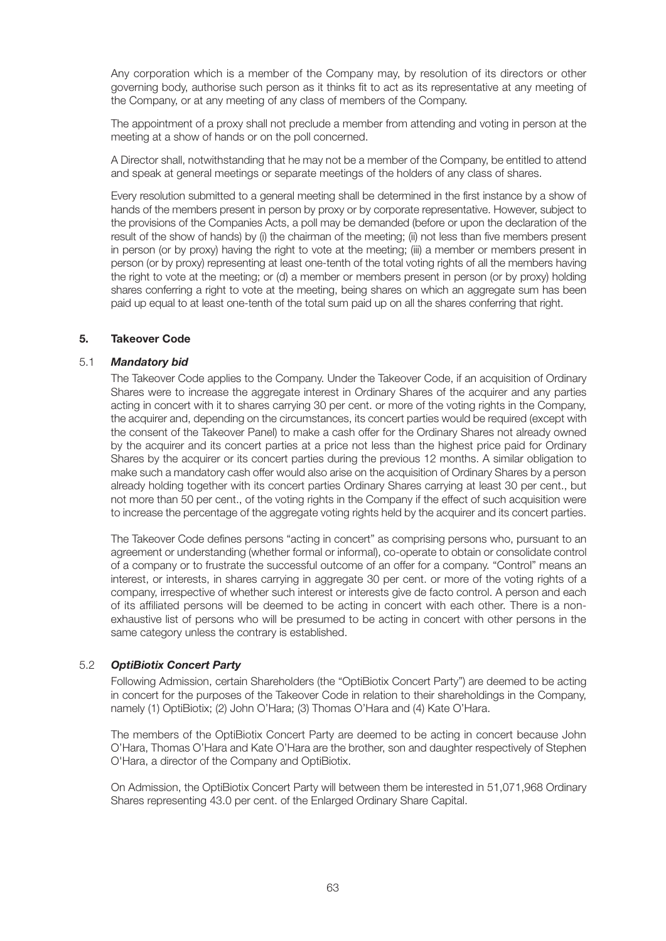Any corporation which is a member of the Company may, by resolution of its directors or other governing body, authorise such person as it thinks fit to act as its representative at any meeting of the Company, or at any meeting of any class of members of the Company.

The appointment of a proxy shall not preclude a member from attending and voting in person at the meeting at a show of hands or on the poll concerned.

A Director shall, notwithstanding that he may not be a member of the Company, be entitled to attend and speak at general meetings or separate meetings of the holders of any class of shares.

Every resolution submitted to a general meeting shall be determined in the first instance by a show of hands of the members present in person by proxy or by corporate representative. However, subject to the provisions of the Companies Acts, a poll may be demanded (before or upon the declaration of the result of the show of hands) by (i) the chairman of the meeting; (ii) not less than five members present in person (or by proxy) having the right to vote at the meeting; (iii) a member or members present in person (or by proxy) representing at least one-tenth of the total voting rights of all the members having the right to vote at the meeting; or (d) a member or members present in person (or by proxy) holding shares conferring a right to vote at the meeting, being shares on which an aggregate sum has been paid up equal to at least one-tenth of the total sum paid up on all the shares conferring that right.

## **5. Takeover Code**

## 5.1 *Mandatory bid*

The Takeover Code applies to the Company. Under the Takeover Code, if an acquisition of Ordinary Shares were to increase the aggregate interest in Ordinary Shares of the acquirer and any parties acting in concert with it to shares carrying 30 per cent. or more of the voting rights in the Company, the acquirer and, depending on the circumstances, its concert parties would be required (except with the consent of the Takeover Panel) to make a cash offer for the Ordinary Shares not already owned by the acquirer and its concert parties at a price not less than the highest price paid for Ordinary Shares by the acquirer or its concert parties during the previous 12 months. A similar obligation to make such a mandatory cash offer would also arise on the acquisition of Ordinary Shares by a person already holding together with its concert parties Ordinary Shares carrying at least 30 per cent., but not more than 50 per cent., of the voting rights in the Company if the effect of such acquisition were to increase the percentage of the aggregate voting rights held by the acquirer and its concert parties.

The Takeover Code defines persons "acting in concert" as comprising persons who, pursuant to an agreement or understanding (whether formal or informal), co-operate to obtain or consolidate control of a company or to frustrate the successful outcome of an offer for a company. "Control" means an interest, or interests, in shares carrying in aggregate 30 per cent. or more of the voting rights of a company, irrespective of whether such interest or interests give de facto control. A person and each of its affiliated persons will be deemed to be acting in concert with each other. There is a nonexhaustive list of persons who will be presumed to be acting in concert with other persons in the same category unless the contrary is established.

# 5.2 *OptiBiotix Concert Party*

Following Admission, certain Shareholders (the "OptiBiotix Concert Party") are deemed to be acting in concert for the purposes of the Takeover Code in relation to their shareholdings in the Company, namely (1) OptiBiotix; (2) John O'Hara; (3) Thomas O'Hara and (4) Kate O'Hara.

The members of the OptiBiotix Concert Party are deemed to be acting in concert because John O'Hara, Thomas O'Hara and Kate O'Hara are the brother, son and daughter respectively of Stephen O'Hara, a director of the Company and OptiBiotix.

On Admission, the OptiBiotix Concert Party will between them be interested in 51,071,968 Ordinary Shares representing 43.0 per cent. of the Enlarged Ordinary Share Capital.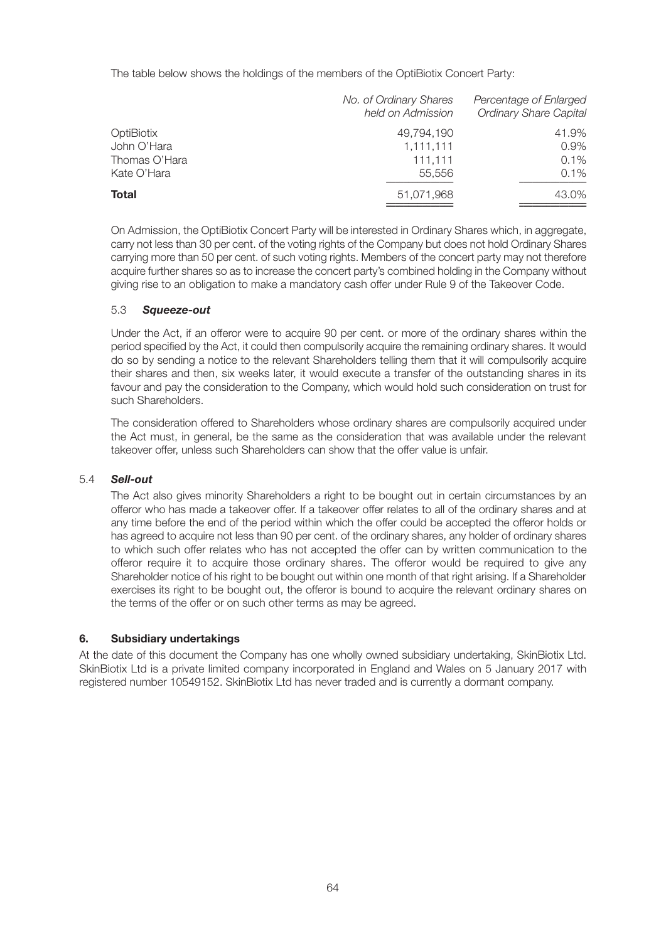The table below shows the holdings of the members of the OptiBiotix Concert Party:

|               | No. of Ordinary Shares<br>held on Admission | Percentage of Enlarged<br><b>Ordinary Share Capital</b> |
|---------------|---------------------------------------------|---------------------------------------------------------|
| OptiBiotix    | 49.794.190                                  | 41.9%                                                   |
| John O'Hara   | 1,111,111                                   | 0.9%                                                    |
| Thomas O'Hara | 111.111                                     | 0.1%                                                    |
| Kate O'Hara   | 55.556                                      | $0.1\%$                                                 |
| <b>Total</b>  | 51.071.968                                  | 43.0%                                                   |

On Admission, the OptiBiotix Concert Party will be interested in Ordinary Shares which, in aggregate, carry not less than 30 per cent. of the voting rights of the Company but does not hold Ordinary Shares carrying more than 50 per cent. of such voting rights. Members of the concert party may not therefore acquire further shares so as to increase the concert party's combined holding in the Company without giving rise to an obligation to make a mandatory cash offer under Rule 9 of the Takeover Code.

# 5.3 *Squeeze-out*

Under the Act, if an offeror were to acquire 90 per cent. or more of the ordinary shares within the period specified by the Act, it could then compulsorily acquire the remaining ordinary shares. It would do so by sending a notice to the relevant Shareholders telling them that it will compulsorily acquire their shares and then, six weeks later, it would execute a transfer of the outstanding shares in its favour and pay the consideration to the Company, which would hold such consideration on trust for such Shareholders.

The consideration offered to Shareholders whose ordinary shares are compulsorily acquired under the Act must, in general, be the same as the consideration that was available under the relevant takeover offer, unless such Shareholders can show that the offer value is unfair.

# 5.4 *Sell-out*

The Act also gives minority Shareholders a right to be bought out in certain circumstances by an offeror who has made a takeover offer. If a takeover offer relates to all of the ordinary shares and at any time before the end of the period within which the offer could be accepted the offeror holds or has agreed to acquire not less than 90 per cent. of the ordinary shares, any holder of ordinary shares to which such offer relates who has not accepted the offer can by written communication to the offeror require it to acquire those ordinary shares. The offeror would be required to give any Shareholder notice of his right to be bought out within one month of that right arising. If a Shareholder exercises its right to be bought out, the offeror is bound to acquire the relevant ordinary shares on the terms of the offer or on such other terms as may be agreed.

# **6. Subsidiary undertakings**

At the date of this document the Company has one wholly owned subsidiary undertaking, SkinBiotix Ltd. SkinBiotix Ltd is a private limited company incorporated in England and Wales on 5 January 2017 with registered number 10549152. SkinBiotix Ltd has never traded and is currently a dormant company.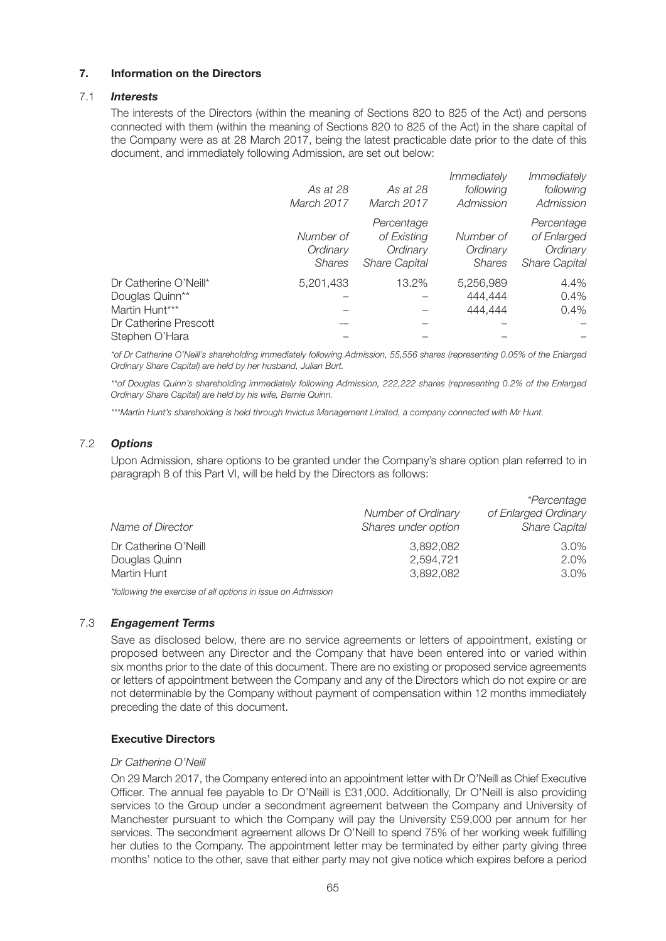# **7. Information on the Directors**

# 7.1 *Interests*

The interests of the Directors (within the meaning of Sections 820 to 825 of the Act) and persons connected with them (within the meaning of Sections 820 to 825 of the Act) in the share capital of the Company were as at 28 March 2017, being the latest practicable date prior to the date of this document, and immediately following Admission, are set out below:

|                       | As at 28<br>March 2017                 | As at 28<br>March 2017                                        | <i>Immediately</i><br>following<br>Admission | <i>Immediately</i><br>following<br>Admission                  |
|-----------------------|----------------------------------------|---------------------------------------------------------------|----------------------------------------------|---------------------------------------------------------------|
|                       | Number of<br>Ordinary<br><b>Shares</b> | Percentage<br>of Existing<br>Ordinary<br><b>Share Capital</b> | Number of<br>Ordinary<br><b>Shares</b>       | Percentage<br>of Enlarged<br>Ordinary<br><b>Share Capital</b> |
| Dr Catherine O'Neill* | 5,201,433                              | 13.2%                                                         | 5,256,989                                    | 4.4%                                                          |
| Douglas Quinn**       |                                        |                                                               | 444.444                                      | 0.4%                                                          |
| Martin Hunt***        |                                        |                                                               | 444,444                                      | 0.4%                                                          |
| Dr Catherine Prescott |                                        |                                                               |                                              |                                                               |
| Stephen O'Hara        |                                        |                                                               |                                              |                                                               |

*\*of Dr Catherine O'Neill's shareholding immediately following Admission, 55,556 shares (representing 0.05% of the Enlarged Ordinary Share Capital) are held by her husband, Julian Burt.*

*\*\*of Douglas Quinn's shareholding immediately following Admission, 222,222 shares (representing 0.2% of the Enlarged Ordinary Share Capital) are held by his wife, Bernie Quinn.*

*\*\*\*Martin Hunt's shareholding is held through Invictus Management Limited, a company connected with Mr Hunt.*

# 7.2 *Options*

Upon Admission, share options to be granted under the Company's share option plan referred to in paragraph 8 of this Part VI, will be held by the Directors as follows:

|                      |                     | *Percentage          |
|----------------------|---------------------|----------------------|
|                      | Number of Ordinary  | of Enlarged Ordinary |
| Name of Director     | Shares under option | <b>Share Capital</b> |
| Dr Catherine O'Neill | 3,892,082           | $3.0\%$              |
| Douglas Quinn        | 2,594,721           | 2.0%                 |
| Martin Hunt          | 3.892.082           | 3.0%                 |

*\*following the exercise of all options in issue on Admission*

## 7.3 *Engagement Terms*

Save as disclosed below, there are no service agreements or letters of appointment, existing or proposed between any Director and the Company that have been entered into or varied within six months prior to the date of this document. There are no existing or proposed service agreements or letters of appointment between the Company and any of the Directors which do not expire or are not determinable by the Company without payment of compensation within 12 months immediately preceding the date of this document.

## **Executive Directors**

## *Dr Catherine O'Neill*

On 29 March 2017, the Company entered into an appointment letter with Dr O'Neill as Chief Executive Officer. The annual fee payable to Dr O'Neill is £31,000. Additionally, Dr O'Neill is also providing services to the Group under a secondment agreement between the Company and University of Manchester pursuant to which the Company will pay the University £59,000 per annum for her services. The secondment agreement allows Dr O'Neill to spend 75% of her working week fulfilling her duties to the Company. The appointment letter may be terminated by either party giving three months' notice to the other, save that either party may not give notice which expires before a period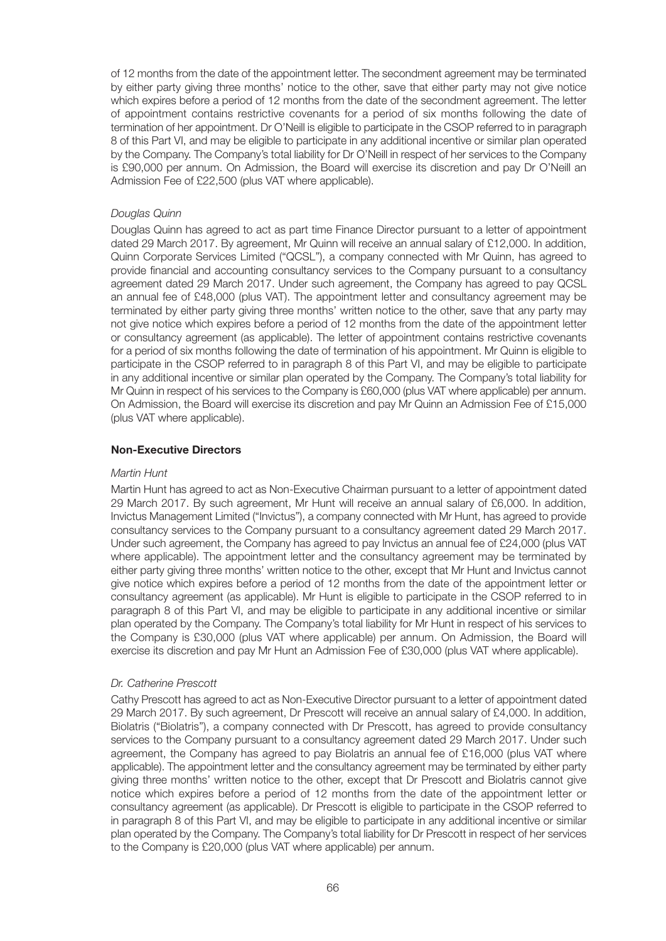of 12 months from the date of the appointment letter. The secondment agreement may be terminated by either party giving three months' notice to the other, save that either party may not give notice which expires before a period of 12 months from the date of the secondment agreement. The letter of appointment contains restrictive covenants for a period of six months following the date of termination of her appointment. Dr O'Neill is eligible to participate in the CSOP referred to in paragraph 8 of this Part VI, and may be eligible to participate in any additional incentive or similar plan operated by the Company. The Company's total liability for Dr O'Neill in respect of her services to the Company is £90,000 per annum. On Admission, the Board will exercise its discretion and pay Dr O'Neill an Admission Fee of £22,500 (plus VAT where applicable).

# *Douglas Quinn*

Douglas Quinn has agreed to act as part time Finance Director pursuant to a letter of appointment dated 29 March 2017. By agreement, Mr Quinn will receive an annual salary of £12,000. In addition, Quinn Corporate Services Limited ("QCSL"), a company connected with Mr Quinn, has agreed to provide financial and accounting consultancy services to the Company pursuant to a consultancy agreement dated 29 March 2017. Under such agreement, the Company has agreed to pay QCSL an annual fee of £48,000 (plus VAT). The appointment letter and consultancy agreement may be terminated by either party giving three months' written notice to the other, save that any party may not give notice which expires before a period of 12 months from the date of the appointment letter or consultancy agreement (as applicable). The letter of appointment contains restrictive covenants for a period of six months following the date of termination of his appointment. Mr Quinn is eligible to participate in the CSOP referred to in paragraph 8 of this Part VI, and may be eligible to participate in any additional incentive or similar plan operated by the Company. The Company's total liability for Mr Quinn in respect of his services to the Company is £60,000 (plus VAT where applicable) per annum. On Admission, the Board will exercise its discretion and pay Mr Quinn an Admission Fee of £15,000 (plus VAT where applicable).

# **Non-Executive Directors**

# *Martin Hunt*

Martin Hunt has agreed to act as Non-Executive Chairman pursuant to a letter of appointment dated 29 March 2017. By such agreement, Mr Hunt will receive an annual salary of £6,000. In addition, Invictus Management Limited ("Invictus"), a company connected with Mr Hunt, has agreed to provide consultancy services to the Company pursuant to a consultancy agreement dated 29 March 2017. Under such agreement, the Company has agreed to pay Invictus an annual fee of £24,000 (plus VAT where applicable). The appointment letter and the consultancy agreement may be terminated by either party giving three months' written notice to the other, except that Mr Hunt and Invictus cannot give notice which expires before a period of 12 months from the date of the appointment letter or consultancy agreement (as applicable). Mr Hunt is eligible to participate in the CSOP referred to in paragraph 8 of this Part VI, and may be eligible to participate in any additional incentive or similar plan operated by the Company. The Company's total liability for Mr Hunt in respect of his services to the Company is £30,000 (plus VAT where applicable) per annum. On Admission, the Board will exercise its discretion and pay Mr Hunt an Admission Fee of £30,000 (plus VAT where applicable).

# *Dr. Catherine Prescott*

Cathy Prescott has agreed to act as Non-Executive Director pursuant to a letter of appointment dated 29 March 2017. By such agreement, Dr Prescott will receive an annual salary of £4,000. In addition, Biolatris ("Biolatris"), a company connected with Dr Prescott, has agreed to provide consultancy services to the Company pursuant to a consultancy agreement dated 29 March 2017. Under such agreement, the Company has agreed to pay Biolatris an annual fee of £16,000 (plus VAT where applicable). The appointment letter and the consultancy agreement may be terminated by either party giving three months' written notice to the other, except that Dr Prescott and Biolatris cannot give notice which expires before a period of 12 months from the date of the appointment letter or consultancy agreement (as applicable). Dr Prescott is eligible to participate in the CSOP referred to in paragraph 8 of this Part VI, and may be eligible to participate in any additional incentive or similar plan operated by the Company. The Company's total liability for Dr Prescott in respect of her services to the Company is £20,000 (plus VAT where applicable) per annum.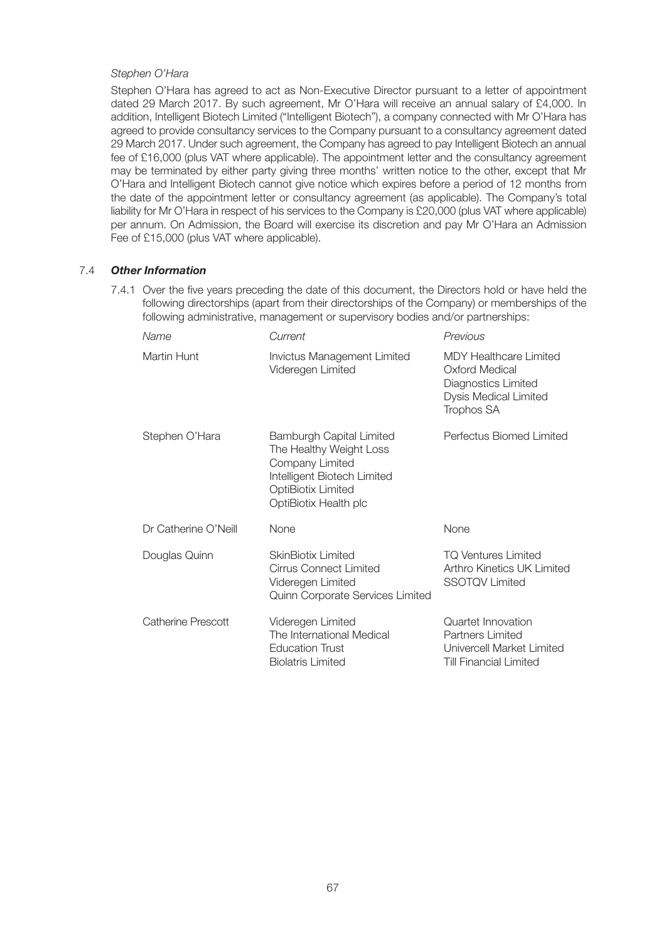## *Stephen O'Hara*

Stephen O'Hara has agreed to act as Non-Executive Director pursuant to a letter of appointment dated 29 March 2017. By such agreement, Mr O'Hara will receive an annual salary of £4,000. In addition, Intelligent Biotech Limited ("Intelligent Biotech"), a company connected with Mr O'Hara has agreed to provide consultancy services to the Company pursuant to a consultancy agreement dated 29 March 2017. Under such agreement, the Company has agreed to pay Intelligent Biotech an annual fee of £16,000 (plus VAT where applicable). The appointment letter and the consultancy agreement may be terminated by either party giving three months' written notice to the other, except that Mr O'Hara and Intelligent Biotech cannot give notice which expires before a period of 12 months from the date of the appointment letter or consultancy agreement (as applicable). The Company's total liability for Mr O'Hara in respect of his services to the Company is £20,000 (plus VAT where applicable) per annum. On Admission, the Board will exercise its discretion and pay Mr O'Hara an Admission Fee of £15,000 (plus VAT where applicable).

# 7.4 *Other Information*

7.4.1 Over the five years preceding the date of this document, the Directors hold or have held the following directorships (apart from their directorships of the Company) or memberships of the following administrative, management or supervisory bodies and/or partnerships:

| Name                      | Current                                                                                                                                                            | Previous                                                                                                      |
|---------------------------|--------------------------------------------------------------------------------------------------------------------------------------------------------------------|---------------------------------------------------------------------------------------------------------------|
| Martin Hunt               | Invictus Management Limited<br>Videregen Limited                                                                                                                   | <b>MDY Healthcare Limited</b><br>Oxford Medical<br>Diagnostics Limited<br>Dysis Medical Limited<br>Trophos SA |
| Stephen O'Hara            | <b>Bamburgh Capital Limited</b><br>The Healthy Weight Loss<br>Company Limited<br>Intelligent Biotech Limited<br><b>OptiBiotix Limited</b><br>OptiBiotix Health plc | Perfectus Biomed Limited                                                                                      |
| Dr Catherine O'Neill      | None                                                                                                                                                               | None                                                                                                          |
| Douglas Quinn             | <b>SkinBiotix Limited</b><br><b>Cirrus Connect Limited</b><br>Videregen Limited<br>Quinn Corporate Services Limited                                                | <b>TQ Ventures Limited</b><br>Arthro Kinetics UK Limited<br><b>SSOTQV Limited</b>                             |
| <b>Catherine Prescott</b> | Videregen Limited<br>The International Medical<br><b>Education Trust</b><br><b>Biolatris Limited</b>                                                               | Quartet Innovation<br>Partners Limited<br>Univercell Market Limited<br><b>Till Financial Limited</b>          |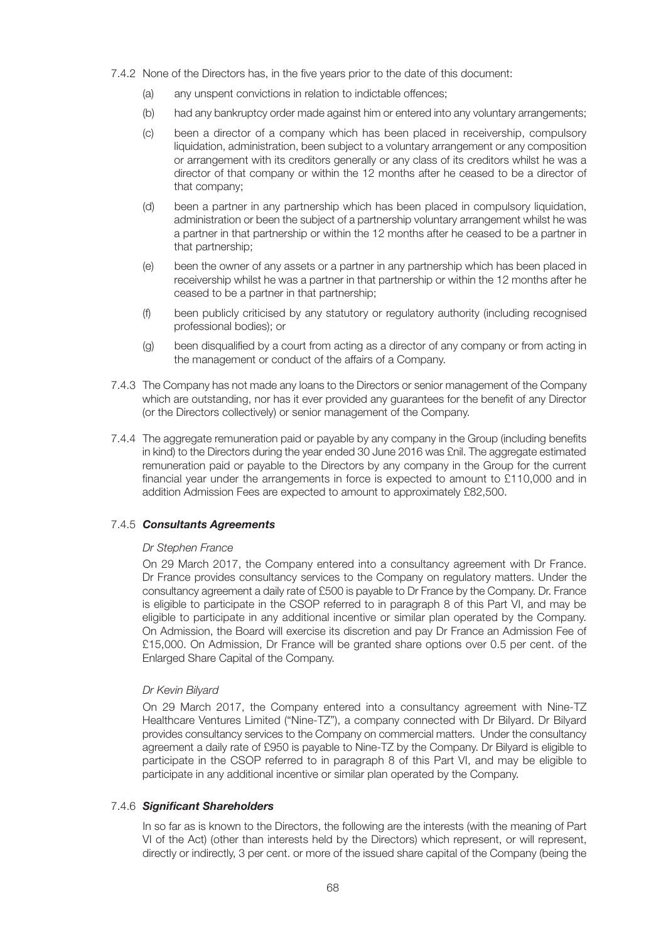- 7.4.2 None of the Directors has, in the five years prior to the date of this document:
	- (a) any unspent convictions in relation to indictable offences;
	- (b) had any bankruptcy order made against him or entered into any voluntary arrangements;
	- (c) been a director of a company which has been placed in receivership, compulsory liquidation, administration, been subject to a voluntary arrangement or any composition or arrangement with its creditors generally or any class of its creditors whilst he was a director of that company or within the 12 months after he ceased to be a director of that company;
	- (d) been a partner in any partnership which has been placed in compulsory liquidation, administration or been the subject of a partnership voluntary arrangement whilst he was a partner in that partnership or within the 12 months after he ceased to be a partner in that partnership;
	- (e) been the owner of any assets or a partner in any partnership which has been placed in receivership whilst he was a partner in that partnership or within the 12 months after he ceased to be a partner in that partnership;
	- (f) been publicly criticised by any statutory or regulatory authority (including recognised professional bodies); or
	- (g) been disqualified by a court from acting as a director of any company or from acting in the management or conduct of the affairs of a Company.
- 7.4.3 The Company has not made any loans to the Directors or senior management of the Company which are outstanding, nor has it ever provided any guarantees for the benefit of any Director (or the Directors collectively) or senior management of the Company.
- 7.4.4 The aggregate remuneration paid or payable by any company in the Group (including benefits in kind) to the Directors during the year ended 30 June 2016 was £nil. The aggregate estimated remuneration paid or payable to the Directors by any company in the Group for the current financial year under the arrangements in force is expected to amount to £110,000 and in addition Admission Fees are expected to amount to approximately £82,500.

# 7.4.5 *Consultants Agreements*

## *Dr Stephen France*

On 29 March 2017, the Company entered into a consultancy agreement with Dr France. Dr France provides consultancy services to the Company on regulatory matters. Under the consultancy agreement a daily rate of £500 is payable to Dr France by the Company. Dr. France is eligible to participate in the CSOP referred to in paragraph 8 of this Part VI, and may be eligible to participate in any additional incentive or similar plan operated by the Company. On Admission, the Board will exercise its discretion and pay Dr France an Admission Fee of £15,000. On Admission, Dr France will be granted share options over 0.5 per cent. of the Enlarged Share Capital of the Company.

# *Dr Kevin Bilyard*

On 29 March 2017, the Company entered into a consultancy agreement with Nine-TZ Healthcare Ventures Limited ("Nine-TZ"), a company connected with Dr Bilyard. Dr Bilyard provides consultancy services to the Company on commercial matters. Under the consultancy agreement a daily rate of £950 is payable to Nine-TZ by the Company. Dr Bilyard is eligible to participate in the CSOP referred to in paragraph 8 of this Part VI, and may be eligible to participate in any additional incentive or similar plan operated by the Company.

## 7.4.6 *Significant Shareholders*

In so far as is known to the Directors, the following are the interests (with the meaning of Part VI of the Act) (other than interests held by the Directors) which represent, or will represent, directly or indirectly, 3 per cent. or more of the issued share capital of the Company (being the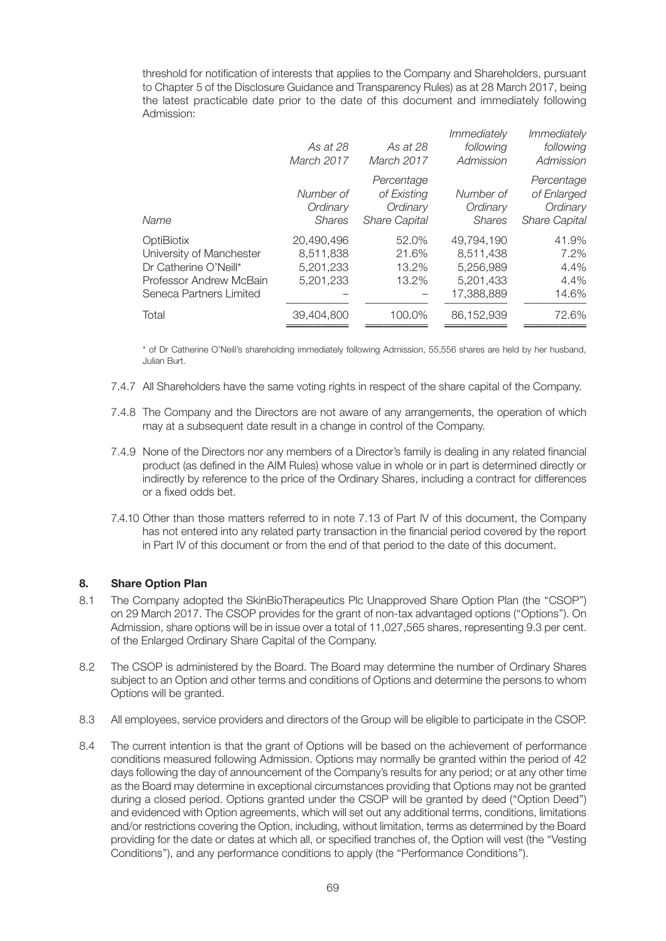threshold for notification of interests that applies to the Company and Shareholders, pursuant to Chapter 5 of the Disclosure Guidance and Transparency Rules) as at 28 March 2017, being the latest practicable date prior to the date of this document and immediately following Admission:

|                                                                                                                       | As at 28<br>March 2017                            | As at 28<br>March 2017                                        | <i>Immediately</i><br>following<br>Admission                    | Immediately<br>following<br>Admission                         |
|-----------------------------------------------------------------------------------------------------------------------|---------------------------------------------------|---------------------------------------------------------------|-----------------------------------------------------------------|---------------------------------------------------------------|
| Name                                                                                                                  | Number of<br>Ordinary<br><b>Shares</b>            | Percentage<br>of Existing<br>Ordinary<br><b>Share Capital</b> | Number of<br>Ordinary<br><b>Shares</b>                          | Percentage<br>of Enlarged<br>Ordinary<br><b>Share Capital</b> |
| OptiBiotix<br>University of Manchester<br>Dr Catherine O'Neill*<br>Professor Andrew McBain<br>Seneca Partners Limited | 20,490,496<br>8,511,838<br>5.201.233<br>5,201,233 | 52.0%<br>21.6%<br>13.2%<br>13.2%                              | 49,794,190<br>8,511,438<br>5.256.989<br>5,201,433<br>17.388.889 | 41.9%<br>$7.2\%$<br>4.4%<br>4.4%<br>14.6%                     |
| Total                                                                                                                 | 39.404.800                                        | 100.0%                                                        | 86.152.939                                                      | 72.6%                                                         |

\* of Dr Catherine O'Neill's shareholding immediately following Admission, 55,556 shares are held by her husband, Julian Burt.

- 7.4.7 All Shareholders have the same voting rights in respect of the share capital of the Company.
- 7.4.8 The Company and the Directors are not aware of any arrangements, the operation of which may at a subsequent date result in a change in control of the Company.
- 7.4.9 None of the Directors nor any members of a Director's family is dealing in any related financial product (as defined in the AIM Rules) whose value in whole or in part is determined directly or indirectly by reference to the price of the Ordinary Shares, including a contract for differences or a fixed odds bet.
- 7.4.10 Other than those matters referred to in note 7.13 of Part IV of this document, the Company has not entered into any related party transaction in the financial period covered by the report in Part IV of this document or from the end of that period to the date of this document.

# **8. Share Option Plan**

- 8.1 The Company adopted the SkinBioTherapeutics Plc Unapproved Share Option Plan (the "CSOP") on 29 March 2017. The CSOP provides for the grant of non-tax advantaged options (''Options''). On Admission, share options will be in issue over a total of 11,027,565 shares, representing 9.3 per cent. of the Enlarged Ordinary Share Capital of the Company.
- 8.2 The CSOP is administered by the Board. The Board may determine the number of Ordinary Shares subject to an Option and other terms and conditions of Options and determine the persons to whom Options will be granted.
- 8.3 All employees, service providers and directors of the Group will be eligible to participate in the CSOP.
- 8.4 The current intention is that the grant of Options will be based on the achievement of performance conditions measured following Admission. Options may normally be granted within the period of 42 days following the day of announcement of the Company's results for any period; or at any other time as the Board may determine in exceptional circumstances providing that Options may not be granted during a closed period. Options granted under the CSOP will be granted by deed (''Option Deed'') and evidenced with Option agreements, which will set out any additional terms, conditions, limitations and/or restrictions covering the Option, including, without limitation, terms as determined by the Board providing for the date or dates at which all, or specified tranches of, the Option will vest (the ''Vesting Conditions''), and any performance conditions to apply (the ''Performance Conditions'').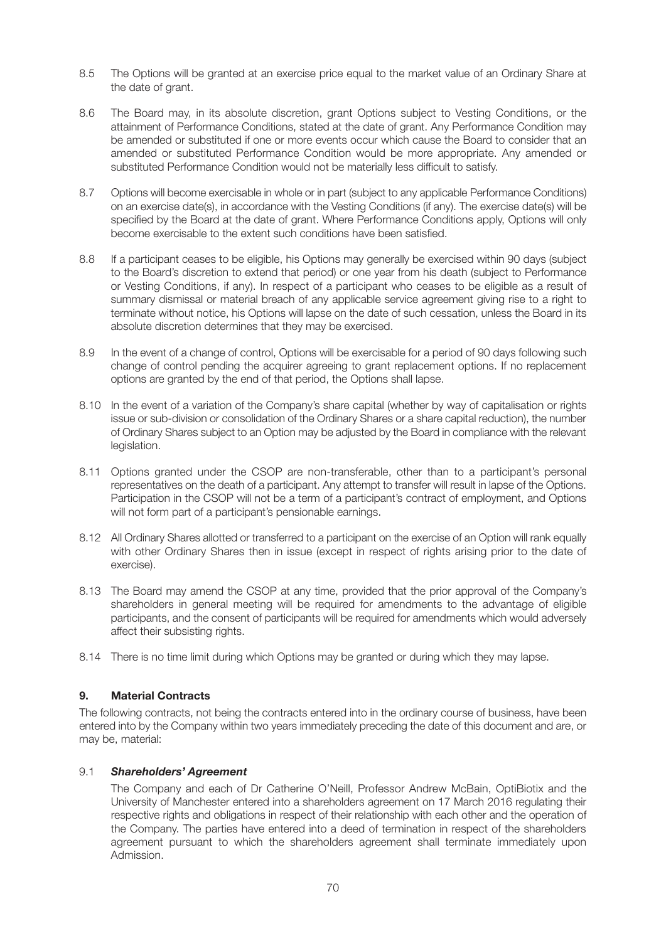- 8.5 The Options will be granted at an exercise price equal to the market value of an Ordinary Share at the date of grant.
- 8.6 The Board may, in its absolute discretion, grant Options subject to Vesting Conditions, or the attainment of Performance Conditions, stated at the date of grant. Any Performance Condition may be amended or substituted if one or more events occur which cause the Board to consider that an amended or substituted Performance Condition would be more appropriate. Any amended or substituted Performance Condition would not be materially less difficult to satisfy.
- 8.7 Options will become exercisable in whole or in part (subject to any applicable Performance Conditions) on an exercise date(s), in accordance with the Vesting Conditions (if any). The exercise date(s) will be specified by the Board at the date of grant. Where Performance Conditions apply, Options will only become exercisable to the extent such conditions have been satisfied.
- 8.8 If a participant ceases to be eligible, his Options may generally be exercised within 90 days (subject to the Board's discretion to extend that period) or one year from his death (subject to Performance or Vesting Conditions, if any). In respect of a participant who ceases to be eligible as a result of summary dismissal or material breach of any applicable service agreement giving rise to a right to terminate without notice, his Options will lapse on the date of such cessation, unless the Board in its absolute discretion determines that they may be exercised.
- 8.9 In the event of a change of control, Options will be exercisable for a period of 90 days following such change of control pending the acquirer agreeing to grant replacement options. If no replacement options are granted by the end of that period, the Options shall lapse.
- 8.10 In the event of a variation of the Company's share capital (whether by way of capitalisation or rights issue or sub-division or consolidation of the Ordinary Shares or a share capital reduction), the number of Ordinary Shares subject to an Option may be adjusted by the Board in compliance with the relevant legislation.
- 8.11 Options granted under the CSOP are non-transferable, other than to a participant's personal representatives on the death of a participant. Any attempt to transfer will result in lapse of the Options. Participation in the CSOP will not be a term of a participant's contract of employment, and Options will not form part of a participant's pensionable earnings.
- 8.12 All Ordinary Shares allotted or transferred to a participant on the exercise of an Option will rank equally with other Ordinary Shares then in issue (except in respect of rights arising prior to the date of exercise).
- 8.13 The Board may amend the CSOP at any time, provided that the prior approval of the Company's shareholders in general meeting will be required for amendments to the advantage of eligible participants, and the consent of participants will be required for amendments which would adversely affect their subsisting rights.
- 8.14 There is no time limit during which Options may be granted or during which they may lapse.

# **9. Material Contracts**

The following contracts, not being the contracts entered into in the ordinary course of business, have been entered into by the Company within two years immediately preceding the date of this document and are, or may be, material:

# 9.1 *Shareholders' Agreement*

The Company and each of Dr Catherine O'Neill, Professor Andrew McBain, OptiBiotix and the University of Manchester entered into a shareholders agreement on 17 March 2016 regulating their respective rights and obligations in respect of their relationship with each other and the operation of the Company. The parties have entered into a deed of termination in respect of the shareholders agreement pursuant to which the shareholders agreement shall terminate immediately upon Admission.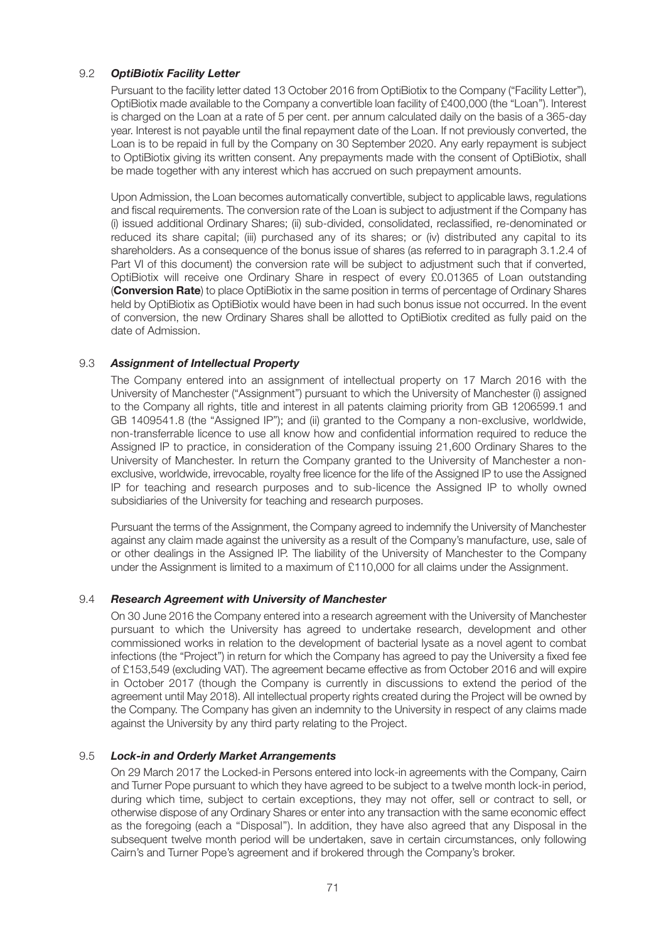# 9.2 *OptiBiotix Facility Letter*

Pursuant to the facility letter dated 13 October 2016 from OptiBiotix to the Company ("Facility Letter"), OptiBiotix made available to the Company a convertible loan facility of £400,000 (the "Loan"). Interest is charged on the Loan at a rate of 5 per cent. per annum calculated daily on the basis of a 365-day year. Interest is not payable until the final repayment date of the Loan. If not previously converted, the Loan is to be repaid in full by the Company on 30 September 2020. Any early repayment is subject to OptiBiotix giving its written consent. Any prepayments made with the consent of OptiBiotix, shall be made together with any interest which has accrued on such prepayment amounts.

Upon Admission, the Loan becomes automatically convertible, subject to applicable laws, regulations and fiscal requirements. The conversion rate of the Loan is subject to adjustment if the Company has (i) issued additional Ordinary Shares; (ii) sub-divided, consolidated, reclassified, re-denominated or reduced its share capital; (iii) purchased any of its shares; or (iv) distributed any capital to its shareholders. As a consequence of the bonus issue of shares (as referred to in paragraph 3.1.2.4 of Part VI of this document) the conversion rate will be subject to adjustment such that if converted, OptiBiotix will receive one Ordinary Share in respect of every £0.01365 of Loan outstanding (**Conversion Rate**) to place OptiBiotix in the same position in terms of percentage of Ordinary Shares held by OptiBiotix as OptiBiotix would have been in had such bonus issue not occurred. In the event of conversion, the new Ordinary Shares shall be allotted to OptiBiotix credited as fully paid on the date of Admission.

# 9.3 *Assignment of Intellectual Property*

The Company entered into an assignment of intellectual property on 17 March 2016 with the University of Manchester ("Assignment") pursuant to which the University of Manchester (i) assigned to the Company all rights, title and interest in all patents claiming priority from GB 1206599.1 and GB 1409541.8 (the "Assigned IP"); and (ii) granted to the Company a non-exclusive, worldwide, non-transferrable licence to use all know how and confidential information required to reduce the Assigned IP to practice, in consideration of the Company issuing 21,600 Ordinary Shares to the University of Manchester. In return the Company granted to the University of Manchester a nonexclusive, worldwide, irrevocable, royalty free licence for the life of the Assigned IP to use the Assigned IP for teaching and research purposes and to sub-licence the Assigned IP to wholly owned subsidiaries of the University for teaching and research purposes.

Pursuant the terms of the Assignment, the Company agreed to indemnify the University of Manchester against any claim made against the university as a result of the Company's manufacture, use, sale of or other dealings in the Assigned IP. The liability of the University of Manchester to the Company under the Assignment is limited to a maximum of £110,000 for all claims under the Assignment.

# 9.4 *Research Agreement with University of Manchester*

On 30 June 2016 the Company entered into a research agreement with the University of Manchester pursuant to which the University has agreed to undertake research, development and other commissioned works in relation to the development of bacterial lysate as a novel agent to combat infections (the "Project") in return for which the Company has agreed to pay the University a fixed fee of £153,549 (excluding VAT). The agreement became effective as from October 2016 and will expire in October 2017 (though the Company is currently in discussions to extend the period of the agreement until May 2018). All intellectual property rights created during the Project will be owned by the Company. The Company has given an indemnity to the University in respect of any claims made against the University by any third party relating to the Project.

# 9.5 *Lock-in and Orderly Market Arrangements*

On 29 March 2017 the Locked-in Persons entered into lock-in agreements with the Company, Cairn and Turner Pope pursuant to which they have agreed to be subject to a twelve month lock-in period, during which time, subject to certain exceptions, they may not offer, sell or contract to sell, or otherwise dispose of any Ordinary Shares or enter into any transaction with the same economic effect as the foregoing (each a ''Disposal''). In addition, they have also agreed that any Disposal in the subsequent twelve month period will be undertaken, save in certain circumstances, only following Cairn's and Turner Pope's agreement and if brokered through the Company's broker.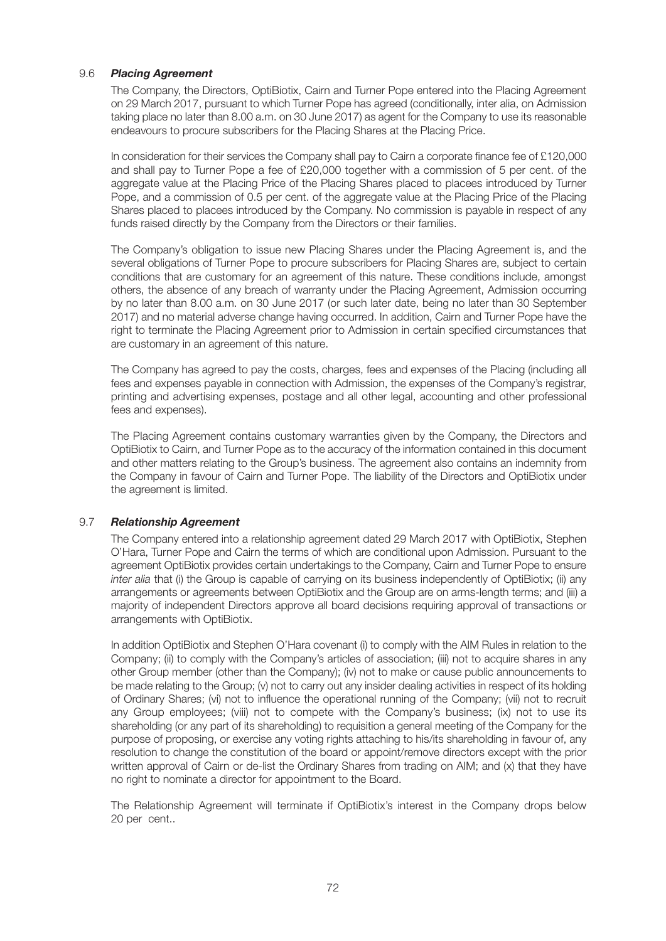# 9.6 *Placing Agreement*

The Company, the Directors, OptiBiotix, Cairn and Turner Pope entered into the Placing Agreement on 29 March 2017, pursuant to which Turner Pope has agreed (conditionally, inter alia, on Admission taking place no later than 8.00 a.m. on 30 June 2017) as agent for the Company to use its reasonable endeavours to procure subscribers for the Placing Shares at the Placing Price.

In consideration for their services the Company shall pay to Cairn a corporate finance fee of £120,000 and shall pay to Turner Pope a fee of £20,000 together with a commission of 5 per cent. of the aggregate value at the Placing Price of the Placing Shares placed to placees introduced by Turner Pope, and a commission of 0.5 per cent. of the aggregate value at the Placing Price of the Placing Shares placed to placees introduced by the Company. No commission is payable in respect of any funds raised directly by the Company from the Directors or their families.

The Company's obligation to issue new Placing Shares under the Placing Agreement is, and the several obligations of Turner Pope to procure subscribers for Placing Shares are, subject to certain conditions that are customary for an agreement of this nature. These conditions include, amongst others, the absence of any breach of warranty under the Placing Agreement, Admission occurring by no later than 8.00 a.m. on 30 June 2017 (or such later date, being no later than 30 September 2017) and no material adverse change having occurred. In addition, Cairn and Turner Pope have the right to terminate the Placing Agreement prior to Admission in certain specified circumstances that are customary in an agreement of this nature.

The Company has agreed to pay the costs, charges, fees and expenses of the Placing (including all fees and expenses payable in connection with Admission, the expenses of the Company's registrar, printing and advertising expenses, postage and all other legal, accounting and other professional fees and expenses).

The Placing Agreement contains customary warranties given by the Company, the Directors and OptiBiotix to Cairn, and Turner Pope as to the accuracy of the information contained in this document and other matters relating to the Group's business. The agreement also contains an indemnity from the Company in favour of Cairn and Turner Pope. The liability of the Directors and OptiBiotix under the agreement is limited.

# 9.7 *Relationship Agreement*

The Company entered into a relationship agreement dated 29 March 2017 with OptiBiotix, Stephen O'Hara, Turner Pope and Cairn the terms of which are conditional upon Admission. Pursuant to the agreement OptiBiotix provides certain undertakings to the Company, Cairn and Turner Pope to ensure *inter alia* that (i) the Group is capable of carrying on its business independently of OptiBiotix; (ii) any arrangements or agreements between OptiBiotix and the Group are on arms-length terms; and (iii) a majority of independent Directors approve all board decisions requiring approval of transactions or arrangements with OptiBiotix.

In addition OptiBiotix and Stephen O'Hara covenant (i) to comply with the AIM Rules in relation to the Company; (ii) to comply with the Company's articles of association; (iii) not to acquire shares in any other Group member (other than the Company); (iv) not to make or cause public announcements to be made relating to the Group; (v) not to carry out any insider dealing activities in respect of its holding of Ordinary Shares; (vi) not to influence the operational running of the Company; (vii) not to recruit any Group employees; (viii) not to compete with the Company's business; (ix) not to use its shareholding (or any part of its shareholding) to requisition a general meeting of the Company for the purpose of proposing, or exercise any voting rights attaching to his/its shareholding in favour of, any resolution to change the constitution of the board or appoint/remove directors except with the prior written approval of Cairn or de-list the Ordinary Shares from trading on AIM; and (x) that they have no right to nominate a director for appointment to the Board.

The Relationship Agreement will terminate if OptiBiotix's interest in the Company drops below 20 per cent..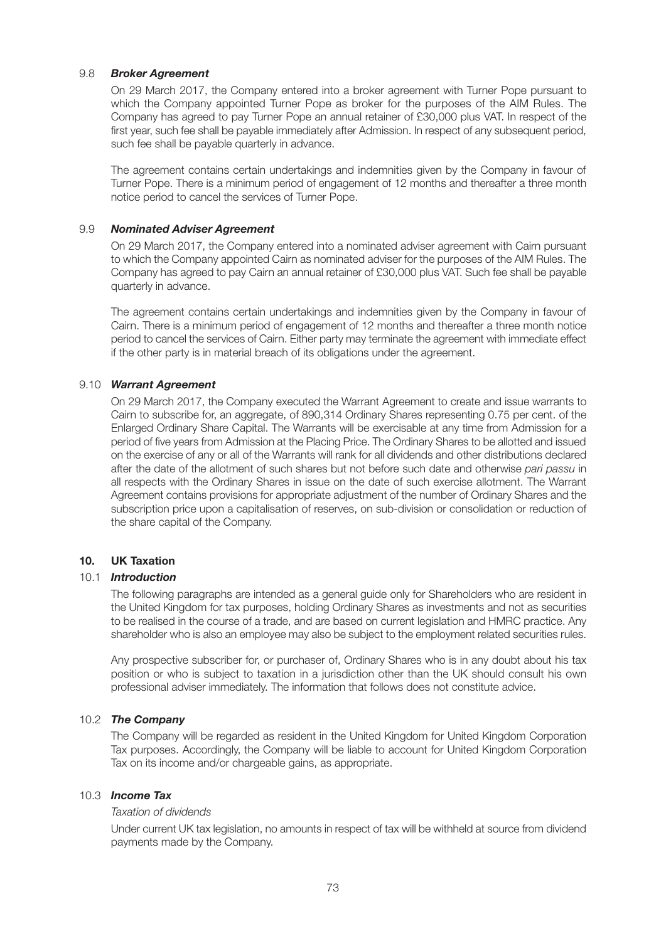## 9.8 *Broker Agreement*

On 29 March 2017, the Company entered into a broker agreement with Turner Pope pursuant to which the Company appointed Turner Pope as broker for the purposes of the AIM Rules. The Company has agreed to pay Turner Pope an annual retainer of £30,000 plus VAT. In respect of the first year, such fee shall be payable immediately after Admission. In respect of any subsequent period, such fee shall be payable quarterly in advance.

The agreement contains certain undertakings and indemnities given by the Company in favour of Turner Pope. There is a minimum period of engagement of 12 months and thereafter a three month notice period to cancel the services of Turner Pope.

### 9.9 *Nominated Adviser Agreement*

On 29 March 2017, the Company entered into a nominated adviser agreement with Cairn pursuant to which the Company appointed Cairn as nominated adviser for the purposes of the AIM Rules. The Company has agreed to pay Cairn an annual retainer of £30,000 plus VAT. Such fee shall be payable quarterly in advance.

The agreement contains certain undertakings and indemnities given by the Company in favour of Cairn. There is a minimum period of engagement of 12 months and thereafter a three month notice period to cancel the services of Cairn. Either party may terminate the agreement with immediate effect if the other party is in material breach of its obligations under the agreement.

### 9.10 *Warrant Agreement*

On 29 March 2017, the Company executed the Warrant Agreement to create and issue warrants to Cairn to subscribe for, an aggregate, of 890,314 Ordinary Shares representing 0.75 per cent. of the Enlarged Ordinary Share Capital. The Warrants will be exercisable at any time from Admission for a period of five years from Admission at the Placing Price. The Ordinary Shares to be allotted and issued on the exercise of any or all of the Warrants will rank for all dividends and other distributions declared after the date of the allotment of such shares but not before such date and otherwise *pari passu* in all respects with the Ordinary Shares in issue on the date of such exercise allotment. The Warrant Agreement contains provisions for appropriate adjustment of the number of Ordinary Shares and the subscription price upon a capitalisation of reserves, on sub-division or consolidation or reduction of the share capital of the Company.

#### **10. UK Taxation**

#### 10.1 *Introduction*

The following paragraphs are intended as a general guide only for Shareholders who are resident in the United Kingdom for tax purposes, holding Ordinary Shares as investments and not as securities to be realised in the course of a trade, and are based on current legislation and HMRC practice. Any shareholder who is also an employee may also be subject to the employment related securities rules.

Any prospective subscriber for, or purchaser of, Ordinary Shares who is in any doubt about his tax position or who is subject to taxation in a jurisdiction other than the UK should consult his own professional adviser immediately. The information that follows does not constitute advice.

## 10.2 *The Company*

The Company will be regarded as resident in the United Kingdom for United Kingdom Corporation Tax purposes. Accordingly, the Company will be liable to account for United Kingdom Corporation Tax on its income and/or chargeable gains, as appropriate.

### 10.3 *Income Tax*

## *Taxation of dividends*

Under current UK tax legislation, no amounts in respect of tax will be withheld at source from dividend payments made by the Company.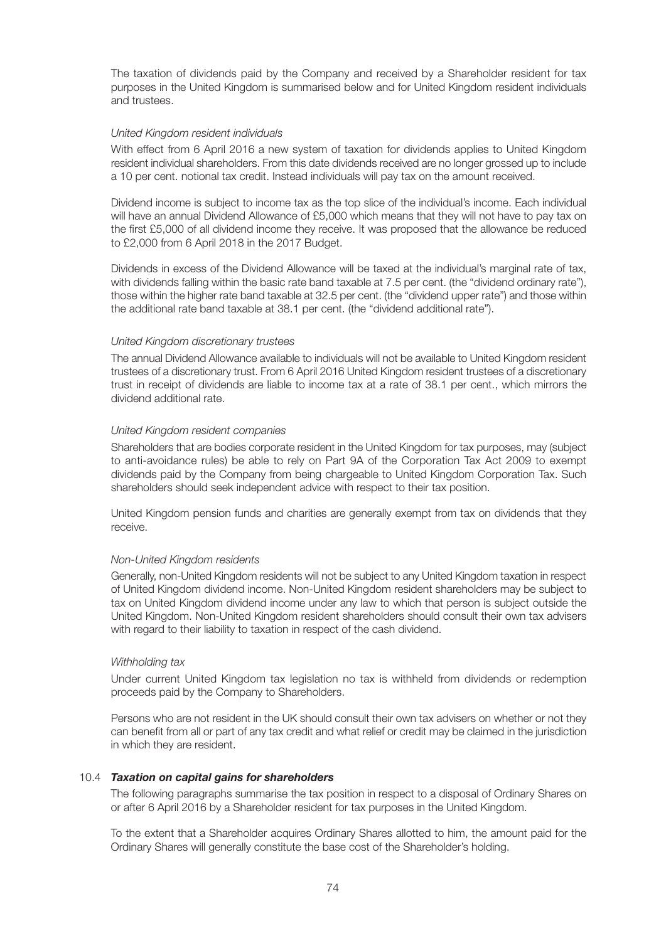The taxation of dividends paid by the Company and received by a Shareholder resident for tax purposes in the United Kingdom is summarised below and for United Kingdom resident individuals and trustees.

## *United Kingdom resident individuals*

With effect from 6 April 2016 a new system of taxation for dividends applies to United Kingdom resident individual shareholders. From this date dividends received are no longer grossed up to include a 10 per cent. notional tax credit. Instead individuals will pay tax on the amount received.

Dividend income is subject to income tax as the top slice of the individual's income. Each individual will have an annual Dividend Allowance of £5,000 which means that they will not have to pay tax on the first £5,000 of all dividend income they receive. It was proposed that the allowance be reduced to £2,000 from 6 April 2018 in the 2017 Budget.

Dividends in excess of the Dividend Allowance will be taxed at the individual's marginal rate of tax, with dividends falling within the basic rate band taxable at 7.5 per cent. (the "dividend ordinary rate"), those within the higher rate band taxable at 32.5 per cent. (the "dividend upper rate") and those within the additional rate band taxable at 38.1 per cent. (the "dividend additional rate").

#### *United Kingdom discretionary trustees*

The annual Dividend Allowance available to individuals will not be available to United Kingdom resident trustees of a discretionary trust. From 6 April 2016 United Kingdom resident trustees of a discretionary trust in receipt of dividends are liable to income tax at a rate of 38.1 per cent., which mirrors the dividend additional rate.

### *United Kingdom resident companies*

Shareholders that are bodies corporate resident in the United Kingdom for tax purposes, may (subject to anti-avoidance rules) be able to rely on Part 9A of the Corporation Tax Act 2009 to exempt dividends paid by the Company from being chargeable to United Kingdom Corporation Tax. Such shareholders should seek independent advice with respect to their tax position.

United Kingdom pension funds and charities are generally exempt from tax on dividends that they receive.

#### *Non-United Kingdom residents*

Generally, non-United Kingdom residents will not be subject to any United Kingdom taxation in respect of United Kingdom dividend income. Non-United Kingdom resident shareholders may be subject to tax on United Kingdom dividend income under any law to which that person is subject outside the United Kingdom. Non-United Kingdom resident shareholders should consult their own tax advisers with regard to their liability to taxation in respect of the cash dividend.

#### *Withholding tax*

Under current United Kingdom tax legislation no tax is withheld from dividends or redemption proceeds paid by the Company to Shareholders.

Persons who are not resident in the UK should consult their own tax advisers on whether or not they can benefit from all or part of any tax credit and what relief or credit may be claimed in the jurisdiction in which they are resident.

#### 10.4 *Taxation on capital gains for shareholders*

The following paragraphs summarise the tax position in respect to a disposal of Ordinary Shares on or after 6 April 2016 by a Shareholder resident for tax purposes in the United Kingdom.

To the extent that a Shareholder acquires Ordinary Shares allotted to him, the amount paid for the Ordinary Shares will generally constitute the base cost of the Shareholder's holding.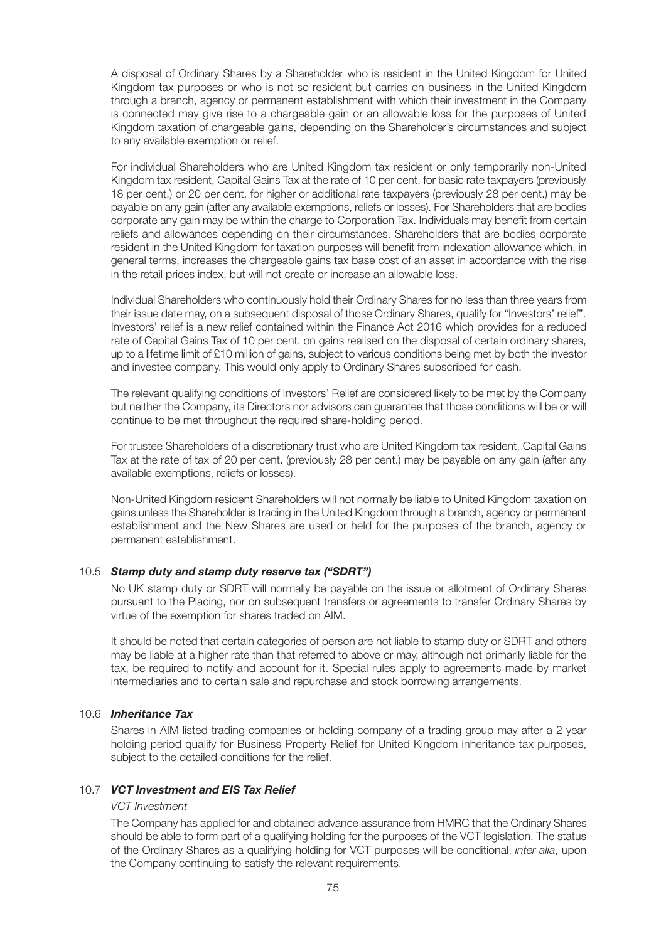A disposal of Ordinary Shares by a Shareholder who is resident in the United Kingdom for United Kingdom tax purposes or who is not so resident but carries on business in the United Kingdom through a branch, agency or permanent establishment with which their investment in the Company is connected may give rise to a chargeable gain or an allowable loss for the purposes of United Kingdom taxation of chargeable gains, depending on the Shareholder's circumstances and subject to any available exemption or relief.

For individual Shareholders who are United Kingdom tax resident or only temporarily non-United Kingdom tax resident, Capital Gains Tax at the rate of 10 per cent. for basic rate taxpayers (previously 18 per cent.) or 20 per cent. for higher or additional rate taxpayers (previously 28 per cent.) may be payable on any gain (after any available exemptions, reliefs or losses). For Shareholders that are bodies corporate any gain may be within the charge to Corporation Tax. Individuals may benefit from certain reliefs and allowances depending on their circumstances. Shareholders that are bodies corporate resident in the United Kingdom for taxation purposes will benefit from indexation allowance which, in general terms, increases the chargeable gains tax base cost of an asset in accordance with the rise in the retail prices index, but will not create or increase an allowable loss.

Individual Shareholders who continuously hold their Ordinary Shares for no less than three years from their issue date may, on a subsequent disposal of those Ordinary Shares, qualify for "Investors' relief". Investors' relief is a new relief contained within the Finance Act 2016 which provides for a reduced rate of Capital Gains Tax of 10 per cent. on gains realised on the disposal of certain ordinary shares, up to a lifetime limit of £10 million of gains, subject to various conditions being met by both the investor and investee company. This would only apply to Ordinary Shares subscribed for cash.

The relevant qualifying conditions of Investors' Relief are considered likely to be met by the Company but neither the Company, its Directors nor advisors can guarantee that those conditions will be or will continue to be met throughout the required share-holding period.

For trustee Shareholders of a discretionary trust who are United Kingdom tax resident, Capital Gains Tax at the rate of tax of 20 per cent. (previously 28 per cent.) may be payable on any gain (after any available exemptions, reliefs or losses).

Non-United Kingdom resident Shareholders will not normally be liable to United Kingdom taxation on gains unless the Shareholder is trading in the United Kingdom through a branch, agency or permanent establishment and the New Shares are used or held for the purposes of the branch, agency or permanent establishment.

## 10.5 *Stamp duty and stamp duty reserve tax ("SDRT")*

No UK stamp duty or SDRT will normally be payable on the issue or allotment of Ordinary Shares pursuant to the Placing, nor on subsequent transfers or agreements to transfer Ordinary Shares by virtue of the exemption for shares traded on AIM.

It should be noted that certain categories of person are not liable to stamp duty or SDRT and others may be liable at a higher rate than that referred to above or may, although not primarily liable for the tax, be required to notify and account for it. Special rules apply to agreements made by market intermediaries and to certain sale and repurchase and stock borrowing arrangements.

### 10.6 *Inheritance Tax*

Shares in AIM listed trading companies or holding company of a trading group may after a 2 year holding period qualify for Business Property Relief for United Kingdom inheritance tax purposes, subject to the detailed conditions for the relief.

# 10.7 *VCT Investment and EIS Tax Relief*

#### *VCT Investment*

The Company has applied for and obtained advance assurance from HMRC that the Ordinary Shares should be able to form part of a qualifying holding for the purposes of the VCT legislation. The status of the Ordinary Shares as a qualifying holding for VCT purposes will be conditional, *inter alia*, upon the Company continuing to satisfy the relevant requirements.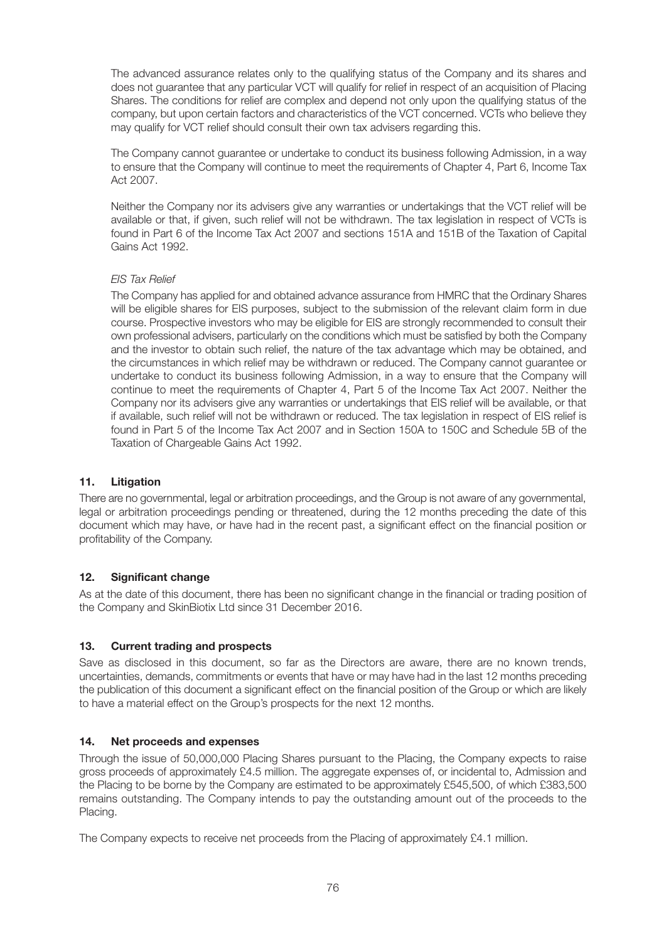The advanced assurance relates only to the qualifying status of the Company and its shares and does not guarantee that any particular VCT will qualify for relief in respect of an acquisition of Placing Shares. The conditions for relief are complex and depend not only upon the qualifying status of the company, but upon certain factors and characteristics of the VCT concerned. VCTs who believe they may qualify for VCT relief should consult their own tax advisers regarding this.

The Company cannot guarantee or undertake to conduct its business following Admission, in a way to ensure that the Company will continue to meet the requirements of Chapter 4, Part 6, Income Tax Act 2007.

Neither the Company nor its advisers give any warranties or undertakings that the VCT relief will be available or that, if given, such relief will not be withdrawn. The tax legislation in respect of VCTs is found in Part 6 of the Income Tax Act 2007 and sections 151A and 151B of the Taxation of Capital Gains Act 1992.

# *EIS Tax Relief*

The Company has applied for and obtained advance assurance from HMRC that the Ordinary Shares will be eligible shares for EIS purposes, subject to the submission of the relevant claim form in due course. Prospective investors who may be eligible for EIS are strongly recommended to consult their own professional advisers, particularly on the conditions which must be satisfied by both the Company and the investor to obtain such relief, the nature of the tax advantage which may be obtained, and the circumstances in which relief may be withdrawn or reduced. The Company cannot guarantee or undertake to conduct its business following Admission, in a way to ensure that the Company will continue to meet the requirements of Chapter 4, Part 5 of the Income Tax Act 2007. Neither the Company nor its advisers give any warranties or undertakings that EIS relief will be available, or that if available, such relief will not be withdrawn or reduced. The tax legislation in respect of EIS relief is found in Part 5 of the Income Tax Act 2007 and in Section 150A to 150C and Schedule 5B of the Taxation of Chargeable Gains Act 1992.

# **11. Litigation**

There are no governmental, legal or arbitration proceedings, and the Group is not aware of any governmental, legal or arbitration proceedings pending or threatened, during the 12 months preceding the date of this document which may have, or have had in the recent past, a significant effect on the financial position or profitability of the Company.

# **12. Significant change**

As at the date of this document, there has been no significant change in the financial or trading position of the Company and SkinBiotix Ltd since 31 December 2016.

# **13. Current trading and prospects**

Save as disclosed in this document, so far as the Directors are aware, there are no known trends, uncertainties, demands, commitments or events that have or may have had in the last 12 months preceding the publication of this document a significant effect on the financial position of the Group or which are likely to have a material effect on the Group's prospects for the next 12 months.

# **14. Net proceeds and expenses**

Through the issue of 50,000,000 Placing Shares pursuant to the Placing, the Company expects to raise gross proceeds of approximately £4.5 million. The aggregate expenses of, or incidental to, Admission and the Placing to be borne by the Company are estimated to be approximately £545,500, of which £383,500 remains outstanding. The Company intends to pay the outstanding amount out of the proceeds to the Placing.

The Company expects to receive net proceeds from the Placing of approximately £4.1 million.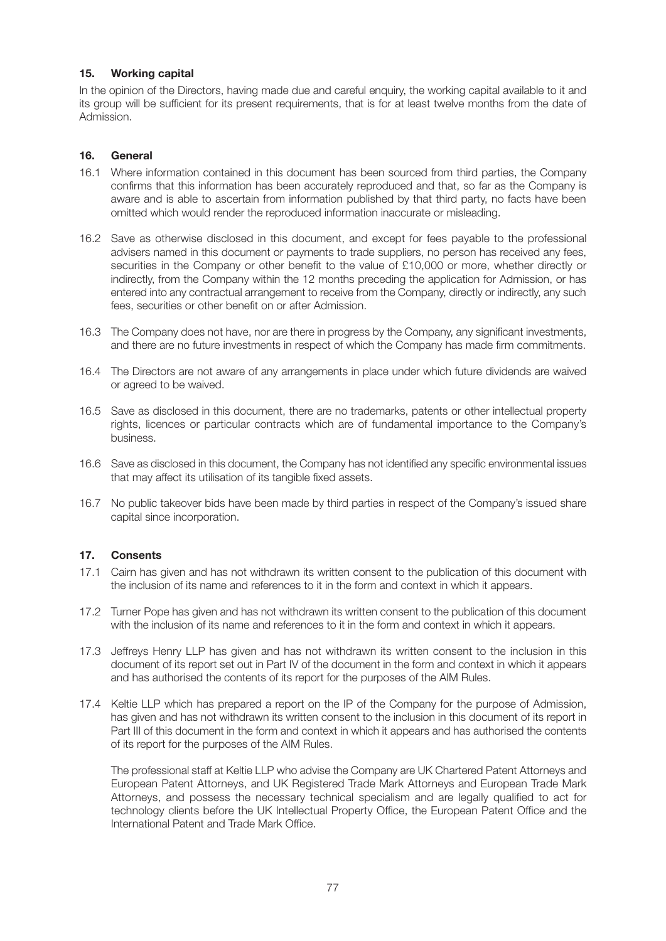## **15. Working capital**

In the opinion of the Directors, having made due and careful enquiry, the working capital available to it and its group will be sufficient for its present requirements, that is for at least twelve months from the date of Admission.

# **16. General**

- 16.1 Where information contained in this document has been sourced from third parties, the Company confirms that this information has been accurately reproduced and that, so far as the Company is aware and is able to ascertain from information published by that third party, no facts have been omitted which would render the reproduced information inaccurate or misleading.
- 16.2 Save as otherwise disclosed in this document, and except for fees payable to the professional advisers named in this document or payments to trade suppliers, no person has received any fees, securities in the Company or other benefit to the value of £10,000 or more, whether directly or indirectly, from the Company within the 12 months preceding the application for Admission, or has entered into any contractual arrangement to receive from the Company, directly or indirectly, any such fees, securities or other benefit on or after Admission.
- 16.3 The Company does not have, nor are there in progress by the Company, any significant investments, and there are no future investments in respect of which the Company has made firm commitments.
- 16.4 The Directors are not aware of any arrangements in place under which future dividends are waived or agreed to be waived.
- 16.5 Save as disclosed in this document, there are no trademarks, patents or other intellectual property rights, licences or particular contracts which are of fundamental importance to the Company's business.
- 16.6 Save as disclosed in this document, the Company has not identified any specific environmental issues that may affect its utilisation of its tangible fixed assets.
- 16.7 No public takeover bids have been made by third parties in respect of the Company's issued share capital since incorporation.

## **17. Consents**

- 17.1 Cairn has given and has not withdrawn its written consent to the publication of this document with the inclusion of its name and references to it in the form and context in which it appears.
- 17.2 Turner Pope has given and has not withdrawn its written consent to the publication of this document with the inclusion of its name and references to it in the form and context in which it appears.
- 17.3 Jeffreys Henry LLP has given and has not withdrawn its written consent to the inclusion in this document of its report set out in Part IV of the document in the form and context in which it appears and has authorised the contents of its report for the purposes of the AIM Rules.
- 17.4 Keltie LLP which has prepared a report on the IP of the Company for the purpose of Admission, has given and has not withdrawn its written consent to the inclusion in this document of its report in Part III of this document in the form and context in which it appears and has authorised the contents of its report for the purposes of the AIM Rules.

The professional staff at Keltie LLP who advise the Company are UK Chartered Patent Attorneys and European Patent Attorneys, and UK Registered Trade Mark Attorneys and European Trade Mark Attorneys, and possess the necessary technical specialism and are legally qualified to act for technology clients before the UK Intellectual Property Office, the European Patent Office and the International Patent and Trade Mark Office.